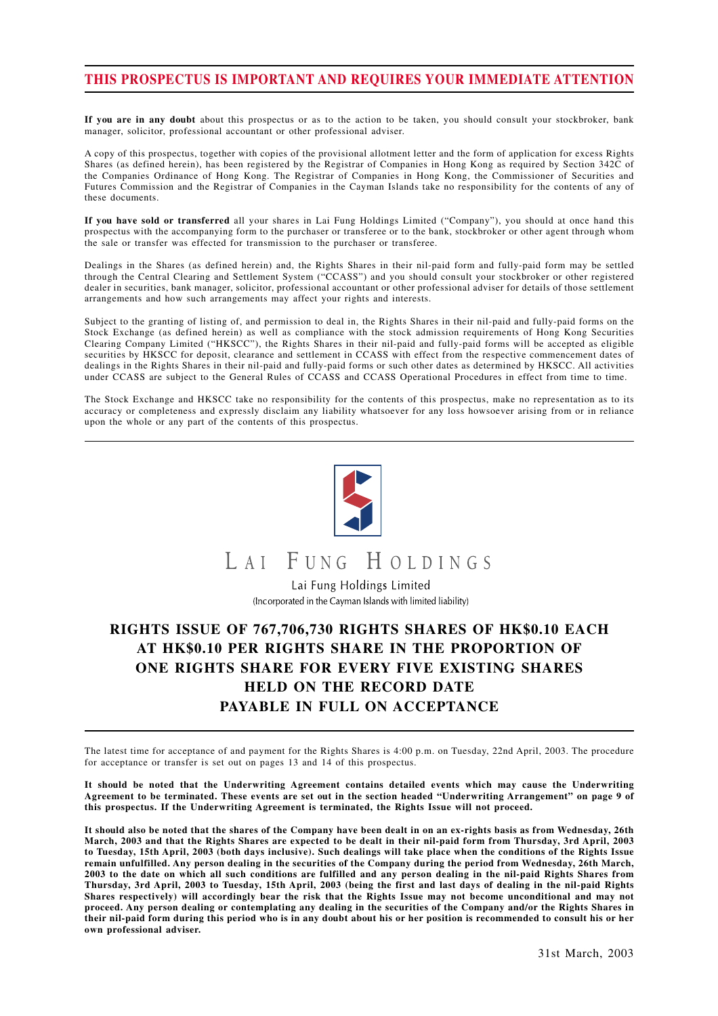## **THIS PROSPECTUS IS IMPORTANT AND REQUIRES YOUR IMMEDIATE ATTENTION**

**If you are in any doubt** about this prospectus or as to the action to be taken, you should consult your stockbroker, bank manager, solicitor, professional accountant or other professional adviser.

A copy of this prospectus, together with copies of the provisional allotment letter and the form of application for excess Rights Shares (as defined herein), has been registered by the Registrar of Companies in Hong Kong as required by Section 342C of the Companies Ordinance of Hong Kong. The Registrar of Companies in Hong Kong, the Commissioner of Securities and Futures Commission and the Registrar of Companies in the Cayman Islands take no responsibility for the contents of any of these documents.

**If you have sold or transferred** all your shares in Lai Fung Holdings Limited ("Company"), you should at once hand this prospectus with the accompanying form to the purchaser or transferee or to the bank, stockbroker or other agent through whom the sale or transfer was effected for transmission to the purchaser or transferee.

Dealings in the Shares (as defined herein) and, the Rights Shares in their nil-paid form and fully-paid form may be settled through the Central Clearing and Settlement System ("CCASS") and you should consult your stockbroker or other registered dealer in securities, bank manager, solicitor, professional accountant or other professional adviser for details of those settlement arrangements and how such arrangements may affect your rights and interests.

Subject to the granting of listing of, and permission to deal in, the Rights Shares in their nil-paid and fully-paid forms on the Stock Exchange (as defined herein) as well as compliance with the stock admission requirements of Hong Kong Securities Clearing Company Limited ("HKSCC"), the Rights Shares in their nil-paid and fully-paid forms will be accepted as eligible securities by HKSCC for deposit, clearance and settlement in CCASS with effect from the respective commencement dates of dealings in the Rights Shares in their nil-paid and fully-paid forms or such other dates as determined by HKSCC. All activities under CCASS are subject to the General Rules of CCASS and CCASS Operational Procedures in effect from time to time.

The Stock Exchange and HKSCC take no responsibility for the contents of this prospectus, make no representation as to its accuracy or completeness and expressly disclaim any liability whatsoever for any loss howsoever arising from or in reliance upon the whole or any part of the contents of this prospectus.



# LAI FUNG HOLDINGS

Lai Fung Holdings Limited (Incorporated in the Cayman Islands with limited liability)

## **RIGHTS ISSUE OF 767,706,730 RIGHTS SHARES OF HK\$0.10 EACH AT HK\$0.10 PER RIGHTS SHARE IN THE PROPORTION OF ONE RIGHTS SHARE FOR EVERY FIVE EXISTING SHARES HELD ON THE RECORD DATE PAYABLE IN FULL ON ACCEPTANCE**

The latest time for acceptance of and payment for the Rights Shares is 4:00 p.m. on Tuesday, 22nd April, 2003. The procedure for acceptance or transfer is set out on pages 13 and 14 of this prospectus.

**It should be noted that the Underwriting Agreement contains detailed events which may cause the Underwriting Agreement to be terminated. These events are set out in the section headed "Underwriting Arrangement" on page 9 of this prospectus. If the Underwriting Agreement is terminated, the Rights Issue will not proceed.**

**It should also be noted that the shares of the Company have been dealt in on an ex-rights basis as from Wednesday, 26th March, 2003 and that the Rights Shares are expected to be dealt in their nil-paid form from Thursday, 3rd April, 2003 to Tuesday, 15th April, 2003 (both days inclusive). Such dealings will take place when the conditions of the Rights Issue remain unfulfilled. Any person dealing in the securities of the Company during the period from Wednesday, 26th March, 2003 to the date on which all such conditions are fulfilled and any person dealing in the nil-paid Rights Shares from Thursday, 3rd April, 2003 to Tuesday, 15th April, 2003 (being the first and last days of dealing in the nil-paid Rights Shares respectively) will accordingly bear the risk that the Rights Issue may not become unconditional and may not proceed. Any person dealing or contemplating any dealing in the securities of the Company and/or the Rights Shares in their nil-paid form during this period who is in any doubt about his or her position is recommended to consult his or her own professional adviser.**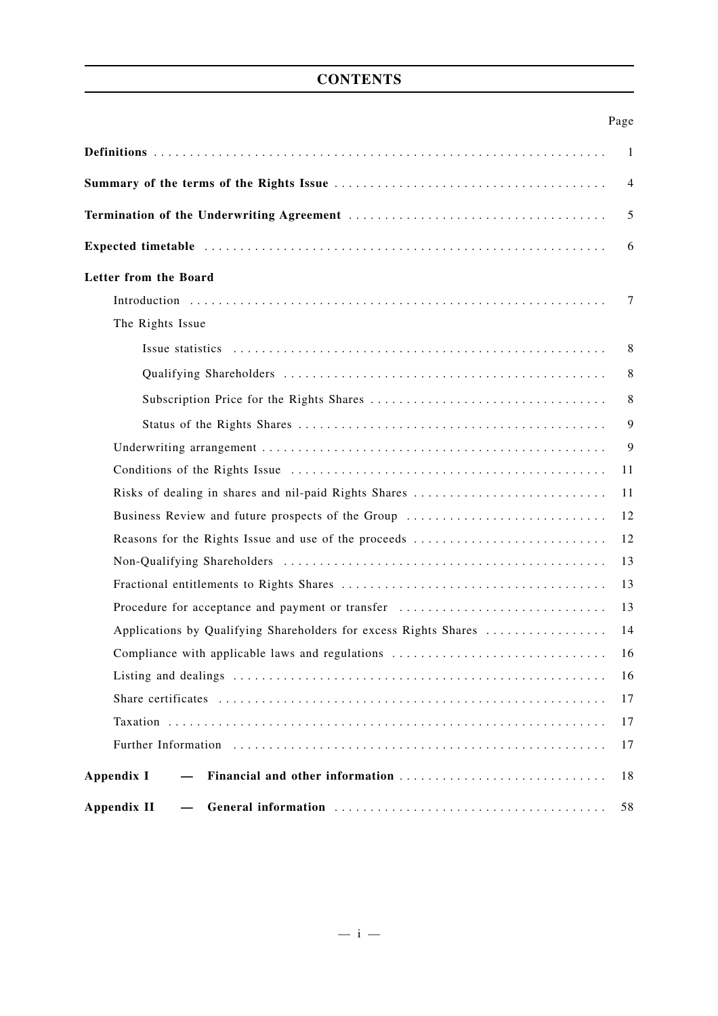## **CONTENTS**

| ۰, |
|----|
|----|

|                                                                                                                                                                                                                                                      | -1 |
|------------------------------------------------------------------------------------------------------------------------------------------------------------------------------------------------------------------------------------------------------|----|
|                                                                                                                                                                                                                                                      | 4  |
|                                                                                                                                                                                                                                                      | 5  |
|                                                                                                                                                                                                                                                      | 6  |
| Letter from the Board                                                                                                                                                                                                                                |    |
|                                                                                                                                                                                                                                                      | 7  |
| The Rights Issue                                                                                                                                                                                                                                     |    |
|                                                                                                                                                                                                                                                      | 8  |
|                                                                                                                                                                                                                                                      | 8  |
|                                                                                                                                                                                                                                                      | 8  |
|                                                                                                                                                                                                                                                      | 9  |
|                                                                                                                                                                                                                                                      | 9  |
|                                                                                                                                                                                                                                                      | 11 |
| Risks of dealing in shares and nil-paid Rights Shares                                                                                                                                                                                                | 11 |
| Business Review and future prospects of the Group                                                                                                                                                                                                    | 12 |
| Reasons for the Rights Issue and use of the proceeds                                                                                                                                                                                                 | 12 |
|                                                                                                                                                                                                                                                      | 13 |
|                                                                                                                                                                                                                                                      | 13 |
| Procedure for acceptance and payment or transfer                                                                                                                                                                                                     | 13 |
| Applications by Qualifying Shareholders for excess Rights Shares                                                                                                                                                                                     | 14 |
| Compliance with applicable laws and regulations                                                                                                                                                                                                      | 16 |
|                                                                                                                                                                                                                                                      | 16 |
|                                                                                                                                                                                                                                                      | 17 |
|                                                                                                                                                                                                                                                      | 17 |
| Further Information                                                                                                                                                                                                                                  | 17 |
| Financial and other information<br>Appendix I                                                                                                                                                                                                        | 18 |
| <b>Appendix II</b><br>General information contracts of the contracts of the contracts of the contracts of the contracts of the contracts of the contracts of the contracts of the contracts of the contracts of the contracts of the contracts of th | 58 |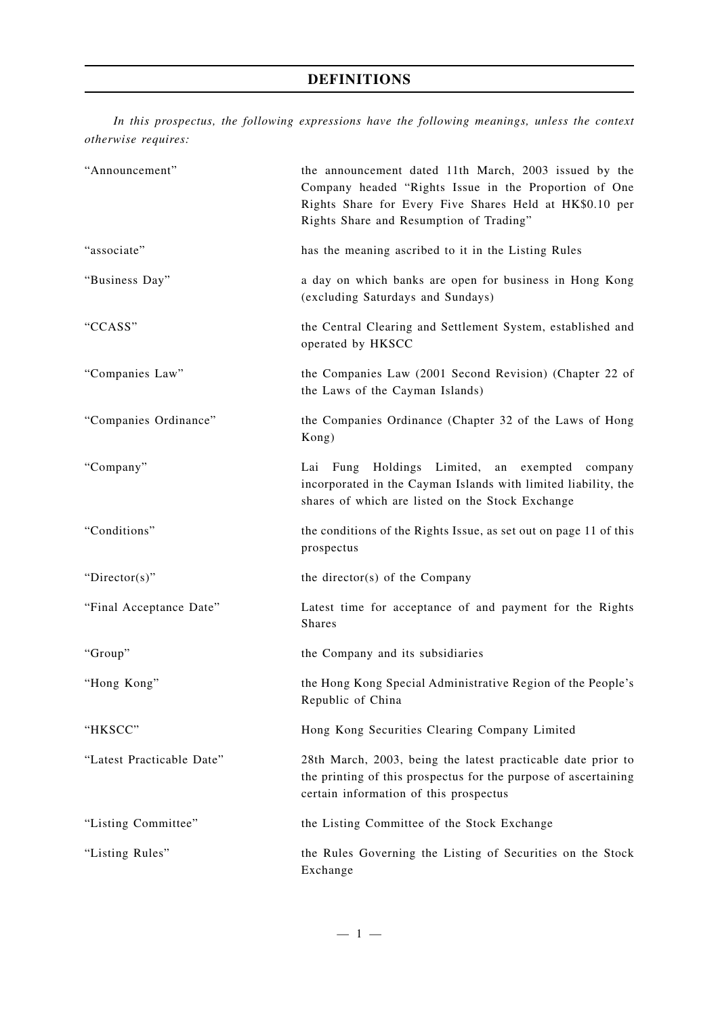## **DEFINITIONS**

*In this prospectus, the following expressions have the following meanings, unless the context otherwise requires:*

| "Announcement"            | the announcement dated 11th March, 2003 issued by the<br>Company headed "Rights Issue in the Proportion of One<br>Rights Share for Every Five Shares Held at HK\$0.10 per<br>Rights Share and Resumption of Trading" |
|---------------------------|----------------------------------------------------------------------------------------------------------------------------------------------------------------------------------------------------------------------|
| "associate"               | has the meaning ascribed to it in the Listing Rules                                                                                                                                                                  |
| "Business Day"            | a day on which banks are open for business in Hong Kong<br>(excluding Saturdays and Sundays)                                                                                                                         |
| "CCASS"                   | the Central Clearing and Settlement System, established and<br>operated by HKSCC                                                                                                                                     |
| "Companies Law"           | the Companies Law (2001 Second Revision) (Chapter 22 of<br>the Laws of the Cayman Islands)                                                                                                                           |
| "Companies Ordinance"     | the Companies Ordinance (Chapter 32 of the Laws of Hong<br>Kong)                                                                                                                                                     |
| "Company"                 | Lai Fung Holdings Limited, an exempted company<br>incorporated in the Cayman Islands with limited liability, the<br>shares of which are listed on the Stock Exchange                                                 |
| "Conditions"              | the conditions of the Rights Issue, as set out on page 11 of this<br>prospectus                                                                                                                                      |
| "Director(s)"             | the director(s) of the Company                                                                                                                                                                                       |
| "Final Acceptance Date"   | Latest time for acceptance of and payment for the Rights<br><b>Shares</b>                                                                                                                                            |
| "Group"                   | the Company and its subsidiaries                                                                                                                                                                                     |
| "Hong Kong"               | the Hong Kong Special Administrative Region of the People's<br>Republic of China                                                                                                                                     |
| "HKSCC"                   | Hong Kong Securities Clearing Company Limited                                                                                                                                                                        |
| "Latest Practicable Date" | 28th March, 2003, being the latest practicable date prior to<br>the printing of this prospectus for the purpose of ascertaining<br>certain information of this prospectus                                            |
| "Listing Committee"       | the Listing Committee of the Stock Exchange                                                                                                                                                                          |
| "Listing Rules"           | the Rules Governing the Listing of Securities on the Stock<br>Exchange                                                                                                                                               |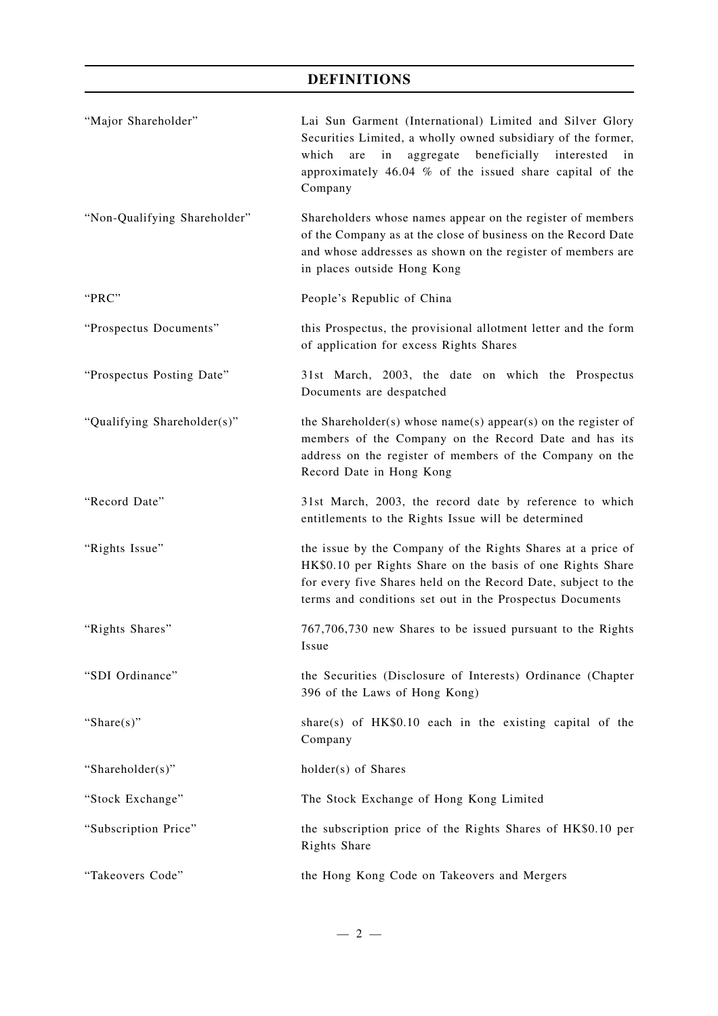## **DEFINITIONS**

| "Major Shareholder"          | Lai Sun Garment (International) Limited and Silver Glory<br>Securities Limited, a wholly owned subsidiary of the former,<br>which<br>aggregate<br>beneficially<br>are<br>in<br>interested<br>in<br>approximately 46.04 % of the issued share capital of the<br>Company |
|------------------------------|------------------------------------------------------------------------------------------------------------------------------------------------------------------------------------------------------------------------------------------------------------------------|
| "Non-Qualifying Shareholder" | Shareholders whose names appear on the register of members<br>of the Company as at the close of business on the Record Date<br>and whose addresses as shown on the register of members are<br>in places outside Hong Kong                                              |
| "PRC"                        | People's Republic of China                                                                                                                                                                                                                                             |
| "Prospectus Documents"       | this Prospectus, the provisional allotment letter and the form<br>of application for excess Rights Shares                                                                                                                                                              |
| "Prospectus Posting Date"    | 31st March, 2003, the date on which the Prospectus<br>Documents are despatched                                                                                                                                                                                         |
| "Qualifying Shareholder(s)"  | the Shareholder(s) whose name(s) appear(s) on the register of<br>members of the Company on the Record Date and has its<br>address on the register of members of the Company on the<br>Record Date in Hong Kong                                                         |
| "Record Date"                | 31st March, 2003, the record date by reference to which<br>entitlements to the Rights Issue will be determined                                                                                                                                                         |
| "Rights Issue"               | the issue by the Company of the Rights Shares at a price of<br>HK\$0.10 per Rights Share on the basis of one Rights Share<br>for every five Shares held on the Record Date, subject to the<br>terms and conditions set out in the Prospectus Documents                 |
| "Rights Shares"              | 767,706,730 new Shares to be issued pursuant to the Rights<br>Issue                                                                                                                                                                                                    |
| "SDI Ordinance"              | the Securities (Disclosure of Interests) Ordinance (Chapter<br>396 of the Laws of Hong Kong)                                                                                                                                                                           |
| "Share $(s)$ "               | share(s) of $HK$0.10$ each in the existing capital of the<br>Company                                                                                                                                                                                                   |
| "Shareholder(s)"             | holder(s) of Shares                                                                                                                                                                                                                                                    |
| "Stock Exchange"             | The Stock Exchange of Hong Kong Limited                                                                                                                                                                                                                                |
| "Subscription Price"         | the subscription price of the Rights Shares of HK\$0.10 per<br>Rights Share                                                                                                                                                                                            |
| "Takeovers Code"             | the Hong Kong Code on Takeovers and Mergers                                                                                                                                                                                                                            |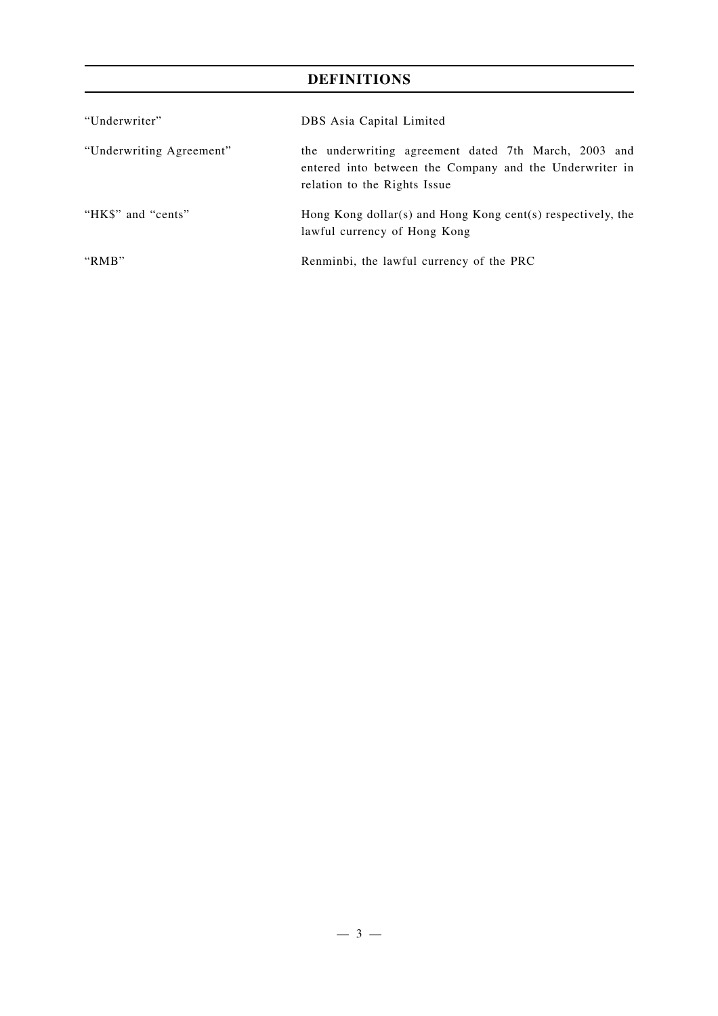## **DEFINITIONS**

| "Underwriter"            | DBS Asia Capital Limited                                                                                                                        |
|--------------------------|-------------------------------------------------------------------------------------------------------------------------------------------------|
| "Underwriting Agreement" | the underwriting agreement dated 7th March, 2003 and<br>entered into between the Company and the Underwriter in<br>relation to the Rights Issue |
| "HK\$" and "cents"       | Hong Kong dollar(s) and Hong Kong cent(s) respectively, the<br>lawful currency of Hong Kong                                                     |
| " $RMB"$                 | Renminbi, the lawful currency of the PRC                                                                                                        |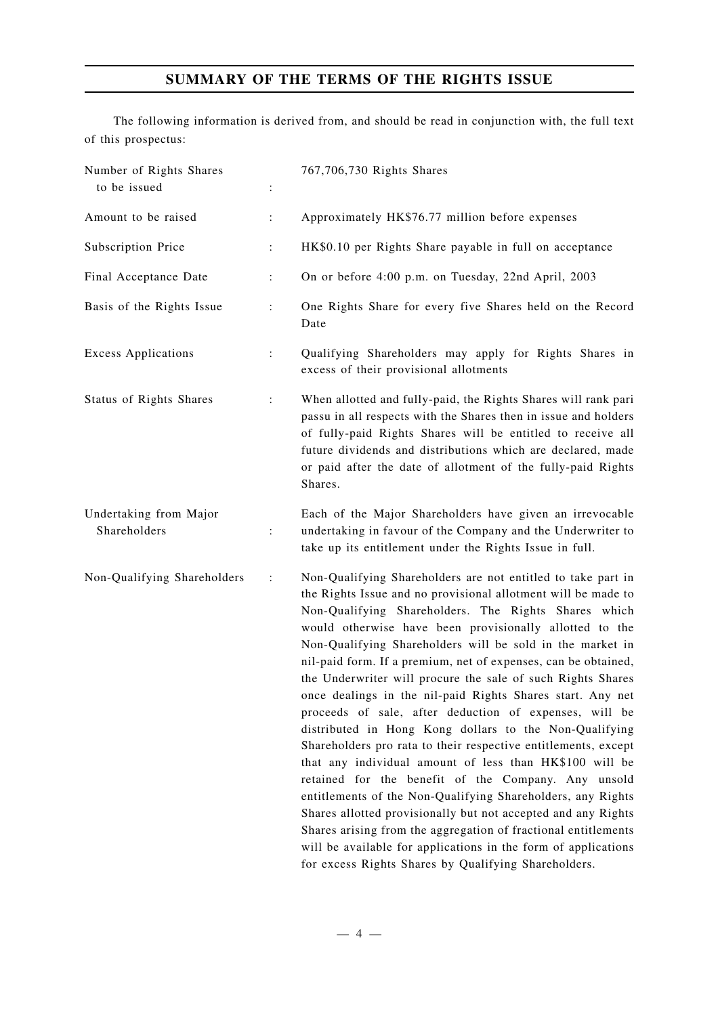## **SUMMARY OF THE TERMS OF THE RIGHTS ISSUE**

The following information is derived from, and should be read in conjunction with, the full text of this prospectus:

| Number of Rights Shares<br>to be issued | :              | 767,706,730 Rights Shares                                                                                                                                                                                                                                                                                                                                                                                                                                                                                                                                                                                                                                                                                                                                                                                                                                                                                                                                                                                                                                                                                                                        |
|-----------------------------------------|----------------|--------------------------------------------------------------------------------------------------------------------------------------------------------------------------------------------------------------------------------------------------------------------------------------------------------------------------------------------------------------------------------------------------------------------------------------------------------------------------------------------------------------------------------------------------------------------------------------------------------------------------------------------------------------------------------------------------------------------------------------------------------------------------------------------------------------------------------------------------------------------------------------------------------------------------------------------------------------------------------------------------------------------------------------------------------------------------------------------------------------------------------------------------|
| Amount to be raised                     | $\ddot{\cdot}$ | Approximately HK\$76.77 million before expenses                                                                                                                                                                                                                                                                                                                                                                                                                                                                                                                                                                                                                                                                                                                                                                                                                                                                                                                                                                                                                                                                                                  |
| Subscription Price                      | :              | HK\$0.10 per Rights Share payable in full on acceptance                                                                                                                                                                                                                                                                                                                                                                                                                                                                                                                                                                                                                                                                                                                                                                                                                                                                                                                                                                                                                                                                                          |
| Final Acceptance Date                   | $\ddot{\cdot}$ | On or before 4:00 p.m. on Tuesday, 22nd April, 2003                                                                                                                                                                                                                                                                                                                                                                                                                                                                                                                                                                                                                                                                                                                                                                                                                                                                                                                                                                                                                                                                                              |
| Basis of the Rights Issue               | $\ddot{\cdot}$ | One Rights Share for every five Shares held on the Record<br>Date                                                                                                                                                                                                                                                                                                                                                                                                                                                                                                                                                                                                                                                                                                                                                                                                                                                                                                                                                                                                                                                                                |
| <b>Excess Applications</b>              | $\ddot{\cdot}$ | Qualifying Shareholders may apply for Rights Shares in<br>excess of their provisional allotments                                                                                                                                                                                                                                                                                                                                                                                                                                                                                                                                                                                                                                                                                                                                                                                                                                                                                                                                                                                                                                                 |
| <b>Status of Rights Shares</b>          | $\ddot{\cdot}$ | When allotted and fully-paid, the Rights Shares will rank pari<br>passu in all respects with the Shares then in issue and holders<br>of fully-paid Rights Shares will be entitled to receive all<br>future dividends and distributions which are declared, made<br>or paid after the date of allotment of the fully-paid Rights<br>Shares.                                                                                                                                                                                                                                                                                                                                                                                                                                                                                                                                                                                                                                                                                                                                                                                                       |
| Undertaking from Major<br>Shareholders  | $\ddot{\cdot}$ | Each of the Major Shareholders have given an irrevocable<br>undertaking in favour of the Company and the Underwriter to<br>take up its entitlement under the Rights Issue in full.                                                                                                                                                                                                                                                                                                                                                                                                                                                                                                                                                                                                                                                                                                                                                                                                                                                                                                                                                               |
| Non-Qualifying Shareholders             | :              | Non-Qualifying Shareholders are not entitled to take part in<br>the Rights Issue and no provisional allotment will be made to<br>Non-Qualifying Shareholders. The Rights Shares which<br>would otherwise have been provisionally allotted to the<br>Non-Qualifying Shareholders will be sold in the market in<br>nil-paid form. If a premium, net of expenses, can be obtained,<br>the Underwriter will procure the sale of such Rights Shares<br>once dealings in the nil-paid Rights Shares start. Any net<br>proceeds of sale, after deduction of expenses, will be<br>distributed in Hong Kong dollars to the Non-Qualifying<br>Shareholders pro rata to their respective entitlements, except<br>that any individual amount of less than HK\$100 will be<br>retained for the benefit of the Company. Any unsold<br>entitlements of the Non-Qualifying Shareholders, any Rights<br>Shares allotted provisionally but not accepted and any Rights<br>Shares arising from the aggregation of fractional entitlements<br>will be available for applications in the form of applications<br>for excess Rights Shares by Qualifying Shareholders. |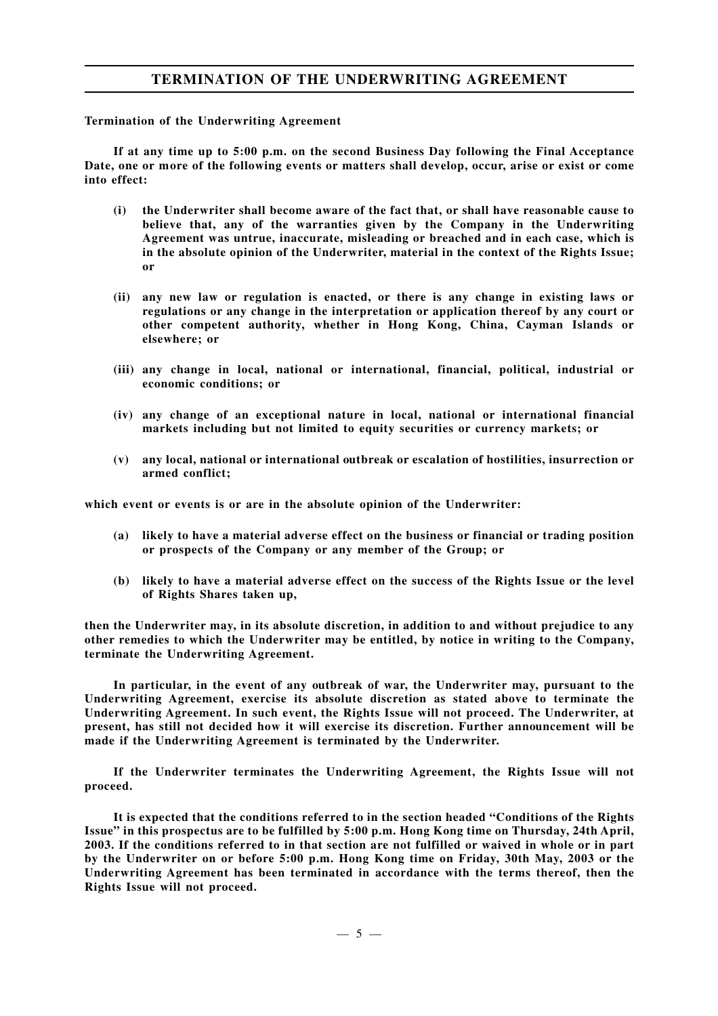## **TERMINATION OF THE UNDERWRITING AGREEMENT**

### **Termination of the Underwriting Agreement**

**If at any time up to 5:00 p.m. on the second Business Day following the Final Acceptance Date, one or more of the following events or matters shall develop, occur, arise or exist or come into effect:**

- **(i) the Underwriter shall become aware of the fact that, or shall have reasonable cause to believe that, any of the warranties given by the Company in the Underwriting Agreement was untrue, inaccurate, misleading or breached and in each case, which is in the absolute opinion of the Underwriter, material in the context of the Rights Issue; or**
- **(ii) any new law or regulation is enacted, or there is any change in existing laws or regulations or any change in the interpretation or application thereof by any court or other competent authority, whether in Hong Kong, China, Cayman Islands or elsewhere; or**
- **(iii) any change in local, national or international, financial, political, industrial or economic conditions; or**
- **(iv) any change of an exceptional nature in local, national or international financial markets including but not limited to equity securities or currency markets; or**
- **(v) any local, national or international outbreak or escalation of hostilities, insurrection or armed conflict;**

**which event or events is or are in the absolute opinion of the Underwriter:**

- **(a) likely to have a material adverse effect on the business or financial or trading position or prospects of the Company or any member of the Group; or**
- **(b) likely to have a material adverse effect on the success of the Rights Issue or the level of Rights Shares taken up,**

**then the Underwriter may, in its absolute discretion, in addition to and without prejudice to any other remedies to which the Underwriter may be entitled, by notice in writing to the Company, terminate the Underwriting Agreement.**

**In particular, in the event of any outbreak of war, the Underwriter may, pursuant to the Underwriting Agreement, exercise its absolute discretion as stated above to terminate the Underwriting Agreement. In such event, the Rights Issue will not proceed. The Underwriter, at present, has still not decided how it will exercise its discretion. Further announcement will be made if the Underwriting Agreement is terminated by the Underwriter.**

**If the Underwriter terminates the Underwriting Agreement, the Rights Issue will not proceed.**

**It is expected that the conditions referred to in the section headed "Conditions of the Rights Issue" in this prospectus are to be fulfilled by 5:00 p.m. Hong Kong time on Thursday, 24th April, 2003. If the conditions referred to in that section are not fulfilled or waived in whole or in part by the Underwriter on or before 5:00 p.m. Hong Kong time on Friday, 30th May, 2003 or the Underwriting Agreement has been terminated in accordance with the terms thereof, then the Rights Issue will not proceed.**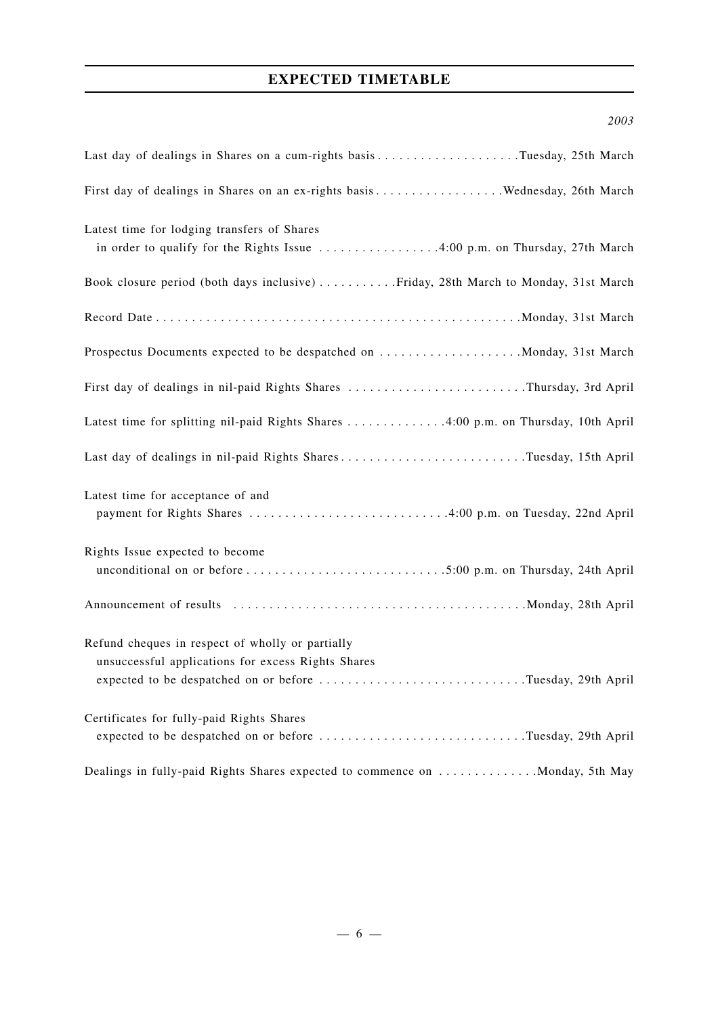## **EXPECTED TIMETABLE**

## *2003*

| First day of dealings in Shares on an ex-rights basis Wednesday, 26th March                                                                                          |
|----------------------------------------------------------------------------------------------------------------------------------------------------------------------|
| Latest time for lodging transfers of Shares<br>in order to qualify for the Rights Issue 4:00 p.m. on Thursday, 27th March                                            |
| Book closure period (both days inclusive) Friday, 28th March to Monday, 31st March                                                                                   |
|                                                                                                                                                                      |
| Prospectus Documents expected to be despatched on Monday, 31st March                                                                                                 |
| First day of dealings in nil-paid Rights Shares Thursday, 3rd April                                                                                                  |
|                                                                                                                                                                      |
| Last day of dealings in nil-paid Rights SharesTuesday, 15th April                                                                                                    |
| Latest time for acceptance of and                                                                                                                                    |
| Rights Issue expected to become                                                                                                                                      |
|                                                                                                                                                                      |
| Refund cheques in respect of wholly or partially<br>unsuccessful applications for excess Rights Shares<br>expected to be despatched on or before Tuesday, 29th April |
| Certificates for fully-paid Rights Shares<br>expected to be despatched on or before Tuesday, 29th April                                                              |
| Dealings in fully-paid Rights Shares expected to commence on  Monday, 5th May                                                                                        |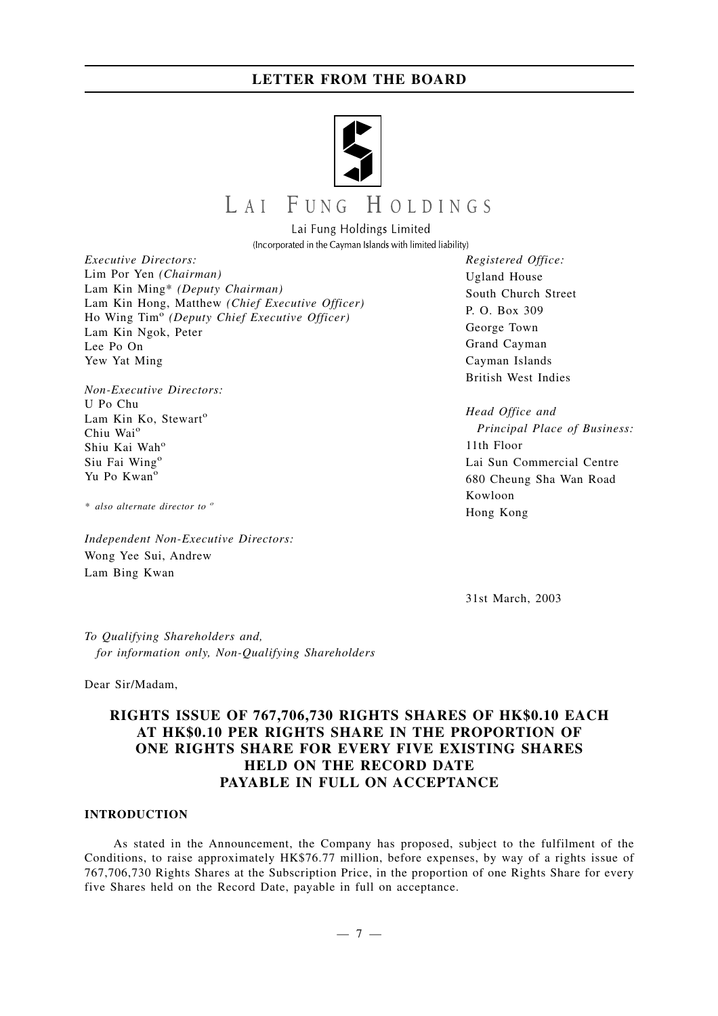

# LAI FUNG HOLDINGS

Lai Fung Holdings Limited (Incorporated in the Cayman Islands with limited liability)

*Executive Directors:* Lim Por Yen *(Chairman)* Lam Kin Ming\* *(Deputy Chairman)* Lam Kin Hong, Matthew *(Chief Executive Officer)* Ho Wing Tim<sup>o</sup> *(Deputy Chief Executive Officer)* Lam Kin Ngok, Peter Lee Po On Yew Yat Ming

*Non-Executive Directors:* U Po Chu Lam Kin Ko, Stewart<sup>o</sup> Chiu Wai<sup>o</sup> Shiu Kai Wah<sup>o</sup> Siu Fai Wing<sup>o</sup> Yu Po Kwan<sup>o</sup>

*\* also alternate director to <sup>o</sup>*

*Independent Non-Executive Directors:* Wong Yee Sui, Andrew Lam Bing Kwan

*Registered Office:* Ugland House South Church Street P. O. Box 309 George Town Grand Cayman Cayman Islands British West Indies

*Head Office and Principal Place of Business:* 11th Floor Lai Sun Commercial Centre 680 Cheung Sha Wan Road Kowloon Hong Kong

31st March, 2003

*To Qualifying Shareholders and, for information only, Non-Qualifying Shareholders*

Dear Sir/Madam,

## **RIGHTS ISSUE OF 767,706,730 RIGHTS SHARES OF HK\$0.10 EACH AT HK\$0.10 PER RIGHTS SHARE IN THE PROPORTION OF ONE RIGHTS SHARE FOR EVERY FIVE EXISTING SHARES HELD ON THE RECORD DATE PAYABLE IN FULL ON ACCEPTANCE**

## **INTRODUCTION**

As stated in the Announcement, the Company has proposed, subject to the fulfilment of the Conditions, to raise approximately HK\$76.77 million, before expenses, by way of a rights issue of 767,706,730 Rights Shares at the Subscription Price, in the proportion of one Rights Share for every five Shares held on the Record Date, payable in full on acceptance.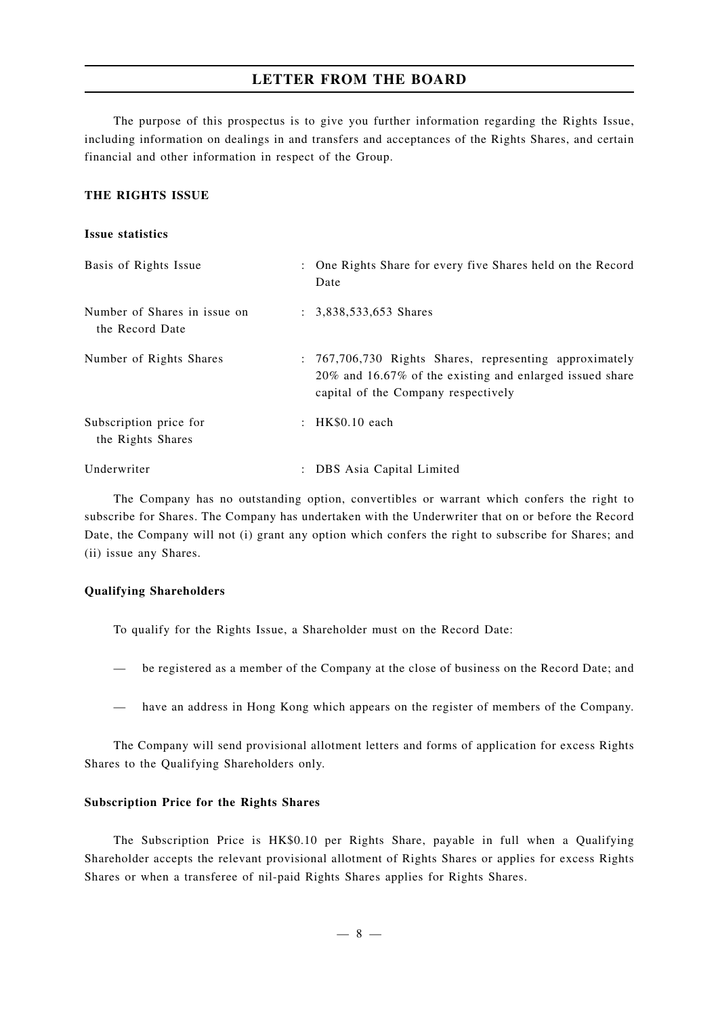The purpose of this prospectus is to give you further information regarding the Rights Issue, including information on dealings in and transfers and acceptances of the Rights Shares, and certain financial and other information in respect of the Group.

### **THE RIGHTS ISSUE**

### **Issue statistics**

| Basis of Rights Issue                           | : One Rights Share for every five Shares held on the Record<br>Date                                                                                        |
|-------------------------------------------------|------------------------------------------------------------------------------------------------------------------------------------------------------------|
| Number of Shares in issue on<br>the Record Date | $: 3,838,533,653$ Shares                                                                                                                                   |
| Number of Rights Shares                         | : 767,706,730 Rights Shares, representing approximately<br>20% and 16.67% of the existing and enlarged issued share<br>capital of the Company respectively |
| Subscription price for<br>the Rights Shares     | : $HK$0.10$ each                                                                                                                                           |
| Underwriter                                     | DBS Asia Capital Limited                                                                                                                                   |

The Company has no outstanding option, convertibles or warrant which confers the right to subscribe for Shares. The Company has undertaken with the Underwriter that on or before the Record Date, the Company will not (i) grant any option which confers the right to subscribe for Shares; and (ii) issue any Shares.

#### **Qualifying Shareholders**

To qualify for the Rights Issue, a Shareholder must on the Record Date:

- be registered as a member of the Company at the close of business on the Record Date; and
- have an address in Hong Kong which appears on the register of members of the Company.

The Company will send provisional allotment letters and forms of application for excess Rights Shares to the Qualifying Shareholders only.

### **Subscription Price for the Rights Shares**

The Subscription Price is HK\$0.10 per Rights Share, payable in full when a Qualifying Shareholder accepts the relevant provisional allotment of Rights Shares or applies for excess Rights Shares or when a transferee of nil-paid Rights Shares applies for Rights Shares.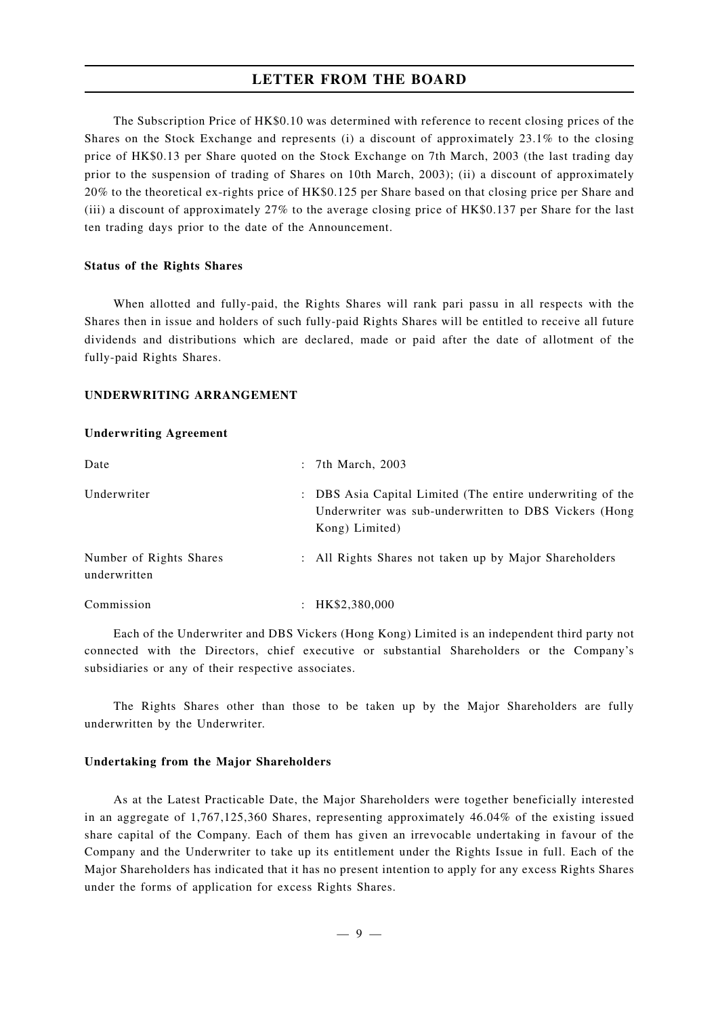The Subscription Price of HK\$0.10 was determined with reference to recent closing prices of the Shares on the Stock Exchange and represents (i) a discount of approximately 23.1% to the closing price of HK\$0.13 per Share quoted on the Stock Exchange on 7th March, 2003 (the last trading day prior to the suspension of trading of Shares on 10th March, 2003); (ii) a discount of approximately 20% to the theoretical ex-rights price of HK\$0.125 per Share based on that closing price per Share and (iii) a discount of approximately 27% to the average closing price of HK\$0.137 per Share for the last ten trading days prior to the date of the Announcement.

#### **Status of the Rights Shares**

When allotted and fully-paid, the Rights Shares will rank pari passu in all respects with the Shares then in issue and holders of such fully-paid Rights Shares will be entitled to receive all future dividends and distributions which are declared, made or paid after the date of allotment of the fully-paid Rights Shares.

## **UNDERWRITING ARRANGEMENT**

#### **Underwriting Agreement**

| Date                                    | : 7th March, 2003                                                                                                                     |
|-----------------------------------------|---------------------------------------------------------------------------------------------------------------------------------------|
| Underwriter                             | : DBS Asia Capital Limited (The entire underwriting of the<br>Underwriter was sub-underwritten to DBS Vickers (Hong<br>Kong) Limited) |
| Number of Rights Shares<br>underwritten | : All Rights Shares not taken up by Major Shareholders                                                                                |
| Commission                              | : $HK$2,380,000$                                                                                                                      |

Each of the Underwriter and DBS Vickers (Hong Kong) Limited is an independent third party not connected with the Directors, chief executive or substantial Shareholders or the Company's subsidiaries or any of their respective associates.

The Rights Shares other than those to be taken up by the Major Shareholders are fully underwritten by the Underwriter.

### **Undertaking from the Major Shareholders**

As at the Latest Practicable Date, the Major Shareholders were together beneficially interested in an aggregate of 1,767,125,360 Shares, representing approximately 46.04% of the existing issued share capital of the Company. Each of them has given an irrevocable undertaking in favour of the Company and the Underwriter to take up its entitlement under the Rights Issue in full. Each of the Major Shareholders has indicated that it has no present intention to apply for any excess Rights Shares under the forms of application for excess Rights Shares.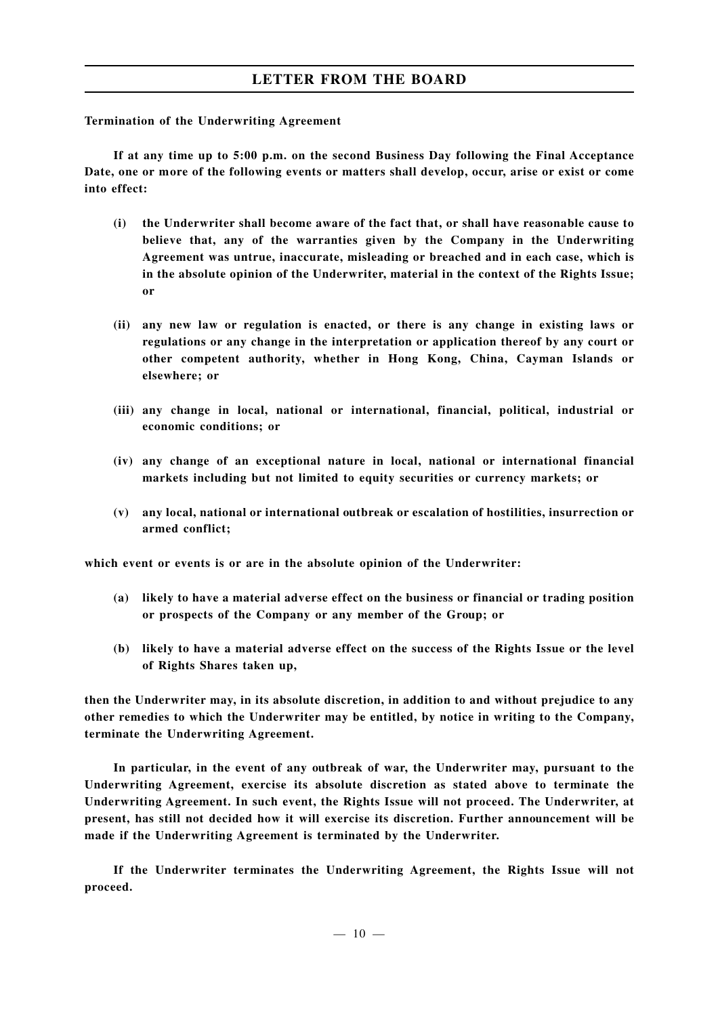## **Termination of the Underwriting Agreement**

**If at any time up to 5:00 p.m. on the second Business Day following the Final Acceptance Date, one or more of the following events or matters shall develop, occur, arise or exist or come into effect:**

- **(i) the Underwriter shall become aware of the fact that, or shall have reasonable cause to believe that, any of the warranties given by the Company in the Underwriting Agreement was untrue, inaccurate, misleading or breached and in each case, which is in the absolute opinion of the Underwriter, material in the context of the Rights Issue; or**
- **(ii) any new law or regulation is enacted, or there is any change in existing laws or regulations or any change in the interpretation or application thereof by any court or other competent authority, whether in Hong Kong, China, Cayman Islands or elsewhere; or**
- **(iii) any change in local, national or international, financial, political, industrial or economic conditions; or**
- **(iv) any change of an exceptional nature in local, national or international financial markets including but not limited to equity securities or currency markets; or**
- **(v) any local, national or international outbreak or escalation of hostilities, insurrection or armed conflict;**

**which event or events is or are in the absolute opinion of the Underwriter:**

- **(a) likely to have a material adverse effect on the business or financial or trading position or prospects of the Company or any member of the Group; or**
- **(b) likely to have a material adverse effect on the success of the Rights Issue or the level of Rights Shares taken up,**

**then the Underwriter may, in its absolute discretion, in addition to and without prejudice to any other remedies to which the Underwriter may be entitled, by notice in writing to the Company, terminate the Underwriting Agreement.**

**In particular, in the event of any outbreak of war, the Underwriter may, pursuant to the Underwriting Agreement, exercise its absolute discretion as stated above to terminate the Underwriting Agreement. In such event, the Rights Issue will not proceed. The Underwriter, at present, has still not decided how it will exercise its discretion. Further announcement will be made if the Underwriting Agreement is terminated by the Underwriter.**

**If the Underwriter terminates the Underwriting Agreement, the Rights Issue will not proceed.**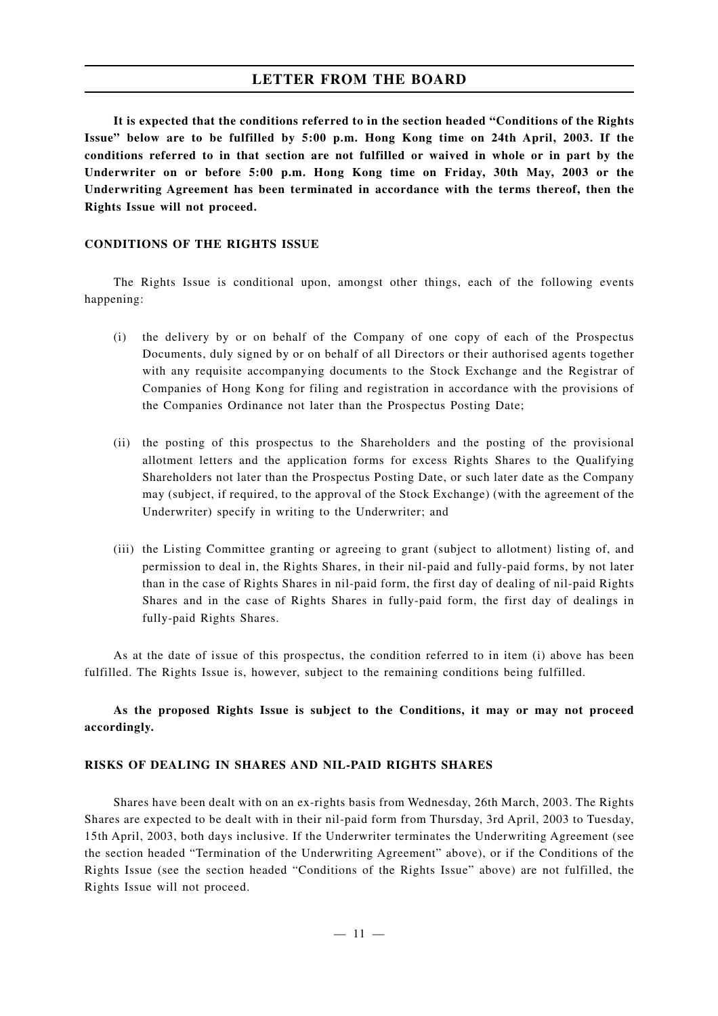**It is expected that the conditions referred to in the section headed "Conditions of the Rights Issue" below are to be fulfilled by 5:00 p.m. Hong Kong time on 24th April, 2003. If the conditions referred to in that section are not fulfilled or waived in whole or in part by the Underwriter on or before 5:00 p.m. Hong Kong time on Friday, 30th May, 2003 or the Underwriting Agreement has been terminated in accordance with the terms thereof, then the Rights Issue will not proceed.**

### **CONDITIONS OF THE RIGHTS ISSUE**

The Rights Issue is conditional upon, amongst other things, each of the following events happening:

- (i) the delivery by or on behalf of the Company of one copy of each of the Prospectus Documents, duly signed by or on behalf of all Directors or their authorised agents together with any requisite accompanying documents to the Stock Exchange and the Registrar of Companies of Hong Kong for filing and registration in accordance with the provisions of the Companies Ordinance not later than the Prospectus Posting Date;
- (ii) the posting of this prospectus to the Shareholders and the posting of the provisional allotment letters and the application forms for excess Rights Shares to the Qualifying Shareholders not later than the Prospectus Posting Date, or such later date as the Company may (subject, if required, to the approval of the Stock Exchange) (with the agreement of the Underwriter) specify in writing to the Underwriter; and
- (iii) the Listing Committee granting or agreeing to grant (subject to allotment) listing of, and permission to deal in, the Rights Shares, in their nil-paid and fully-paid forms, by not later than in the case of Rights Shares in nil-paid form, the first day of dealing of nil-paid Rights Shares and in the case of Rights Shares in fully-paid form, the first day of dealings in fully-paid Rights Shares.

As at the date of issue of this prospectus, the condition referred to in item (i) above has been fulfilled. The Rights Issue is, however, subject to the remaining conditions being fulfilled.

## **As the proposed Rights Issue is subject to the Conditions, it may or may not proceed accordingly.**

#### **RISKS OF DEALING IN SHARES AND NIL-PAID RIGHTS SHARES**

Shares have been dealt with on an ex-rights basis from Wednesday, 26th March, 2003. The Rights Shares are expected to be dealt with in their nil-paid form from Thursday, 3rd April, 2003 to Tuesday, 15th April, 2003, both days inclusive. If the Underwriter terminates the Underwriting Agreement (see the section headed "Termination of the Underwriting Agreement" above), or if the Conditions of the Rights Issue (see the section headed "Conditions of the Rights Issue" above) are not fulfilled, the Rights Issue will not proceed.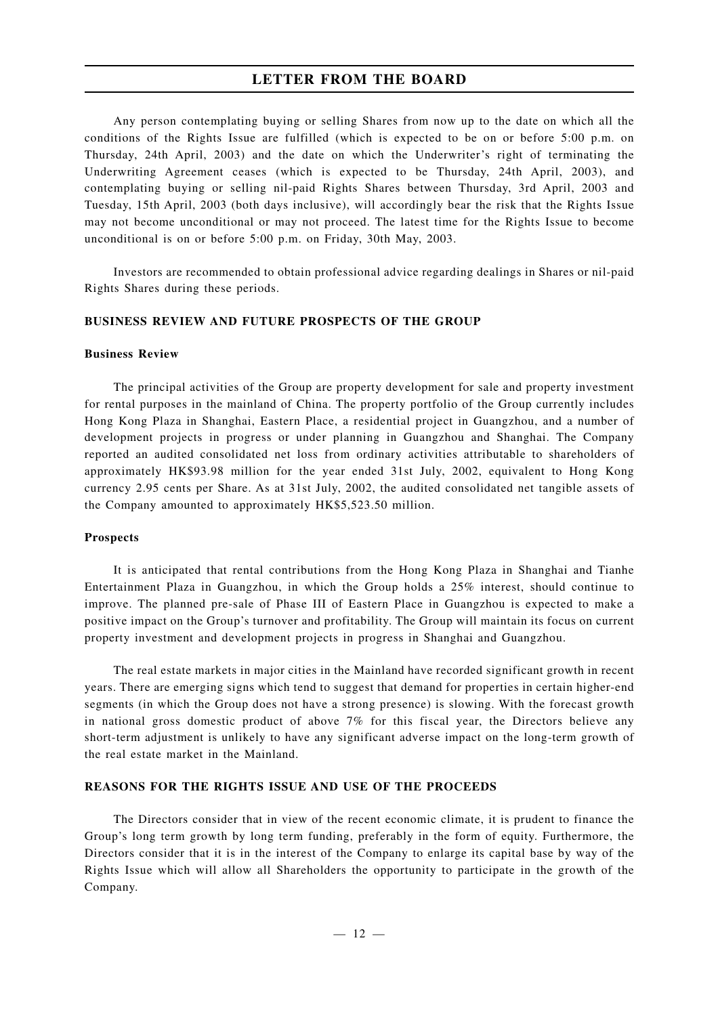Any person contemplating buying or selling Shares from now up to the date on which all the conditions of the Rights Issue are fulfilled (which is expected to be on or before 5:00 p.m. on Thursday, 24th April, 2003) and the date on which the Underwriter's right of terminating the Underwriting Agreement ceases (which is expected to be Thursday, 24th April, 2003), and contemplating buying or selling nil-paid Rights Shares between Thursday, 3rd April, 2003 and Tuesday, 15th April, 2003 (both days inclusive), will accordingly bear the risk that the Rights Issue may not become unconditional or may not proceed. The latest time for the Rights Issue to become unconditional is on or before 5:00 p.m. on Friday, 30th May, 2003.

Investors are recommended to obtain professional advice regarding dealings in Shares or nil-paid Rights Shares during these periods.

#### **BUSINESS REVIEW AND FUTURE PROSPECTS OF THE GROUP**

### **Business Review**

The principal activities of the Group are property development for sale and property investment for rental purposes in the mainland of China. The property portfolio of the Group currently includes Hong Kong Plaza in Shanghai, Eastern Place, a residential project in Guangzhou, and a number of development projects in progress or under planning in Guangzhou and Shanghai. The Company reported an audited consolidated net loss from ordinary activities attributable to shareholders of approximately HK\$93.98 million for the year ended 31st July, 2002, equivalent to Hong Kong currency 2.95 cents per Share. As at 31st July, 2002, the audited consolidated net tangible assets of the Company amounted to approximately HK\$5,523.50 million.

#### **Prospects**

It is anticipated that rental contributions from the Hong Kong Plaza in Shanghai and Tianhe Entertainment Plaza in Guangzhou, in which the Group holds a 25% interest, should continue to improve. The planned pre-sale of Phase III of Eastern Place in Guangzhou is expected to make a positive impact on the Group's turnover and profitability. The Group will maintain its focus on current property investment and development projects in progress in Shanghai and Guangzhou.

The real estate markets in major cities in the Mainland have recorded significant growth in recent years. There are emerging signs which tend to suggest that demand for properties in certain higher-end segments (in which the Group does not have a strong presence) is slowing. With the forecast growth in national gross domestic product of above  $7\%$  for this fiscal year, the Directors believe any short-term adjustment is unlikely to have any significant adverse impact on the long-term growth of the real estate market in the Mainland.

### **REASONS FOR THE RIGHTS ISSUE AND USE OF THE PROCEEDS**

The Directors consider that in view of the recent economic climate, it is prudent to finance the Group's long term growth by long term funding, preferably in the form of equity. Furthermore, the Directors consider that it is in the interest of the Company to enlarge its capital base by way of the Rights Issue which will allow all Shareholders the opportunity to participate in the growth of the Company.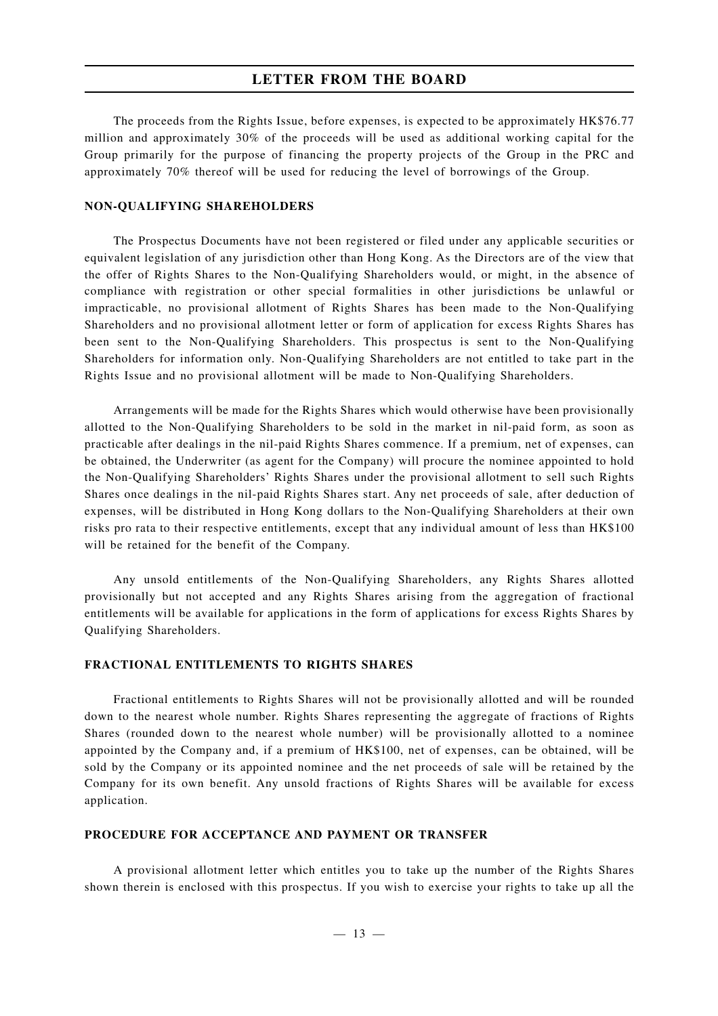The proceeds from the Rights Issue, before expenses, is expected to be approximately HK\$76.77 million and approximately 30% of the proceeds will be used as additional working capital for the Group primarily for the purpose of financing the property projects of the Group in the PRC and approximately 70% thereof will be used for reducing the level of borrowings of the Group.

## **NON-QUALIFYING SHAREHOLDERS**

The Prospectus Documents have not been registered or filed under any applicable securities or equivalent legislation of any jurisdiction other than Hong Kong. As the Directors are of the view that the offer of Rights Shares to the Non-Qualifying Shareholders would, or might, in the absence of compliance with registration or other special formalities in other jurisdictions be unlawful or impracticable, no provisional allotment of Rights Shares has been made to the Non-Qualifying Shareholders and no provisional allotment letter or form of application for excess Rights Shares has been sent to the Non-Qualifying Shareholders. This prospectus is sent to the Non-Qualifying Shareholders for information only. Non-Qualifying Shareholders are not entitled to take part in the Rights Issue and no provisional allotment will be made to Non-Qualifying Shareholders.

Arrangements will be made for the Rights Shares which would otherwise have been provisionally allotted to the Non-Qualifying Shareholders to be sold in the market in nil-paid form, as soon as practicable after dealings in the nil-paid Rights Shares commence. If a premium, net of expenses, can be obtained, the Underwriter (as agent for the Company) will procure the nominee appointed to hold the Non-Qualifying Shareholders' Rights Shares under the provisional allotment to sell such Rights Shares once dealings in the nil-paid Rights Shares start. Any net proceeds of sale, after deduction of expenses, will be distributed in Hong Kong dollars to the Non-Qualifying Shareholders at their own risks pro rata to their respective entitlements, except that any individual amount of less than HK\$100 will be retained for the benefit of the Company.

Any unsold entitlements of the Non-Qualifying Shareholders, any Rights Shares allotted provisionally but not accepted and any Rights Shares arising from the aggregation of fractional entitlements will be available for applications in the form of applications for excess Rights Shares by Qualifying Shareholders.

#### **FRACTIONAL ENTITLEMENTS TO RIGHTS SHARES**

Fractional entitlements to Rights Shares will not be provisionally allotted and will be rounded down to the nearest whole number. Rights Shares representing the aggregate of fractions of Rights Shares (rounded down to the nearest whole number) will be provisionally allotted to a nominee appointed by the Company and, if a premium of HK\$100, net of expenses, can be obtained, will be sold by the Company or its appointed nominee and the net proceeds of sale will be retained by the Company for its own benefit. Any unsold fractions of Rights Shares will be available for excess application.

#### **PROCEDURE FOR ACCEPTANCE AND PAYMENT OR TRANSFER**

A provisional allotment letter which entitles you to take up the number of the Rights Shares shown therein is enclosed with this prospectus. If you wish to exercise your rights to take up all the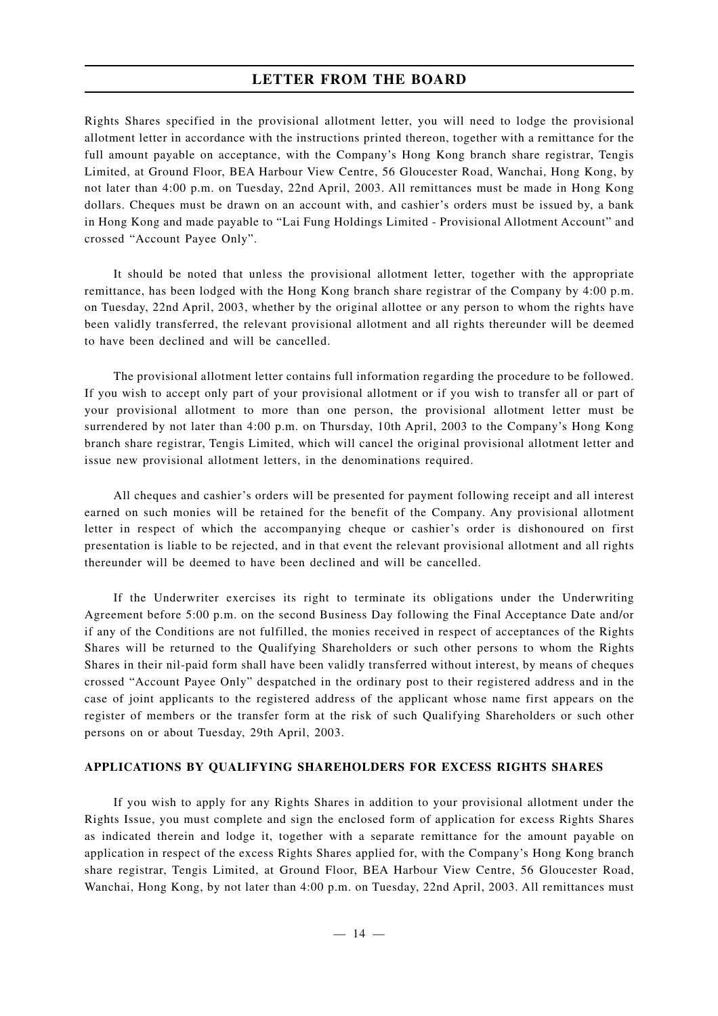Rights Shares specified in the provisional allotment letter, you will need to lodge the provisional allotment letter in accordance with the instructions printed thereon, together with a remittance for the full amount payable on acceptance, with the Company's Hong Kong branch share registrar, Tengis Limited, at Ground Floor, BEA Harbour View Centre, 56 Gloucester Road, Wanchai, Hong Kong, by not later than 4:00 p.m. on Tuesday, 22nd April, 2003. All remittances must be made in Hong Kong dollars. Cheques must be drawn on an account with, and cashier's orders must be issued by, a bank in Hong Kong and made payable to "Lai Fung Holdings Limited - Provisional Allotment Account" and crossed "Account Payee Only".

It should be noted that unless the provisional allotment letter, together with the appropriate remittance, has been lodged with the Hong Kong branch share registrar of the Company by 4:00 p.m. on Tuesday, 22nd April, 2003, whether by the original allottee or any person to whom the rights have been validly transferred, the relevant provisional allotment and all rights thereunder will be deemed to have been declined and will be cancelled.

The provisional allotment letter contains full information regarding the procedure to be followed. If you wish to accept only part of your provisional allotment or if you wish to transfer all or part of your provisional allotment to more than one person, the provisional allotment letter must be surrendered by not later than 4:00 p.m. on Thursday, 10th April, 2003 to the Company's Hong Kong branch share registrar, Tengis Limited, which will cancel the original provisional allotment letter and issue new provisional allotment letters, in the denominations required.

All cheques and cashier's orders will be presented for payment following receipt and all interest earned on such monies will be retained for the benefit of the Company. Any provisional allotment letter in respect of which the accompanying cheque or cashier's order is dishonoured on first presentation is liable to be rejected, and in that event the relevant provisional allotment and all rights thereunder will be deemed to have been declined and will be cancelled.

If the Underwriter exercises its right to terminate its obligations under the Underwriting Agreement before 5:00 p.m. on the second Business Day following the Final Acceptance Date and/or if any of the Conditions are not fulfilled, the monies received in respect of acceptances of the Rights Shares will be returned to the Qualifying Shareholders or such other persons to whom the Rights Shares in their nil-paid form shall have been validly transferred without interest, by means of cheques crossed "Account Payee Only" despatched in the ordinary post to their registered address and in the case of joint applicants to the registered address of the applicant whose name first appears on the register of members or the transfer form at the risk of such Qualifying Shareholders or such other persons on or about Tuesday, 29th April, 2003.

#### **APPLICATIONS BY QUALIFYING SHAREHOLDERS FOR EXCESS RIGHTS SHARES**

If you wish to apply for any Rights Shares in addition to your provisional allotment under the Rights Issue, you must complete and sign the enclosed form of application for excess Rights Shares as indicated therein and lodge it, together with a separate remittance for the amount payable on application in respect of the excess Rights Shares applied for, with the Company's Hong Kong branch share registrar, Tengis Limited, at Ground Floor, BEA Harbour View Centre, 56 Gloucester Road, Wanchai, Hong Kong, by not later than 4:00 p.m. on Tuesday, 22nd April, 2003. All remittances must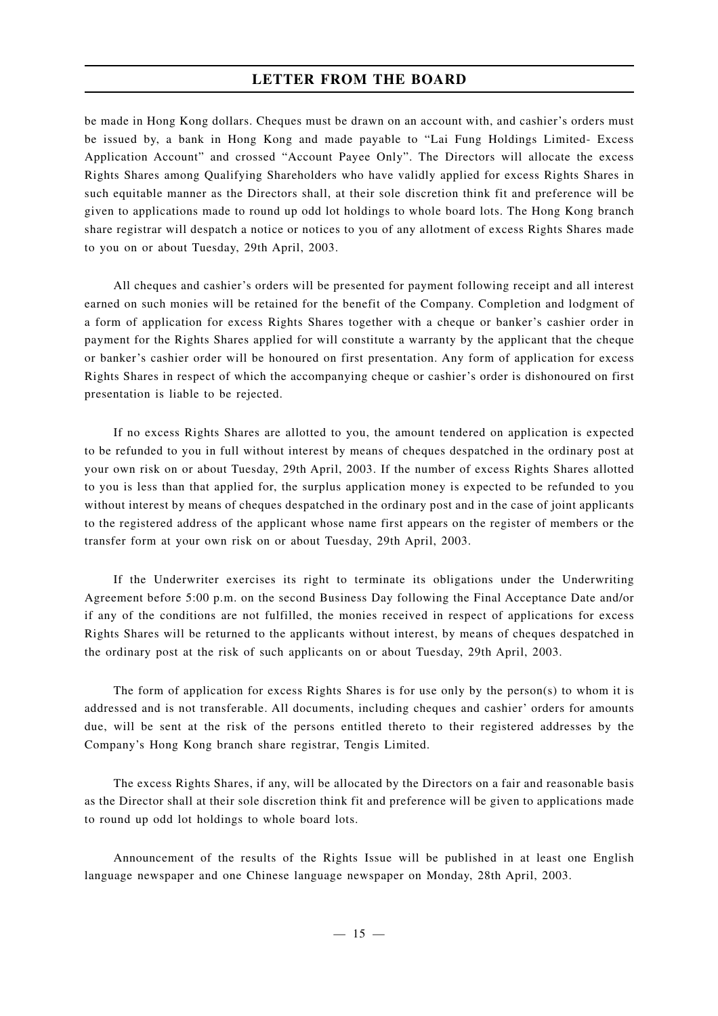be made in Hong Kong dollars. Cheques must be drawn on an account with, and cashier's orders must be issued by, a bank in Hong Kong and made payable to "Lai Fung Holdings Limited- Excess Application Account" and crossed "Account Payee Only". The Directors will allocate the excess Rights Shares among Qualifying Shareholders who have validly applied for excess Rights Shares in such equitable manner as the Directors shall, at their sole discretion think fit and preference will be given to applications made to round up odd lot holdings to whole board lots. The Hong Kong branch share registrar will despatch a notice or notices to you of any allotment of excess Rights Shares made to you on or about Tuesday, 29th April, 2003.

All cheques and cashier's orders will be presented for payment following receipt and all interest earned on such monies will be retained for the benefit of the Company. Completion and lodgment of a form of application for excess Rights Shares together with a cheque or banker's cashier order in payment for the Rights Shares applied for will constitute a warranty by the applicant that the cheque or banker's cashier order will be honoured on first presentation. Any form of application for excess Rights Shares in respect of which the accompanying cheque or cashier's order is dishonoured on first presentation is liable to be rejected.

If no excess Rights Shares are allotted to you, the amount tendered on application is expected to be refunded to you in full without interest by means of cheques despatched in the ordinary post at your own risk on or about Tuesday, 29th April, 2003. If the number of excess Rights Shares allotted to you is less than that applied for, the surplus application money is expected to be refunded to you without interest by means of cheques despatched in the ordinary post and in the case of joint applicants to the registered address of the applicant whose name first appears on the register of members or the transfer form at your own risk on or about Tuesday, 29th April, 2003.

If the Underwriter exercises its right to terminate its obligations under the Underwriting Agreement before 5:00 p.m. on the second Business Day following the Final Acceptance Date and/or if any of the conditions are not fulfilled, the monies received in respect of applications for excess Rights Shares will be returned to the applicants without interest, by means of cheques despatched in the ordinary post at the risk of such applicants on or about Tuesday, 29th April, 2003.

The form of application for excess Rights Shares is for use only by the person(s) to whom it is addressed and is not transferable. All documents, including cheques and cashier' orders for amounts due, will be sent at the risk of the persons entitled thereto to their registered addresses by the Company's Hong Kong branch share registrar, Tengis Limited.

The excess Rights Shares, if any, will be allocated by the Directors on a fair and reasonable basis as the Director shall at their sole discretion think fit and preference will be given to applications made to round up odd lot holdings to whole board lots.

Announcement of the results of the Rights Issue will be published in at least one English language newspaper and one Chinese language newspaper on Monday, 28th April, 2003.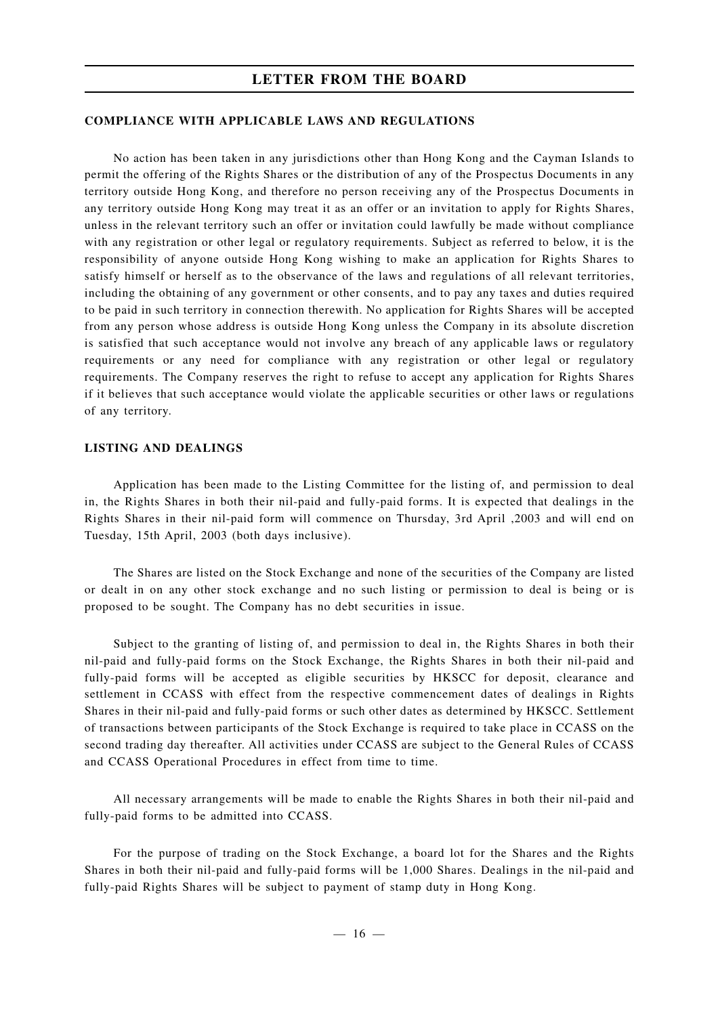#### **COMPLIANCE WITH APPLICABLE LAWS AND REGULATIONS**

No action has been taken in any jurisdictions other than Hong Kong and the Cayman Islands to permit the offering of the Rights Shares or the distribution of any of the Prospectus Documents in any territory outside Hong Kong, and therefore no person receiving any of the Prospectus Documents in any territory outside Hong Kong may treat it as an offer or an invitation to apply for Rights Shares, unless in the relevant territory such an offer or invitation could lawfully be made without compliance with any registration or other legal or regulatory requirements. Subject as referred to below, it is the responsibility of anyone outside Hong Kong wishing to make an application for Rights Shares to satisfy himself or herself as to the observance of the laws and regulations of all relevant territories, including the obtaining of any government or other consents, and to pay any taxes and duties required to be paid in such territory in connection therewith. No application for Rights Shares will be accepted from any person whose address is outside Hong Kong unless the Company in its absolute discretion is satisfied that such acceptance would not involve any breach of any applicable laws or regulatory requirements or any need for compliance with any registration or other legal or regulatory requirements. The Company reserves the right to refuse to accept any application for Rights Shares if it believes that such acceptance would violate the applicable securities or other laws or regulations of any territory.

### **LISTING AND DEALINGS**

Application has been made to the Listing Committee for the listing of, and permission to deal in, the Rights Shares in both their nil-paid and fully-paid forms. It is expected that dealings in the Rights Shares in their nil-paid form will commence on Thursday, 3rd April ,2003 and will end on Tuesday, 15th April, 2003 (both days inclusive).

The Shares are listed on the Stock Exchange and none of the securities of the Company are listed or dealt in on any other stock exchange and no such listing or permission to deal is being or is proposed to be sought. The Company has no debt securities in issue.

Subject to the granting of listing of, and permission to deal in, the Rights Shares in both their nil-paid and fully-paid forms on the Stock Exchange, the Rights Shares in both their nil-paid and fully-paid forms will be accepted as eligible securities by HKSCC for deposit, clearance and settlement in CCASS with effect from the respective commencement dates of dealings in Rights Shares in their nil-paid and fully-paid forms or such other dates as determined by HKSCC. Settlement of transactions between participants of the Stock Exchange is required to take place in CCASS on the second trading day thereafter. All activities under CCASS are subject to the General Rules of CCASS and CCASS Operational Procedures in effect from time to time.

All necessary arrangements will be made to enable the Rights Shares in both their nil-paid and fully-paid forms to be admitted into CCASS.

For the purpose of trading on the Stock Exchange, a board lot for the Shares and the Rights Shares in both their nil-paid and fully-paid forms will be 1,000 Shares. Dealings in the nil-paid and fully-paid Rights Shares will be subject to payment of stamp duty in Hong Kong.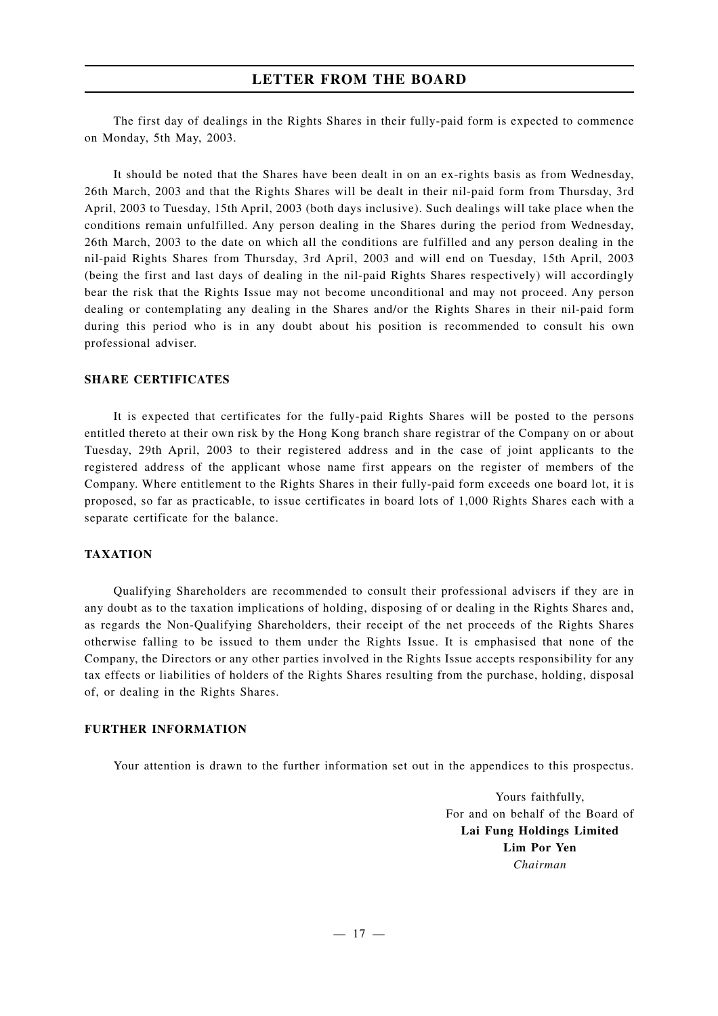The first day of dealings in the Rights Shares in their fully-paid form is expected to commence on Monday, 5th May, 2003.

It should be noted that the Shares have been dealt in on an ex-rights basis as from Wednesday, 26th March, 2003 and that the Rights Shares will be dealt in their nil-paid form from Thursday, 3rd April, 2003 to Tuesday, 15th April, 2003 (both days inclusive). Such dealings will take place when the conditions remain unfulfilled. Any person dealing in the Shares during the period from Wednesday, 26th March, 2003 to the date on which all the conditions are fulfilled and any person dealing in the nil-paid Rights Shares from Thursday, 3rd April, 2003 and will end on Tuesday, 15th April, 2003 (being the first and last days of dealing in the nil-paid Rights Shares respectively) will accordingly bear the risk that the Rights Issue may not become unconditional and may not proceed. Any person dealing or contemplating any dealing in the Shares and/or the Rights Shares in their nil-paid form during this period who is in any doubt about his position is recommended to consult his own professional adviser.

## **SHARE CERTIFICATES**

It is expected that certificates for the fully-paid Rights Shares will be posted to the persons entitled thereto at their own risk by the Hong Kong branch share registrar of the Company on or about Tuesday, 29th April, 2003 to their registered address and in the case of joint applicants to the registered address of the applicant whose name first appears on the register of members of the Company. Where entitlement to the Rights Shares in their fully-paid form exceeds one board lot, it is proposed, so far as practicable, to issue certificates in board lots of 1,000 Rights Shares each with a separate certificate for the balance.

## **TAXATION**

Qualifying Shareholders are recommended to consult their professional advisers if they are in any doubt as to the taxation implications of holding, disposing of or dealing in the Rights Shares and, as regards the Non-Qualifying Shareholders, their receipt of the net proceeds of the Rights Shares otherwise falling to be issued to them under the Rights Issue. It is emphasised that none of the Company, the Directors or any other parties involved in the Rights Issue accepts responsibility for any tax effects or liabilities of holders of the Rights Shares resulting from the purchase, holding, disposal of, or dealing in the Rights Shares.

### **FURTHER INFORMATION**

Your attention is drawn to the further information set out in the appendices to this prospectus.

Yours faithfully, For and on behalf of the Board of **Lai Fung Holdings Limited Lim Por Yen** *Chairman*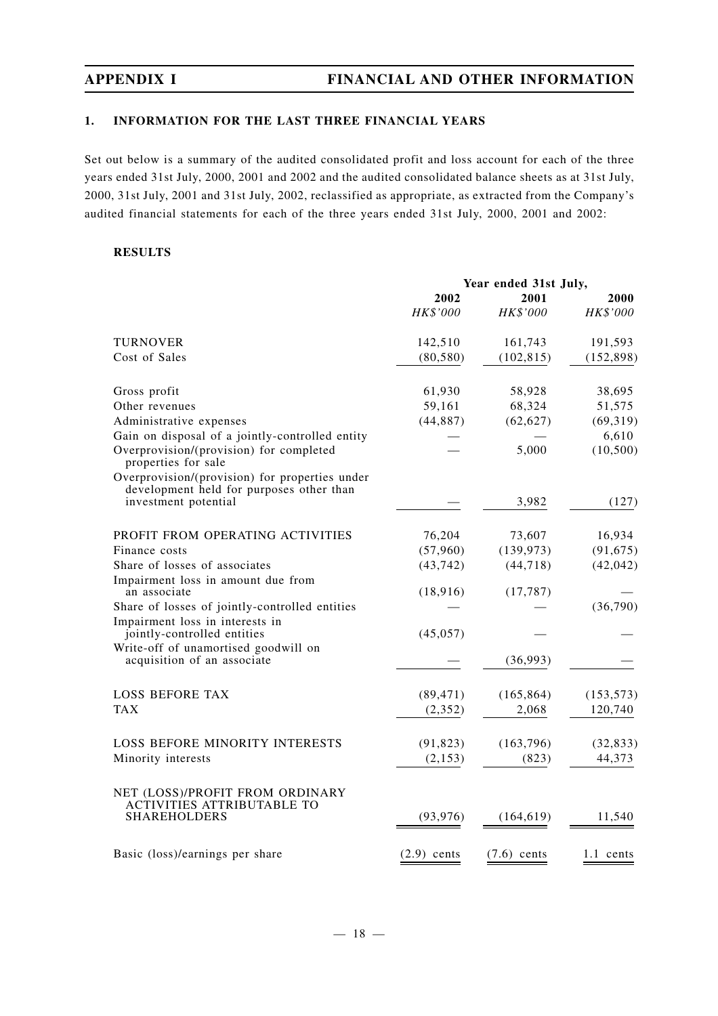## **1. INFORMATION FOR THE LAST THREE FINANCIAL YEARS**

Set out below is a summary of the audited consolidated profit and loss account for each of the three years ended 31st July, 2000, 2001 and 2002 and the audited consolidated balance sheets as at 31st July, 2000, 31st July, 2001 and 31st July, 2002, reclassified as appropriate, as extracted from the Company's audited financial statements for each of the three years ended 31st July, 2000, 2001 and 2002:

## **RESULTS**

| 2000       |
|------------|
| HK\$'000   |
| 191,593    |
| (152, 898) |
| 38,695     |
| 51,575     |
| (69, 319)  |
| 6,610      |
| (10, 500)  |
|            |
| (127)      |
| 16,934     |
| (91, 675)  |
| (42, 042)  |
|            |
| (36,790)   |
|            |
|            |
|            |
| (153, 573) |
| 120,740    |
|            |
| (32, 833)  |
| 44,373     |
|            |
| 11,540     |
|            |
|            |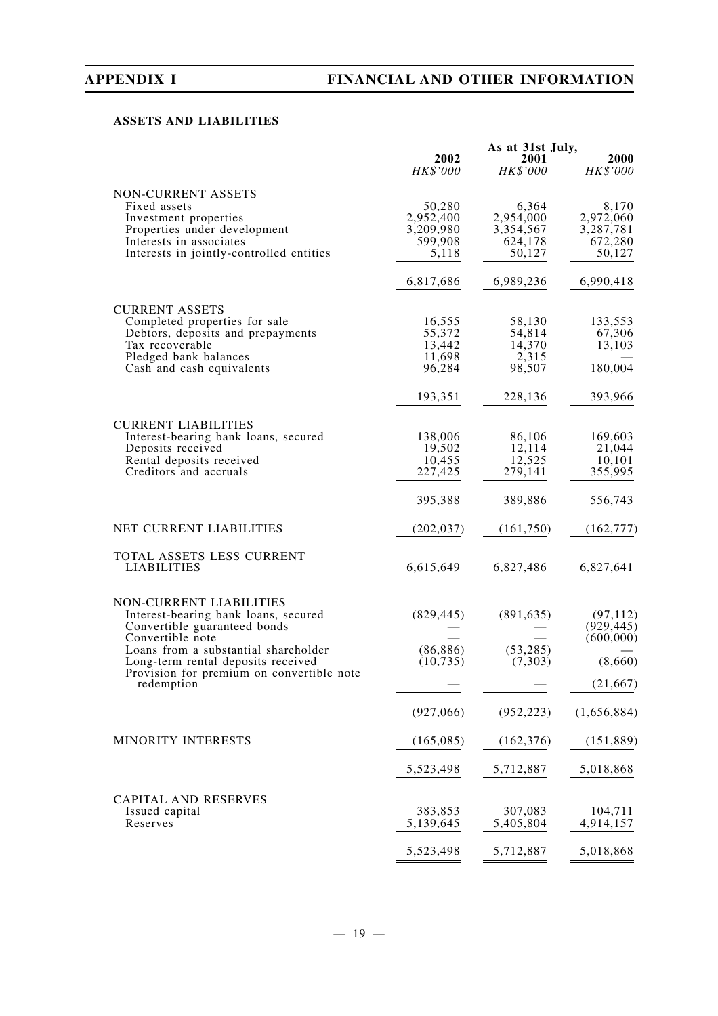## **ASSETS AND LIABILITIES**

|                                                                                 | As at 31st July,<br>2002<br>2001 |                   | 2000                 |
|---------------------------------------------------------------------------------|----------------------------------|-------------------|----------------------|
|                                                                                 | HK\$'000                         | HK\$'000          | HK\$'000             |
| NON-CURRENT ASSETS                                                              |                                  |                   |                      |
| Fixed assets                                                                    | 50,280                           | 6,364             | 8,170                |
| Investment properties                                                           | 2,952,400                        | 2,954,000         | 2,972,060            |
| Properties under development                                                    | 3,209,980<br>599,908             | 3,354,567         | 3,287,781<br>672,280 |
| Interests in associates<br>Interests in jointly-controlled entities             | 5,118                            | 624,178<br>50,127 | 50,127               |
|                                                                                 |                                  |                   |                      |
|                                                                                 | 6,817,686                        | 6,989,236         | 6,990,418            |
| <b>CURRENT ASSETS</b>                                                           |                                  |                   |                      |
| Completed properties for sale                                                   | 16,555                           | 58,130            | 133,553              |
| Debtors, deposits and prepayments                                               | 55,372                           | 54,814            | 67,306               |
| Tax recoverable                                                                 | 13,442                           | 14,370            | 13,103               |
| Pledged bank balances<br>Cash and cash equivalents                              | 11,698<br>96,284                 | 2,315<br>98,507   | 180,004              |
|                                                                                 | 193,351                          | 228,136           | 393,966              |
|                                                                                 |                                  |                   |                      |
| <b>CURRENT LIABILITIES</b>                                                      |                                  |                   |                      |
| Interest-bearing bank loans, secured<br>Deposits received                       | 138,006<br>19,502                | 86,106<br>12,114  | 169,603<br>21,044    |
| Rental deposits received                                                        | 10,455                           | 12,525            | 10,101               |
| Creditors and accruals                                                          | 227,425                          | 279,141           | 355,995              |
|                                                                                 | 395,388                          | 389,886           | 556,743              |
| NET CURRENT LIABILITIES                                                         | (202, 037)                       | (161,750)         | (162, 777)           |
| TOTAL ASSETS LESS CURRENT                                                       |                                  |                   |                      |
| <b>LIABILITIES</b>                                                              | 6,615,649                        | 6,827,486         | 6,827,641            |
| NON-CURRENT LIABILITIES                                                         |                                  |                   |                      |
| Interest-bearing bank loans, secured                                            | (829, 445)                       | (891, 635)        | (97, 112)            |
| Convertible guaranteed bonds                                                    |                                  |                   | (929, 445)           |
| Convertible note                                                                |                                  |                   | (600,000)            |
| Loans from a substantial shareholder                                            | (86, 886)                        | (53, 285)         |                      |
| Long-term rental deposits received<br>Provision for premium on convertible note | (10, 735)                        | (7,303)           | (8,660)              |
| redemption                                                                      |                                  |                   | (21, 667)            |
|                                                                                 | (927,066)                        | (952, 223)        | (1,656,884)          |
| <b>MINORITY INTERESTS</b>                                                       | (165, 085)                       | (162, 376)        | (151, 889)           |
|                                                                                 | 5,523,498                        | 5,712,887         | 5,018,868            |
|                                                                                 |                                  |                   |                      |
| <b>CAPITAL AND RESERVES</b><br>Issued capital                                   | 383,853                          | 307,083           | 104,711              |
| Reserves                                                                        | 5,139,645                        | 5,405,804         | 4,914,157            |
|                                                                                 |                                  |                   |                      |
|                                                                                 | 5,523,498                        | 5,712,887         | 5,018,868            |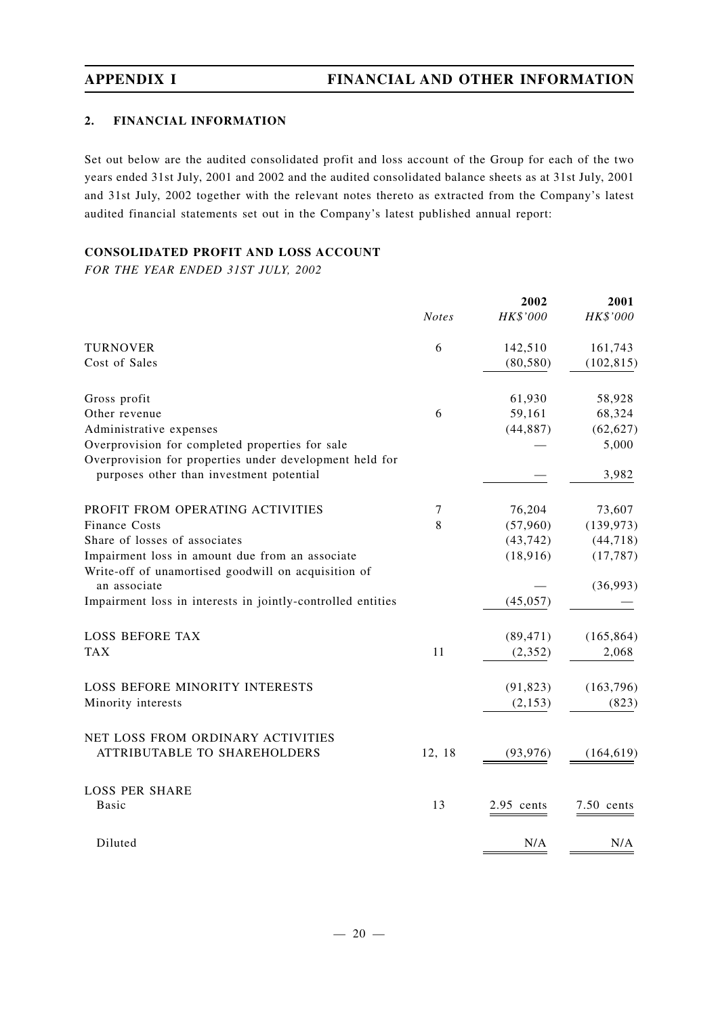## **2. FINANCIAL INFORMATION**

Set out below are the audited consolidated profit and loss account of the Group for each of the two years ended 31st July, 2001 and 2002 and the audited consolidated balance sheets as at 31st July, 2001 and 31st July, 2002 together with the relevant notes thereto as extracted from the Company's latest audited financial statements set out in the Company's latest published annual report:

## **CONSOLIDATED PROFIT AND LOSS ACCOUNT**

*FOR THE YEAR ENDED 31ST JULY, 2002*

|                                                                                                     |              | 2002       | 2001         |
|-----------------------------------------------------------------------------------------------------|--------------|------------|--------------|
|                                                                                                     | <b>Notes</b> | HK\$'000   | HK\$'000     |
| <b>TURNOVER</b>                                                                                     | 6            | 142,510    | 161,743      |
| Cost of Sales                                                                                       |              | (80, 580)  | (102, 815)   |
| Gross profit                                                                                        |              | 61,930     | 58,928       |
| Other revenue                                                                                       | 6            | 59,161     | 68,324       |
| Administrative expenses                                                                             |              | (44, 887)  | (62, 627)    |
| Overprovision for completed properties for sale                                                     |              |            | 5,000        |
| Overprovision for properties under development held for<br>purposes other than investment potential |              |            | 3,982        |
|                                                                                                     |              |            |              |
| PROFIT FROM OPERATING ACTIVITIES                                                                    | $\tau$       | 76,204     | 73,607       |
| <b>Finance Costs</b>                                                                                | 8            | (57,960)   | (139, 973)   |
| Share of losses of associates                                                                       |              | (43, 742)  | (44, 718)    |
| Impairment loss in amount due from an associate                                                     |              | (18,916)   | (17, 787)    |
| Write-off of unamortised goodwill on acquisition of<br>an associate                                 |              |            | (36,993)     |
| Impairment loss in interests in jointly-controlled entities                                         |              | (45, 057)  |              |
| <b>LOSS BEFORE TAX</b>                                                                              |              | (89, 471)  | (165, 864)   |
| <b>TAX</b>                                                                                          | 11           | (2, 352)   | 2,068        |
|                                                                                                     |              |            |              |
| <b>LOSS BEFORE MINORITY INTERESTS</b>                                                               |              | (91, 823)  | (163, 796)   |
| Minority interests                                                                                  |              | (2, 153)   | (823)        |
| NET LOSS FROM ORDINARY ACTIVITIES                                                                   |              |            |              |
| <b>ATTRIBUTABLE TO SHAREHOLDERS</b>                                                                 | 12, 18       | (93, 976)  | (164, 619)   |
| <b>LOSS PER SHARE</b>                                                                               |              |            |              |
| Basic                                                                                               | 13           | 2.95 cents | $7.50$ cents |
| Diluted                                                                                             |              | N/A        | N/A          |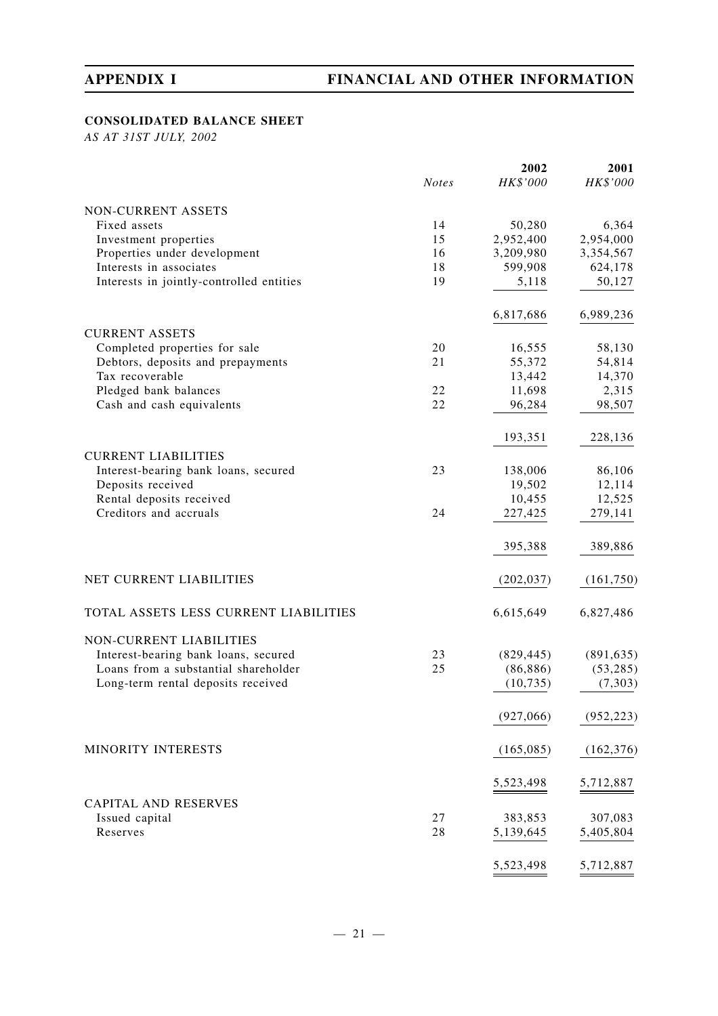## **CONSOLIDATED BALANCE SHEET**

*AS AT 31ST JULY, 2002*

|                                                                        |              | 2002       | 2001       |
|------------------------------------------------------------------------|--------------|------------|------------|
|                                                                        | <b>Notes</b> | HK\$'000   | HK\$'000   |
| NON-CURRENT ASSETS                                                     |              |            |            |
| Fixed assets                                                           | 14           | 50,280     | 6,364      |
| Investment properties                                                  | 15           | 2,952,400  | 2,954,000  |
| Properties under development                                           | 16           | 3,209,980  | 3,354,567  |
| Interests in associates                                                | 18           | 599,908    | 624,178    |
| Interests in jointly-controlled entities                               | 19           | 5,118      | 50,127     |
|                                                                        |              |            |            |
|                                                                        |              | 6,817,686  | 6,989,236  |
| <b>CURRENT ASSETS</b>                                                  |              |            |            |
| Completed properties for sale                                          | 20           | 16,555     | 58,130     |
| Debtors, deposits and prepayments                                      | 21           | 55,372     | 54,814     |
| Tax recoverable                                                        |              | 13,442     | 14,370     |
| Pledged bank balances                                                  | 22           | 11,698     | 2,315      |
| Cash and cash equivalents                                              | 22           | 96,284     | 98,507     |
|                                                                        |              | 193,351    | 228,136    |
| <b>CURRENT LIABILITIES</b>                                             |              |            |            |
| Interest-bearing bank loans, secured                                   | 23           | 138,006    | 86,106     |
| Deposits received                                                      |              | 19,502     | 12,114     |
| Rental deposits received                                               |              | 10,455     | 12,525     |
| Creditors and accruals                                                 | 24           | 227,425    | 279,141    |
|                                                                        |              |            |            |
|                                                                        |              | 395,388    | 389,886    |
| NET CURRENT LIABILITIES                                                |              | (202, 037) | (161, 750) |
| TOTAL ASSETS LESS CURRENT LIABILITIES                                  |              | 6,615,649  | 6,827,486  |
|                                                                        |              |            |            |
| <b>NON-CURRENT LIABILITIES</b><br>Interest-bearing bank loans, secured | 23           | (829, 445) | (891, 635) |
| Loans from a substantial shareholder                                   | 25           | (86, 886)  | (53, 285)  |
| Long-term rental deposits received                                     |              | (10, 735)  | (7, 303)   |
|                                                                        |              |            |            |
|                                                                        |              | (927,066)  | (952, 223) |
| MINORITY INTERESTS                                                     |              | (165, 085) | (162, 376) |
|                                                                        |              |            |            |
|                                                                        |              | 5,523,498  | 5,712,887  |
| <b>CAPITAL AND RESERVES</b><br>Issued capital                          | 27           | 383,853    | 307,083    |
| Reserves                                                               | 28           | 5,139,645  | 5,405,804  |
|                                                                        |              |            |            |
|                                                                        |              | 5,523,498  | 5,712,887  |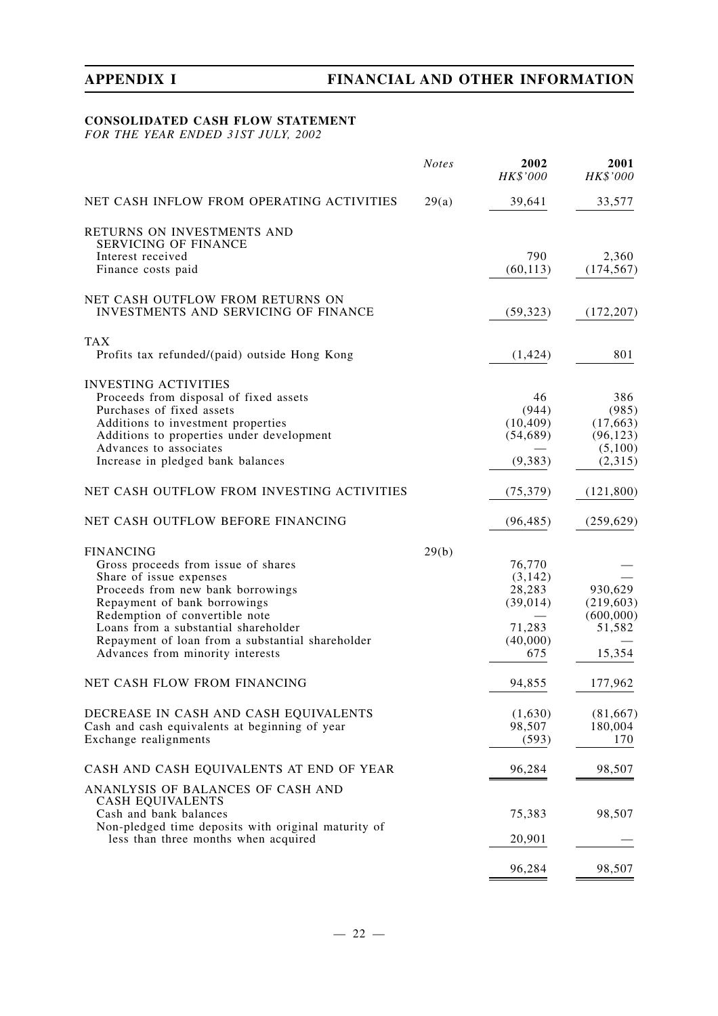## **CONSOLIDATED CASH FLOW STATEMENT**

*FOR THE YEAR ENDED 31ST JULY, 2002*

|                                                                                             | <b>Notes</b> | 2002<br>HK\$'000 | 2001<br>HK\$'000     |
|---------------------------------------------------------------------------------------------|--------------|------------------|----------------------|
| NET CASH INFLOW FROM OPERATING ACTIVITIES                                                   | 29(a)        | 39,641           | 33,577               |
| RETURNS ON INVESTMENTS AND<br><b>SERVICING OF FINANCE</b>                                   |              |                  |                      |
| Interest received                                                                           |              | 790              | 2,360                |
| Finance costs paid                                                                          |              | (60, 113)        | (174, 567)           |
| NET CASH OUTFLOW FROM RETURNS ON<br>INVESTMENTS AND SERVICING OF FINANCE                    |              | (59, 323)        | (172, 207)           |
| <b>TAX</b><br>Profits tax refunded/(paid) outside Hong Kong                                 |              | (1, 424)         | 801                  |
|                                                                                             |              |                  |                      |
| <b>INVESTING ACTIVITIES</b>                                                                 |              |                  |                      |
| Proceeds from disposal of fixed assets                                                      |              | 46               | 386                  |
| Purchases of fixed assets                                                                   |              | (944)            | (985)                |
| Additions to investment properties                                                          |              | (10, 409)        | (17, 663)            |
| Additions to properties under development<br>Advances to associates                         |              | (54, 689)        | (96, 123)<br>(5,100) |
| Increase in pledged bank balances                                                           |              | (9, 383)         | (2,315)              |
| NET CASH OUTFLOW FROM INVESTING ACTIVITIES                                                  |              | (75, 379)        | (121, 800)           |
| NET CASH OUTFLOW BEFORE FINANCING                                                           |              | (96, 485)        | (259, 629)           |
| <b>FINANCING</b>                                                                            | 29(b)        |                  |                      |
| Gross proceeds from issue of shares                                                         |              | 76,770           |                      |
| Share of issue expenses                                                                     |              | (3, 142)         |                      |
| Proceeds from new bank borrowings                                                           |              | 28,283           | 930,629              |
| Repayment of bank borrowings                                                                |              | (39, 014)        | (219, 603)           |
| Redemption of convertible note                                                              |              |                  | (600,000)            |
| Loans from a substantial shareholder                                                        |              | 71,283           | 51,582               |
| Repayment of loan from a substantial shareholder                                            |              | (40,000)         |                      |
| Advances from minority interests                                                            |              | 675              | 15,354               |
| NET CASH FLOW FROM FINANCING                                                                |              | 94,855           | 177,962              |
| DECREASE IN CASH AND CASH EQUIVALENTS                                                       |              | (1,630)          | (81, 667)            |
| Cash and cash equivalents at beginning of year                                              |              | 98,507           | 180,004              |
| Exchange realignments                                                                       |              | (593)            | 170                  |
| CASH AND CASH EQUIVALENTS AT END OF YEAR                                                    |              | 96,284           | 98,507               |
| ANANLYSIS OF BALANCES OF CASH AND                                                           |              |                  |                      |
| <b>CASH EQUIVALENTS</b><br>Cash and bank balances                                           |              | 75,383           | 98,507               |
| Non-pledged time deposits with original maturity of<br>less than three months when acquired |              | 20,901           |                      |
|                                                                                             |              |                  |                      |
|                                                                                             |              | 96,284           | 98,507               |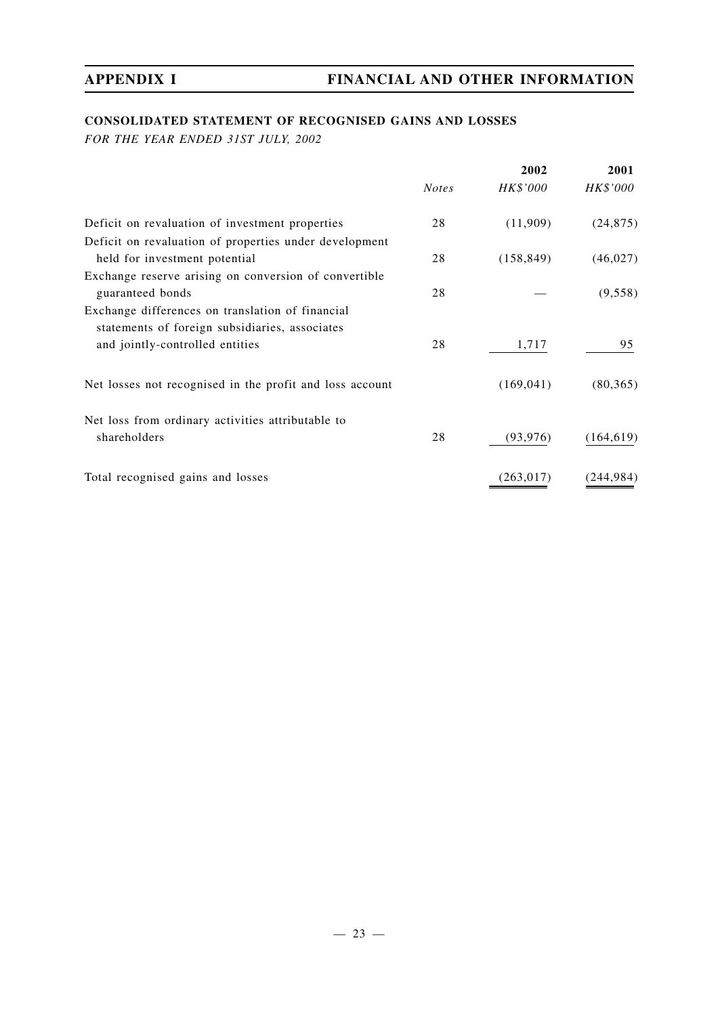## **CONSOLIDATED STATEMENT OF RECOGNISED GAINS AND LOSSES**

*FOR THE YEAR ENDED 31ST JULY, 2002*

|                                                          |              | 2002            | 2001       |
|----------------------------------------------------------|--------------|-----------------|------------|
|                                                          | <b>Notes</b> | <i>HK\$'000</i> | HK\$'000   |
| Deficit on revaluation of investment properties          | 28           | (11,909)        | (24, 875)  |
| Deficit on revaluation of properties under development   |              |                 |            |
| held for investment potential                            | 28           | (158, 849)      | (46, 027)  |
| Exchange reserve arising on conversion of convertible    |              |                 |            |
| guaranteed bonds                                         | 28           |                 | (9,558)    |
| Exchange differences on translation of financial         |              |                 |            |
| statements of foreign subsidiaries, associates           |              |                 |            |
| and jointly-controlled entities                          | 28           | 1,717           | 95         |
| Net losses not recognised in the profit and loss account |              | (169, 041)      | (80, 365)  |
| Net loss from ordinary activities attributable to        |              |                 |            |
| shareholders                                             | 28           | (93, 976)       | (164, 619) |
| Total recognised gains and losses                        |              | (263, 017)      | (244, 984) |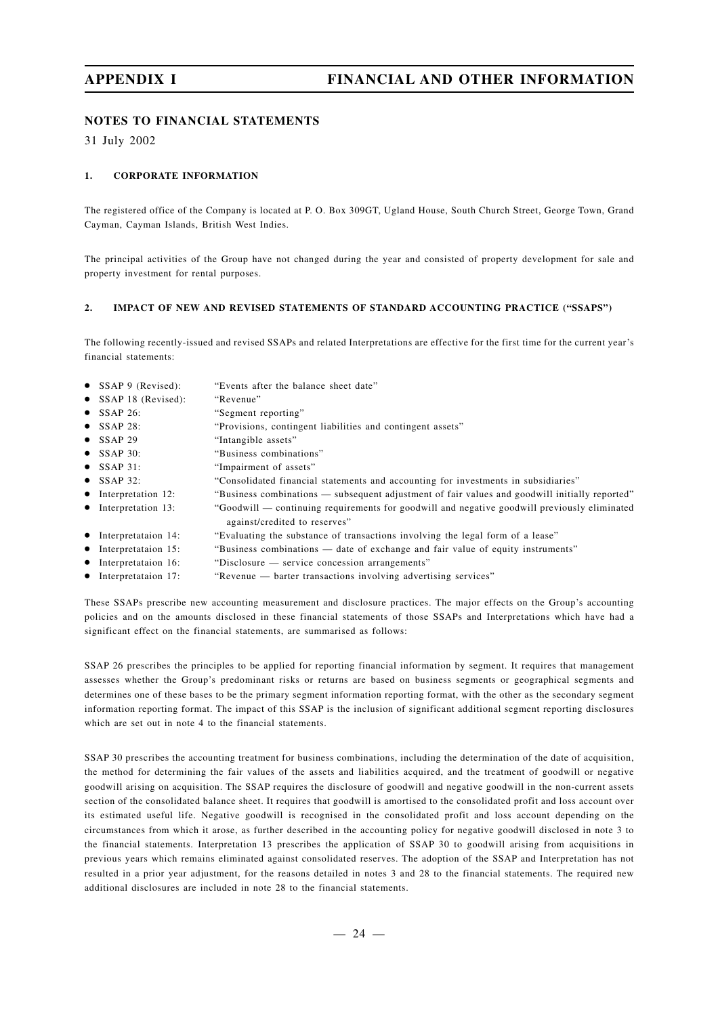## **NOTES TO FINANCIAL STATEMENTS**

31 July 2002

#### **1. CORPORATE INFORMATION**

The registered office of the Company is located at P. O. Box 309GT, Ugland House, South Church Street, George Town, Grand Cayman, Cayman Islands, British West Indies.

The principal activities of the Group have not changed during the year and consisted of property development for sale and property investment for rental purposes.

#### **2. IMPACT OF NEW AND REVISED STATEMENTS OF STANDARD ACCOUNTING PRACTICE ("SSAPS")**

The following recently-issued and revised SSAPs and related Interpretations are effective for the first time for the current year's financial statements:

- SSAP 9 (Revised): "Events after the balance sheet date"
- SSAP 18 (Revised): "Revenue"
- SSAP 26: "Segment reporting"
- SSAP 28: "Provisions, contingent liabilities and contingent assets"
- SSAP 29 "Intangible assets"
- SSAP 30: "Business combinations"
- SSAP 31: "Impairment of assets"
- SSAP 32: "Consolidated financial statements and accounting for investments in subsidiaries"
- Interpretation 12: "Business combinations subsequent adjustment of fair values and goodwill initially reported"
- Interpretation 13: "Goodwill continuing requirements for goodwill and negative goodwill previously eliminated against/credited to reserves"
- Interpretataion 14: "Evaluating the substance of transactions involving the legal form of a lease"
- Interpretataion 15: "Business combinations date of exchange and fair value of equity instruments"
- Interpretataion 16: "Disclosure service concession arrangements"
- Interpretataion 17: "Revenue barter transactions involving advertising services"

These SSAPs prescribe new accounting measurement and disclosure practices. The major effects on the Group's accounting policies and on the amounts disclosed in these financial statements of those SSAPs and Interpretations which have had a significant effect on the financial statements, are summarised as follows:

SSAP 26 prescribes the principles to be applied for reporting financial information by segment. It requires that management assesses whether the Group's predominant risks or returns are based on business segments or geographical segments and determines one of these bases to be the primary segment information reporting format, with the other as the secondary segment information reporting format. The impact of this SSAP is the inclusion of significant additional segment reporting disclosures which are set out in note 4 to the financial statements.

SSAP 30 prescribes the accounting treatment for business combinations, including the determination of the date of acquisition, the method for determining the fair values of the assets and liabilities acquired, and the treatment of goodwill or negative goodwill arising on acquisition. The SSAP requires the disclosure of goodwill and negative goodwill in the non-current assets section of the consolidated balance sheet. It requires that goodwill is amortised to the consolidated profit and loss account over its estimated useful life. Negative goodwill is recognised in the consolidated profit and loss account depending on the circumstances from which it arose, as further described in the accounting policy for negative goodwill disclosed in note 3 to the financial statements. Interpretation 13 prescribes the application of SSAP 30 to goodwill arising from acquisitions in previous years which remains eliminated against consolidated reserves. The adoption of the SSAP and Interpretation has not resulted in a prior year adjustment, for the reasons detailed in notes 3 and 28 to the financial statements. The required new additional disclosures are included in note 28 to the financial statements.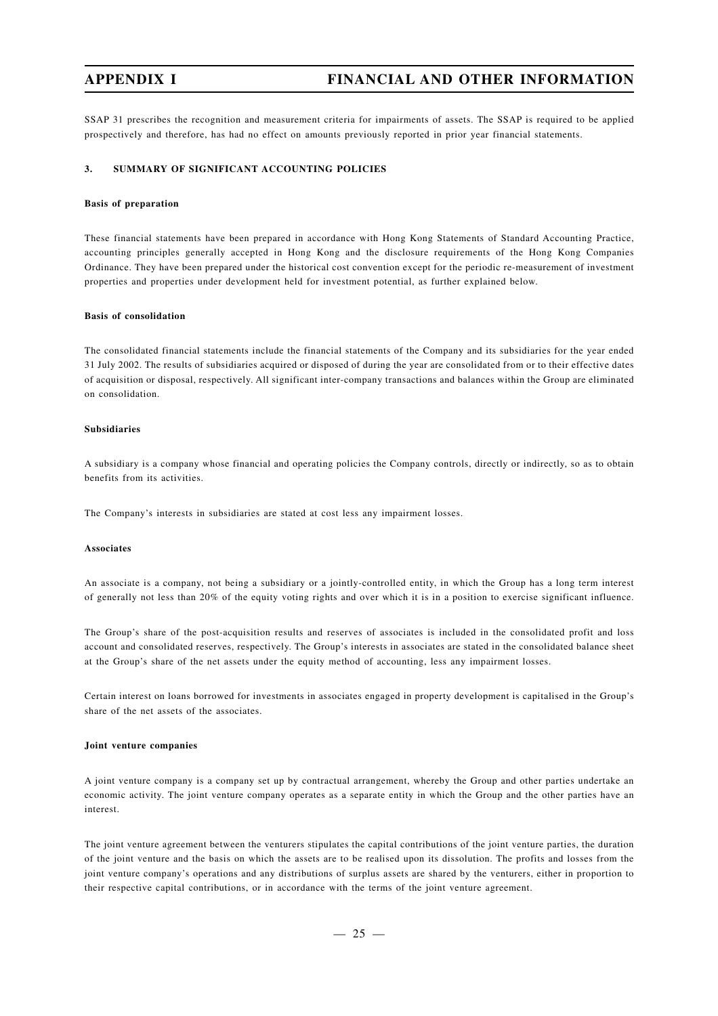SSAP 31 prescribes the recognition and measurement criteria for impairments of assets. The SSAP is required to be applied prospectively and therefore, has had no effect on amounts previously reported in prior year financial statements.

#### **3. SUMMARY OF SIGNIFICANT ACCOUNTING POLICIES**

#### **Basis of preparation**

These financial statements have been prepared in accordance with Hong Kong Statements of Standard Accounting Practice, accounting principles generally accepted in Hong Kong and the disclosure requirements of the Hong Kong Companies Ordinance. They have been prepared under the historical cost convention except for the periodic re-measurement of investment properties and properties under development held for investment potential, as further explained below.

#### **Basis of consolidation**

The consolidated financial statements include the financial statements of the Company and its subsidiaries for the year ended 31 July 2002. The results of subsidiaries acquired or disposed of during the year are consolidated from or to their effective dates of acquisition or disposal, respectively. All significant inter-company transactions and balances within the Group are eliminated on consolidation.

#### **Subsidiaries**

A subsidiary is a company whose financial and operating policies the Company controls, directly or indirectly, so as to obtain benefits from its activities.

The Company's interests in subsidiaries are stated at cost less any impairment losses.

#### **Associates**

An associate is a company, not being a subsidiary or a jointly-controlled entity, in which the Group has a long term interest of generally not less than 20% of the equity voting rights and over which it is in a position to exercise significant influence.

The Group's share of the post-acquisition results and reserves of associates is included in the consolidated profit and loss account and consolidated reserves, respectively. The Group's interests in associates are stated in the consolidated balance sheet at the Group's share of the net assets under the equity method of accounting, less any impairment losses.

Certain interest on loans borrowed for investments in associates engaged in property development is capitalised in the Group's share of the net assets of the associates.

#### **Joint venture companies**

A joint venture company is a company set up by contractual arrangement, whereby the Group and other parties undertake an economic activity. The joint venture company operates as a separate entity in which the Group and the other parties have an interest.

The joint venture agreement between the venturers stipulates the capital contributions of the joint venture parties, the duration of the joint venture and the basis on which the assets are to be realised upon its dissolution. The profits and losses from the joint venture company's operations and any distributions of surplus assets are shared by the venturers, either in proportion to their respective capital contributions, or in accordance with the terms of the joint venture agreement.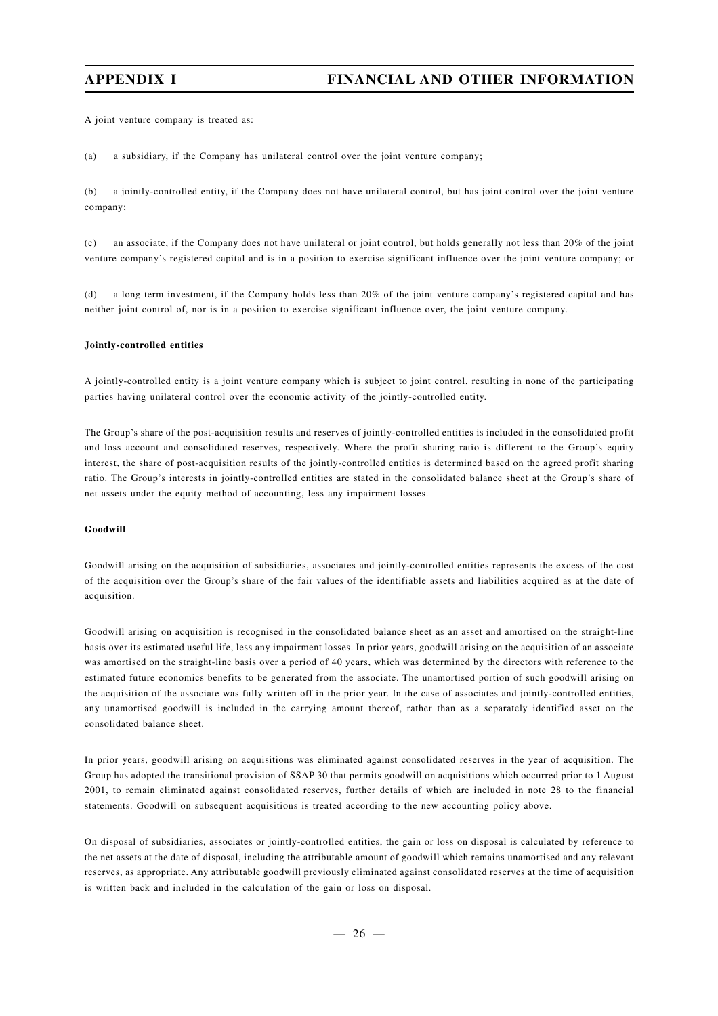A joint venture company is treated as:

(a) a subsidiary, if the Company has unilateral control over the joint venture company;

(b) a jointly-controlled entity, if the Company does not have unilateral control, but has joint control over the joint venture company;

(c) an associate, if the Company does not have unilateral or joint control, but holds generally not less than 20% of the joint venture company's registered capital and is in a position to exercise significant influence over the joint venture company; or

(d) a long term investment, if the Company holds less than 20% of the joint venture company's registered capital and has neither joint control of, nor is in a position to exercise significant influence over, the joint venture company.

#### **Jointly-controlled entities**

A jointly-controlled entity is a joint venture company which is subject to joint control, resulting in none of the participating parties having unilateral control over the economic activity of the jointly-controlled entity.

The Group's share of the post-acquisition results and reserves of jointly-controlled entities is included in the consolidated profit and loss account and consolidated reserves, respectively. Where the profit sharing ratio is different to the Group's equity interest, the share of post-acquisition results of the jointly-controlled entities is determined based on the agreed profit sharing ratio. The Group's interests in jointly-controlled entities are stated in the consolidated balance sheet at the Group's share of net assets under the equity method of accounting, less any impairment losses.

#### **Goodwill**

Goodwill arising on the acquisition of subsidiaries, associates and jointly-controlled entities represents the excess of the cost of the acquisition over the Group's share of the fair values of the identifiable assets and liabilities acquired as at the date of acquisition.

Goodwill arising on acquisition is recognised in the consolidated balance sheet as an asset and amortised on the straight-line basis over its estimated useful life, less any impairment losses. In prior years, goodwill arising on the acquisition of an associate was amortised on the straight-line basis over a period of 40 years, which was determined by the directors with reference to the estimated future economics benefits to be generated from the associate. The unamortised portion of such goodwill arising on the acquisition of the associate was fully written off in the prior year. In the case of associates and jointly-controlled entities, any unamortised goodwill is included in the carrying amount thereof, rather than as a separately identified asset on the consolidated balance sheet.

In prior years, goodwill arising on acquisitions was eliminated against consolidated reserves in the year of acquisition. The Group has adopted the transitional provision of SSAP 30 that permits goodwill on acquisitions which occurred prior to 1 August 2001, to remain eliminated against consolidated reserves, further details of which are included in note 28 to the financial statements. Goodwill on subsequent acquisitions is treated according to the new accounting policy above.

On disposal of subsidiaries, associates or jointly-controlled entities, the gain or loss on disposal is calculated by reference to the net assets at the date of disposal, including the attributable amount of goodwill which remains unamortised and any relevant reserves, as appropriate. Any attributable goodwill previously eliminated against consolidated reserves at the time of acquisition is written back and included in the calculation of the gain or loss on disposal.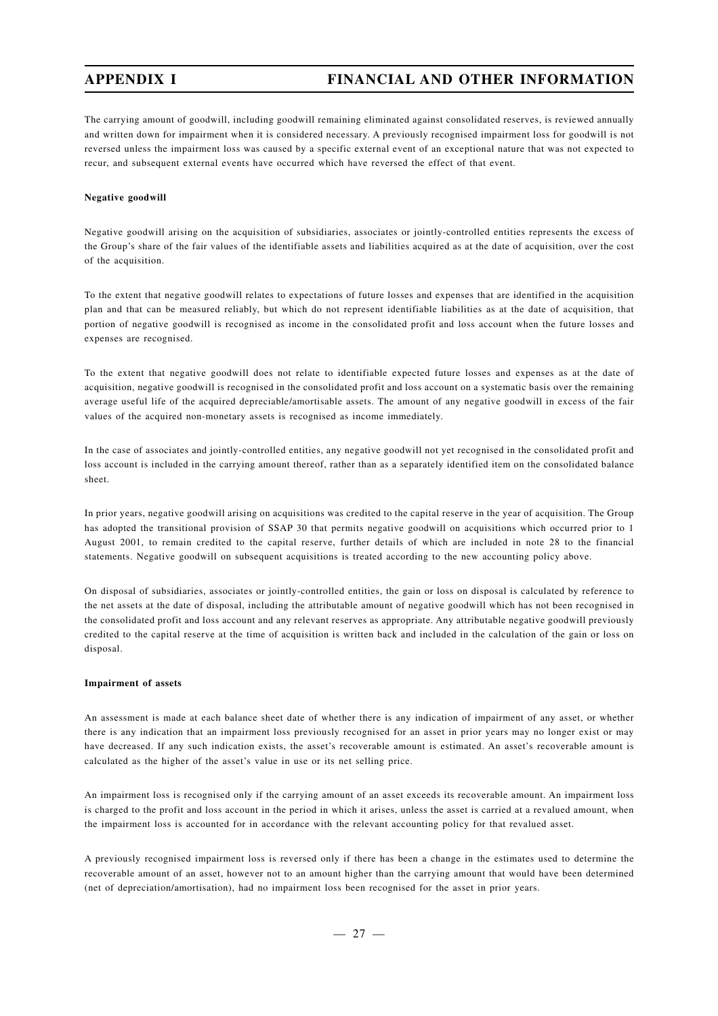The carrying amount of goodwill, including goodwill remaining eliminated against consolidated reserves, is reviewed annually and written down for impairment when it is considered necessary. A previously recognised impairment loss for goodwill is not reversed unless the impairment loss was caused by a specific external event of an exceptional nature that was not expected to recur, and subsequent external events have occurred which have reversed the effect of that event.

#### **Negative goodwill**

Negative goodwill arising on the acquisition of subsidiaries, associates or jointly-controlled entities represents the excess of the Group's share of the fair values of the identifiable assets and liabilities acquired as at the date of acquisition, over the cost of the acquisition.

To the extent that negative goodwill relates to expectations of future losses and expenses that are identified in the acquisition plan and that can be measured reliably, but which do not represent identifiable liabilities as at the date of acquisition, that portion of negative goodwill is recognised as income in the consolidated profit and loss account when the future losses and expenses are recognised.

To the extent that negative goodwill does not relate to identifiable expected future losses and expenses as at the date of acquisition, negative goodwill is recognised in the consolidated profit and loss account on a systematic basis over the remaining average useful life of the acquired depreciable/amortisable assets. The amount of any negative goodwill in excess of the fair values of the acquired non-monetary assets is recognised as income immediately.

In the case of associates and jointly-controlled entities, any negative goodwill not yet recognised in the consolidated profit and loss account is included in the carrying amount thereof, rather than as a separately identified item on the consolidated balance sheet.

In prior years, negative goodwill arising on acquisitions was credited to the capital reserve in the year of acquisition. The Group has adopted the transitional provision of SSAP 30 that permits negative goodwill on acquisitions which occurred prior to 1 August 2001, to remain credited to the capital reserve, further details of which are included in note 28 to the financial statements. Negative goodwill on subsequent acquisitions is treated according to the new accounting policy above.

On disposal of subsidiaries, associates or jointly-controlled entities, the gain or loss on disposal is calculated by reference to the net assets at the date of disposal, including the attributable amount of negative goodwill which has not been recognised in the consolidated profit and loss account and any relevant reserves as appropriate. Any attributable negative goodwill previously credited to the capital reserve at the time of acquisition is written back and included in the calculation of the gain or loss on disposal.

#### **Impairment of assets**

An assessment is made at each balance sheet date of whether there is any indication of impairment of any asset, or whether there is any indication that an impairment loss previously recognised for an asset in prior years may no longer exist or may have decreased. If any such indication exists, the asset's recoverable amount is estimated. An asset's recoverable amount is calculated as the higher of the asset's value in use or its net selling price.

An impairment loss is recognised only if the carrying amount of an asset exceeds its recoverable amount. An impairment loss is charged to the profit and loss account in the period in which it arises, unless the asset is carried at a revalued amount, when the impairment loss is accounted for in accordance with the relevant accounting policy for that revalued asset.

A previously recognised impairment loss is reversed only if there has been a change in the estimates used to determine the recoverable amount of an asset, however not to an amount higher than the carrying amount that would have been determined (net of depreciation/amortisation), had no impairment loss been recognised for the asset in prior years.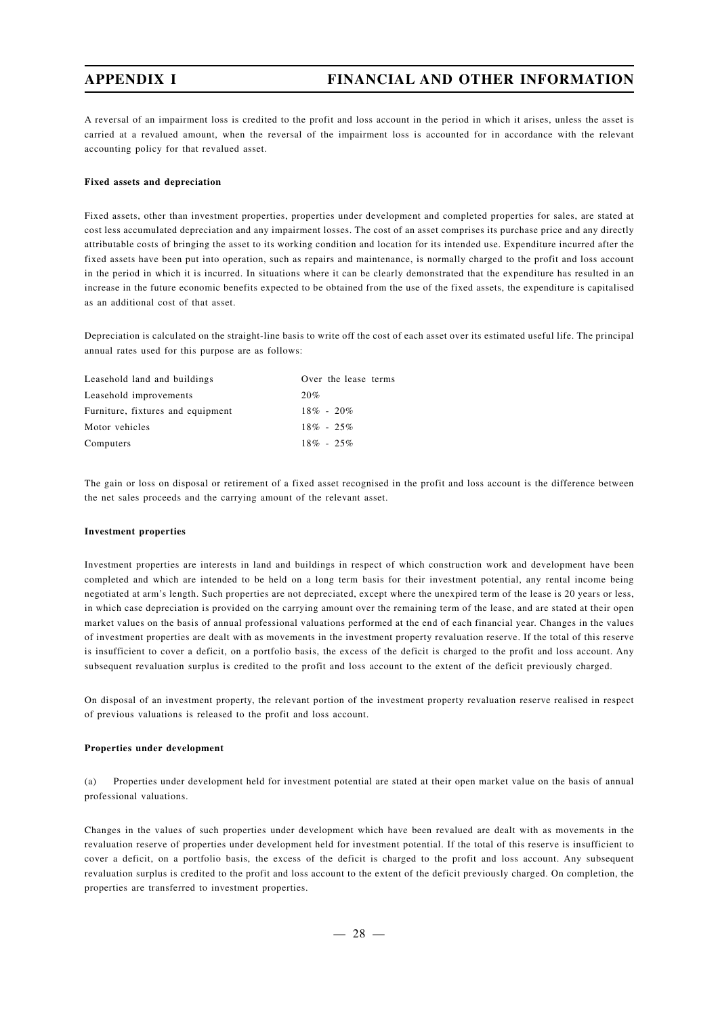A reversal of an impairment loss is credited to the profit and loss account in the period in which it arises, unless the asset is carried at a revalued amount, when the reversal of the impairment loss is accounted for in accordance with the relevant accounting policy for that revalued asset.

#### **Fixed assets and depreciation**

Fixed assets, other than investment properties, properties under development and completed properties for sales, are stated at cost less accumulated depreciation and any impairment losses. The cost of an asset comprises its purchase price and any directly attributable costs of bringing the asset to its working condition and location for its intended use. Expenditure incurred after the fixed assets have been put into operation, such as repairs and maintenance, is normally charged to the profit and loss account in the period in which it is incurred. In situations where it can be clearly demonstrated that the expenditure has resulted in an increase in the future economic benefits expected to be obtained from the use of the fixed assets, the expenditure is capitalised as an additional cost of that asset.

Depreciation is calculated on the straight-line basis to write off the cost of each asset over its estimated useful life. The principal annual rates used for this purpose are as follows:

| Leasehold land and buildings      | Over the lease terms |
|-----------------------------------|----------------------|
| Leasehold improvements            | 20%                  |
| Furniture, fixtures and equipment | $18\% - 20\%$        |
| Motor vehicles                    | $18\% - 25\%$        |
| Computers                         | $18\% - 25\%$        |

The gain or loss on disposal or retirement of a fixed asset recognised in the profit and loss account is the difference between the net sales proceeds and the carrying amount of the relevant asset.

#### **Investment properties**

Investment properties are interests in land and buildings in respect of which construction work and development have been completed and which are intended to be held on a long term basis for their investment potential, any rental income being negotiated at arm's length. Such properties are not depreciated, except where the unexpired term of the lease is 20 years or less, in which case depreciation is provided on the carrying amount over the remaining term of the lease, and are stated at their open market values on the basis of annual professional valuations performed at the end of each financial year. Changes in the values of investment properties are dealt with as movements in the investment property revaluation reserve. If the total of this reserve is insufficient to cover a deficit, on a portfolio basis, the excess of the deficit is charged to the profit and loss account. Any subsequent revaluation surplus is credited to the profit and loss account to the extent of the deficit previously charged.

On disposal of an investment property, the relevant portion of the investment property revaluation reserve realised in respect of previous valuations is released to the profit and loss account.

#### **Properties under development**

(a) Properties under development held for investment potential are stated at their open market value on the basis of annual professional valuations.

Changes in the values of such properties under development which have been revalued are dealt with as movements in the revaluation reserve of properties under development held for investment potential. If the total of this reserve is insufficient to cover a deficit, on a portfolio basis, the excess of the deficit is charged to the profit and loss account. Any subsequent revaluation surplus is credited to the profit and loss account to the extent of the deficit previously charged. On completion, the properties are transferred to investment properties.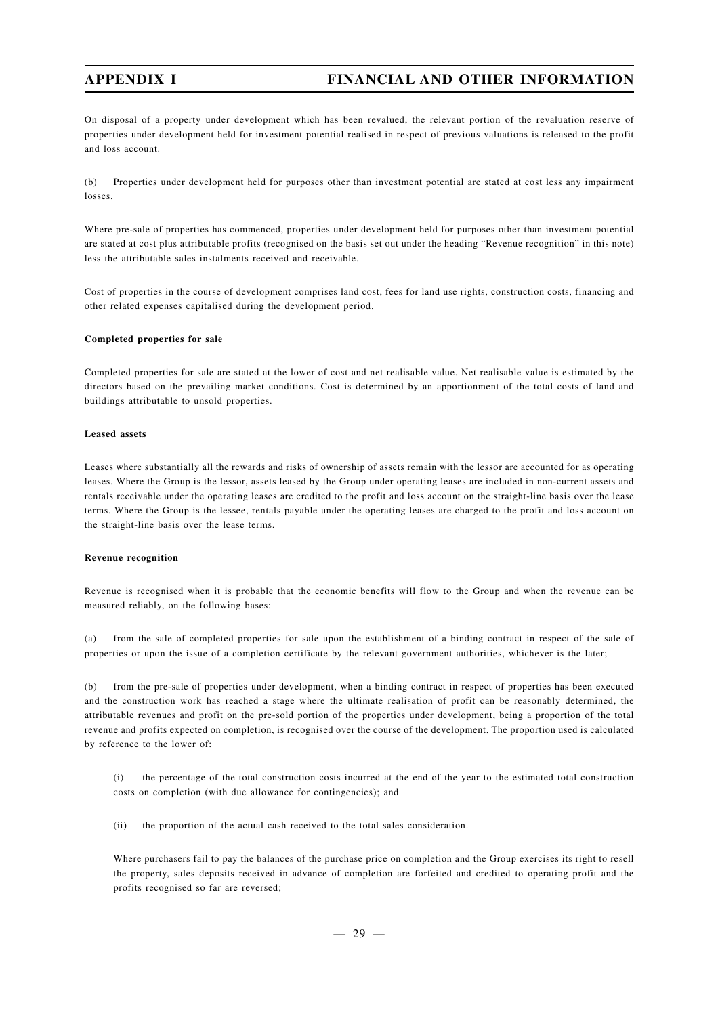On disposal of a property under development which has been revalued, the relevant portion of the revaluation reserve of properties under development held for investment potential realised in respect of previous valuations is released to the profit and loss account.

(b) Properties under development held for purposes other than investment potential are stated at cost less any impairment losses.

Where pre-sale of properties has commenced, properties under development held for purposes other than investment potential are stated at cost plus attributable profits (recognised on the basis set out under the heading "Revenue recognition" in this note) less the attributable sales instalments received and receivable.

Cost of properties in the course of development comprises land cost, fees for land use rights, construction costs, financing and other related expenses capitalised during the development period.

#### **Completed properties for sale**

Completed properties for sale are stated at the lower of cost and net realisable value. Net realisable value is estimated by the directors based on the prevailing market conditions. Cost is determined by an apportionment of the total costs of land and buildings attributable to unsold properties.

#### **Leased assets**

Leases where substantially all the rewards and risks of ownership of assets remain with the lessor are accounted for as operating leases. Where the Group is the lessor, assets leased by the Group under operating leases are included in non-current assets and rentals receivable under the operating leases are credited to the profit and loss account on the straight-line basis over the lease terms. Where the Group is the lessee, rentals payable under the operating leases are charged to the profit and loss account on the straight-line basis over the lease terms.

#### **Revenue recognition**

Revenue is recognised when it is probable that the economic benefits will flow to the Group and when the revenue can be measured reliably, on the following bases:

(a) from the sale of completed properties for sale upon the establishment of a binding contract in respect of the sale of properties or upon the issue of a completion certificate by the relevant government authorities, whichever is the later;

(b) from the pre-sale of properties under development, when a binding contract in respect of properties has been executed and the construction work has reached a stage where the ultimate realisation of profit can be reasonably determined, the attributable revenues and profit on the pre-sold portion of the properties under development, being a proportion of the total revenue and profits expected on completion, is recognised over the course of the development. The proportion used is calculated by reference to the lower of:

(i) the percentage of the total construction costs incurred at the end of the year to the estimated total construction costs on completion (with due allowance for contingencies); and

(ii) the proportion of the actual cash received to the total sales consideration.

Where purchasers fail to pay the balances of the purchase price on completion and the Group exercises its right to resell the property, sales deposits received in advance of completion are forfeited and credited to operating profit and the profits recognised so far are reversed;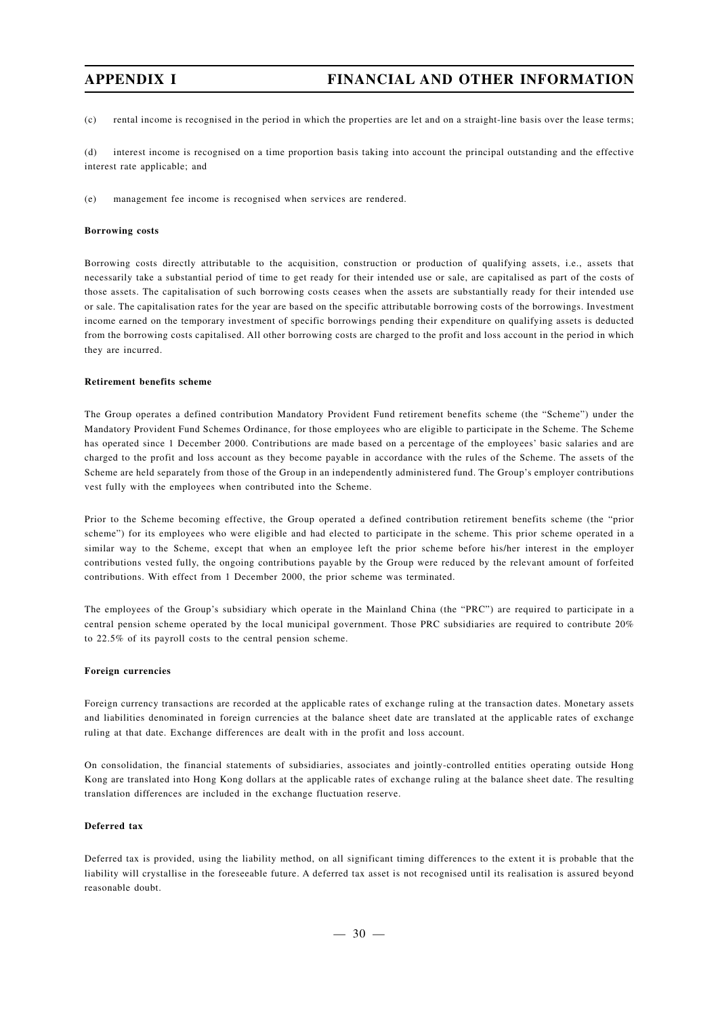(c) rental income is recognised in the period in which the properties are let and on a straight-line basis over the lease terms;

(d) interest income is recognised on a time proportion basis taking into account the principal outstanding and the effective interest rate applicable; and

(e) management fee income is recognised when services are rendered.

#### **Borrowing costs**

Borrowing costs directly attributable to the acquisition, construction or production of qualifying assets, i.e., assets that necessarily take a substantial period of time to get ready for their intended use or sale, are capitalised as part of the costs of those assets. The capitalisation of such borrowing costs ceases when the assets are substantially ready for their intended use or sale. The capitalisation rates for the year are based on the specific attributable borrowing costs of the borrowings. Investment income earned on the temporary investment of specific borrowings pending their expenditure on qualifying assets is deducted from the borrowing costs capitalised. All other borrowing costs are charged to the profit and loss account in the period in which they are incurred.

#### **Retirement benefits scheme**

The Group operates a defined contribution Mandatory Provident Fund retirement benefits scheme (the "Scheme") under the Mandatory Provident Fund Schemes Ordinance, for those employees who are eligible to participate in the Scheme. The Scheme has operated since 1 December 2000. Contributions are made based on a percentage of the employees' basic salaries and are charged to the profit and loss account as they become payable in accordance with the rules of the Scheme. The assets of the Scheme are held separately from those of the Group in an independently administered fund. The Group's employer contributions vest fully with the employees when contributed into the Scheme.

Prior to the Scheme becoming effective, the Group operated a defined contribution retirement benefits scheme (the "prior scheme") for its employees who were eligible and had elected to participate in the scheme. This prior scheme operated in a similar way to the Scheme, except that when an employee left the prior scheme before his/her interest in the employer contributions vested fully, the ongoing contributions payable by the Group were reduced by the relevant amount of forfeited contributions. With effect from 1 December 2000, the prior scheme was terminated.

The employees of the Group's subsidiary which operate in the Mainland China (the "PRC") are required to participate in a central pension scheme operated by the local municipal government. Those PRC subsidiaries are required to contribute 20% to 22.5% of its payroll costs to the central pension scheme.

#### **Foreign currencies**

Foreign currency transactions are recorded at the applicable rates of exchange ruling at the transaction dates. Monetary assets and liabilities denominated in foreign currencies at the balance sheet date are translated at the applicable rates of exchange ruling at that date. Exchange differences are dealt with in the profit and loss account.

On consolidation, the financial statements of subsidiaries, associates and jointly-controlled entities operating outside Hong Kong are translated into Hong Kong dollars at the applicable rates of exchange ruling at the balance sheet date. The resulting translation differences are included in the exchange fluctuation reserve.

### **Deferred tax**

Deferred tax is provided, using the liability method, on all significant timing differences to the extent it is probable that the liability will crystallise in the foreseeable future. A deferred tax asset is not recognised until its realisation is assured beyond reasonable doubt.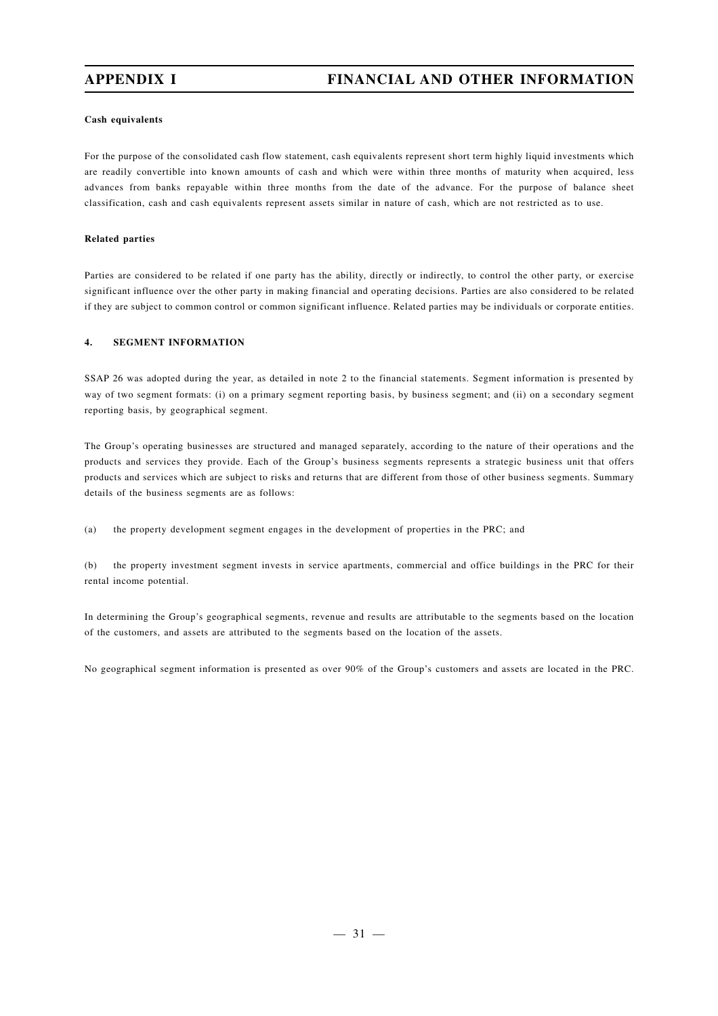#### **Cash equivalents**

For the purpose of the consolidated cash flow statement, cash equivalents represent short term highly liquid investments which are readily convertible into known amounts of cash and which were within three months of maturity when acquired, less advances from banks repayable within three months from the date of the advance. For the purpose of balance sheet classification, cash and cash equivalents represent assets similar in nature of cash, which are not restricted as to use.

#### **Related parties**

Parties are considered to be related if one party has the ability, directly or indirectly, to control the other party, or exercise significant influence over the other party in making financial and operating decisions. Parties are also considered to be related if they are subject to common control or common significant influence. Related parties may be individuals or corporate entities.

#### **4. SEGMENT INFORMATION**

SSAP 26 was adopted during the year, as detailed in note 2 to the financial statements. Segment information is presented by way of two segment formats: (i) on a primary segment reporting basis, by business segment; and (ii) on a secondary segment reporting basis, by geographical segment.

The Group's operating businesses are structured and managed separately, according to the nature of their operations and the products and services they provide. Each of the Group's business segments represents a strategic business unit that offers products and services which are subject to risks and returns that are different from those of other business segments. Summary details of the business segments are as follows:

(a) the property development segment engages in the development of properties in the PRC; and

(b) the property investment segment invests in service apartments, commercial and office buildings in the PRC for their rental income potential.

In determining the Group's geographical segments, revenue and results are attributable to the segments based on the location of the customers, and assets are attributed to the segments based on the location of the assets.

No geographical segment information is presented as over 90% of the Group's customers and assets are located in the PRC.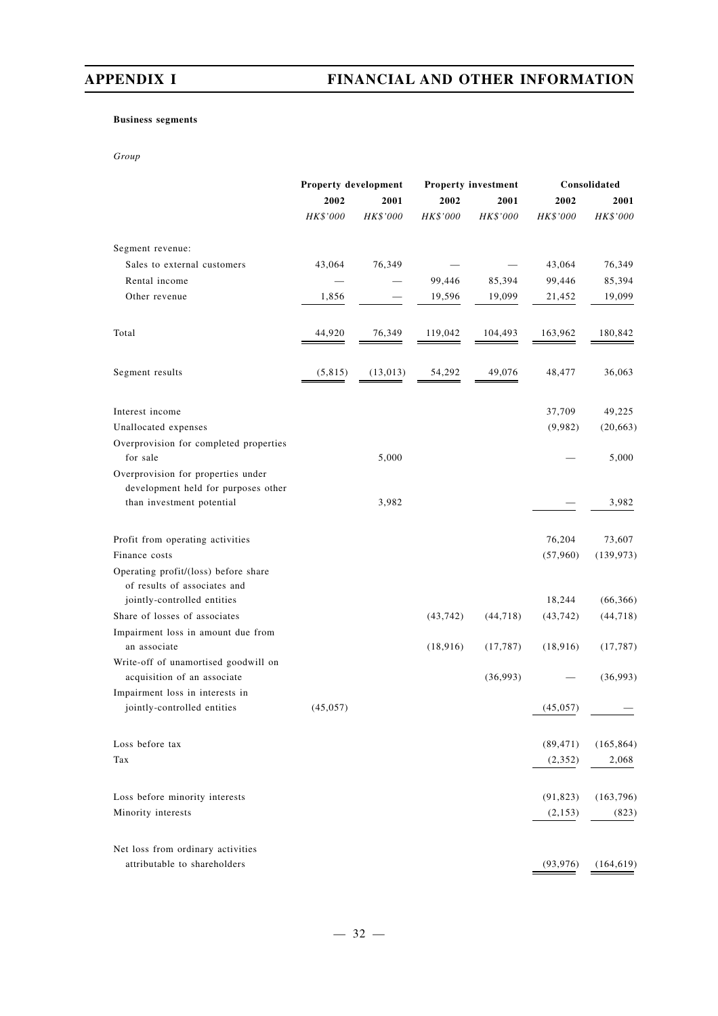## **Business segments**

*Group*

|                                                                                                        | Property development |          |           | <b>Property investment</b> |           | Consolidated |
|--------------------------------------------------------------------------------------------------------|----------------------|----------|-----------|----------------------------|-----------|--------------|
|                                                                                                        | 2002                 | 2001     | 2002      | 2001                       | 2002      | 2001         |
|                                                                                                        | HK\$'000             | HK\$'000 | HK\$'000  | HK\$'000                   | HK\$'000  | HK\$'000     |
| Segment revenue:                                                                                       |                      |          |           |                            |           |              |
| Sales to external customers                                                                            | 43,064               | 76,349   |           |                            | 43,064    | 76,349       |
| Rental income                                                                                          |                      |          | 99,446    | 85,394                     | 99,446    | 85,394       |
| Other revenue                                                                                          | 1,856                |          | 19,596    | 19,099                     | 21,452    | 19,099       |
| Total                                                                                                  | 44,920               | 76,349   | 119,042   | 104,493                    | 163,962   | 180,842      |
| Segment results                                                                                        | (5, 815)             | (13,013) | 54,292    | 49,076                     | 48,477    | 36,063       |
| Interest income                                                                                        |                      |          |           |                            | 37,709    | 49,225       |
| Unallocated expenses                                                                                   |                      |          |           |                            | (9,982)   | (20, 663)    |
| Overprovision for completed properties<br>for sale                                                     |                      | 5,000    |           |                            |           | 5,000        |
| Overprovision for properties under<br>development held for purposes other<br>than investment potential |                      | 3,982    |           |                            |           | 3,982        |
|                                                                                                        |                      |          |           |                            |           |              |
| Profit from operating activities                                                                       |                      |          |           |                            | 76,204    | 73,607       |
| Finance costs                                                                                          |                      |          |           |                            | (57,960)  | (139, 973)   |
| Operating profit/(loss) before share<br>of results of associates and                                   |                      |          |           |                            |           |              |
| jointly-controlled entities                                                                            |                      |          |           |                            | 18,244    | (66, 366)    |
| Share of losses of associates                                                                          |                      |          | (43, 742) | (44, 718)                  | (43, 742) | (44, 718)    |
| Impairment loss in amount due from<br>an associate                                                     |                      |          | (18, 916) | (17, 787)                  | (18, 916) | (17, 787)    |
| Write-off of unamortised goodwill on<br>acquisition of an associate                                    |                      |          |           | (36,993)                   |           | (36,993)     |
| Impairment loss in interests in                                                                        |                      |          |           |                            |           |              |
| jointly-controlled entities                                                                            | (45, 057)            |          |           |                            | (45, 057) |              |
| Loss before tax                                                                                        |                      |          |           |                            | (89, 471) | (165, 864)   |
| Tax                                                                                                    |                      |          |           |                            | (2,352)   | 2,068        |
| Loss before minority interests                                                                         |                      |          |           |                            | (91, 823) | (163, 796)   |
| Minority interests                                                                                     |                      |          |           |                            | (2, 153)  | (823)        |
| Net loss from ordinary activities                                                                      |                      |          |           |                            |           |              |
| attributable to shareholders                                                                           |                      |          |           |                            | (93, 976) | (164, 619)   |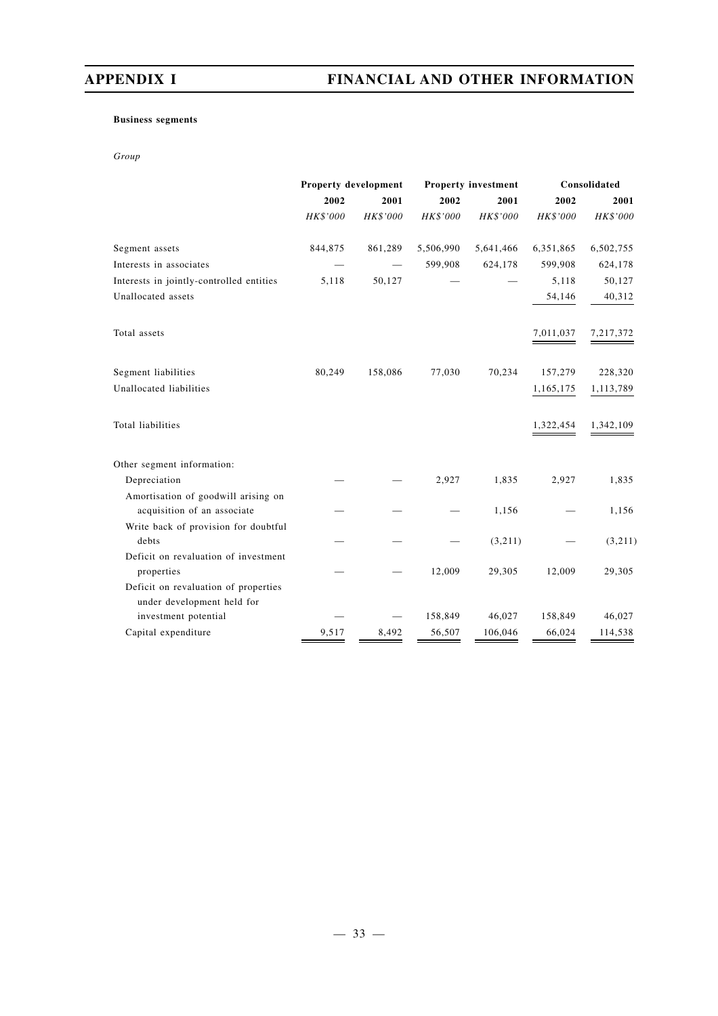## **Business segments**

*Group*

|                                                                    | Property development |          | <b>Property investment</b> |           | Consolidated    |           |
|--------------------------------------------------------------------|----------------------|----------|----------------------------|-----------|-----------------|-----------|
|                                                                    | 2002                 | 2001     | 2002                       | 2001      | 2002            | 2001      |
|                                                                    | HK\$'000             | HK\$'000 | HK\$'000                   | HK\$'000  | <b>HK\$'000</b> | HK\$'000  |
| Segment assets                                                     | 844,875              | 861,289  | 5,506,990                  | 5,641,466 | 6,351,865       | 6,502,755 |
| Interests in associates                                            |                      |          | 599,908                    | 624,178   | 599,908         | 624,178   |
| Interests in jointly-controlled entities                           | 5,118                | 50,127   |                            |           | 5,118           | 50,127    |
| Unallocated assets                                                 |                      |          |                            |           | 54,146          | 40,312    |
| Total assets                                                       |                      |          |                            |           | 7,011,037       | 7,217,372 |
| Segment liabilities                                                | 80,249               | 158,086  | 77,030                     | 70,234    | 157,279         | 228,320   |
| Unallocated liabilities                                            |                      |          |                            |           | 1,165,175       | 1,113,789 |
| Total liabilities                                                  |                      |          |                            |           | 1,322,454       | 1,342,109 |
| Other segment information:                                         |                      |          |                            |           |                 |           |
| Depreciation                                                       |                      |          | 2,927                      | 1,835     | 2,927           | 1,835     |
| Amortisation of goodwill arising on<br>acquisition of an associate |                      |          |                            | 1,156     |                 | 1,156     |
| Write back of provision for doubtful<br>debts                      |                      |          |                            | (3,211)   |                 | (3,211)   |
| Deficit on revaluation of investment                               |                      |          |                            |           |                 |           |
| properties                                                         |                      |          | 12,009                     | 29,305    | 12,009          | 29,305    |
| Deficit on revaluation of properties<br>under development held for |                      |          |                            |           |                 |           |
| investment potential                                               |                      |          | 158,849                    | 46,027    | 158,849         | 46,027    |
| Capital expenditure                                                | 9,517                | 8,492    | 56,507                     | 106,046   | 66,024          | 114,538   |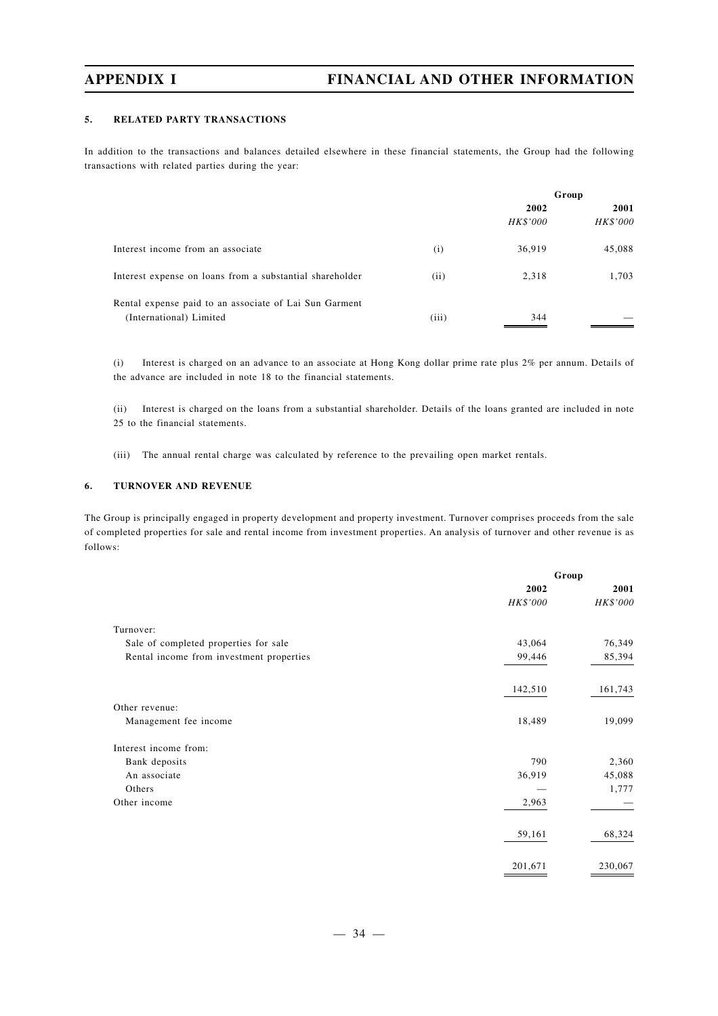### **5. RELATED PARTY TRANSACTIONS**

In addition to the transactions and balances detailed elsewhere in these financial statements, the Group had the following transactions with related parties during the year:

|                                                          |       | Group    |          |
|----------------------------------------------------------|-------|----------|----------|
|                                                          |       | 2002     | 2001     |
|                                                          |       | HK\$'000 | HK\$'000 |
| Interest income from an associate                        | (i)   | 36,919   | 45,088   |
| Interest expense on loans from a substantial shareholder | (ii)  | 2,318    | 1,703    |
| Rental expense paid to an associate of Lai Sun Garment   |       |          |          |
| (International) Limited                                  | (iii) | 344      |          |

(i) Interest is charged on an advance to an associate at Hong Kong dollar prime rate plus 2% per annum. Details of the advance are included in note 18 to the financial statements.

(ii) Interest is charged on the loans from a substantial shareholder. Details of the loans granted are included in note 25 to the financial statements.

(iii) The annual rental charge was calculated by reference to the prevailing open market rentals.

### **6. TURNOVER AND REVENUE**

The Group is principally engaged in property development and property investment. Turnover comprises proceeds from the sale of completed properties for sale and rental income from investment properties. An analysis of turnover and other revenue is as follows:

|                                          | Group    |          |  |
|------------------------------------------|----------|----------|--|
|                                          | 2002     | 2001     |  |
|                                          | HK\$'000 | HK\$'000 |  |
| Turnover:                                |          |          |  |
| Sale of completed properties for sale    | 43,064   | 76,349   |  |
| Rental income from investment properties | 99,446   | 85,394   |  |
|                                          | 142,510  | 161,743  |  |
| Other revenue:                           |          |          |  |
| Management fee income                    | 18,489   | 19,099   |  |
| Interest income from:                    |          |          |  |
| Bank deposits                            | 790      | 2,360    |  |
| An associate                             | 36,919   | 45,088   |  |
| Others                                   |          | 1,777    |  |
| Other income                             | 2,963    |          |  |
|                                          | 59,161   | 68,324   |  |
|                                          | 201,671  | 230,067  |  |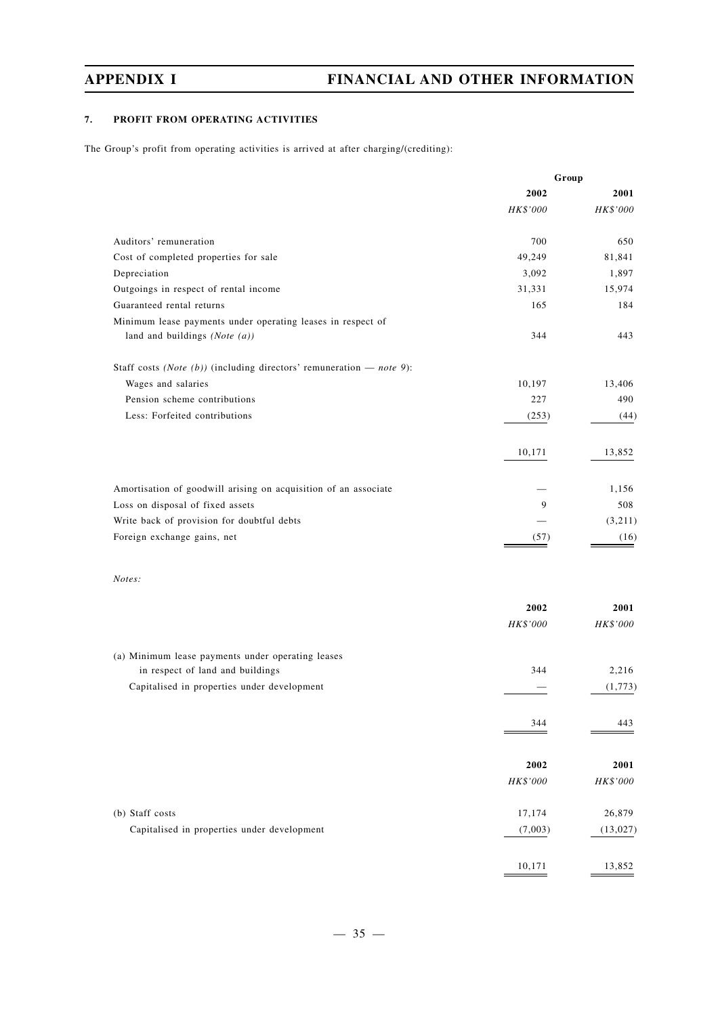## **7. PROFIT FROM OPERATING ACTIVITIES**

The Group's profit from operating activities is arrived at after charging/(crediting):

|                                                                        | Group    |           |
|------------------------------------------------------------------------|----------|-----------|
|                                                                        | 2002     | 2001      |
|                                                                        | HK\$'000 | HK\$'000  |
| Auditors' remuneration                                                 | 700      | 650       |
| Cost of completed properties for sale                                  | 49,249   | 81,841    |
| Depreciation                                                           | 3,092    | 1,897     |
| Outgoings in respect of rental income                                  | 31,331   | 15,974    |
| Guaranteed rental returns                                              | 165      | 184       |
| Minimum lease payments under operating leases in respect of            |          |           |
| land and buildings (Note $(a)$ )                                       | 344      | 443       |
| Staff costs (Note (b)) (including directors' remuneration $-$ note 9): |          |           |
| Wages and salaries                                                     | 10,197   | 13,406    |
| Pension scheme contributions                                           | 227      | 490       |
| Less: Forfeited contributions                                          | (253)    | (44)      |
|                                                                        | 10,171   | 13,852    |
| Amortisation of goodwill arising on acquisition of an associate        |          | 1,156     |
| Loss on disposal of fixed assets                                       | 9        | 508       |
| Write back of provision for doubtful debts                             |          | (3,211)   |
| Foreign exchange gains, net                                            | (57)     | (16)      |
|                                                                        |          |           |
| Notes:                                                                 |          |           |
|                                                                        | 2002     | 2001      |
|                                                                        | HK\$'000 | HK\$'000  |
| (a) Minimum lease payments under operating leases                      |          |           |
| in respect of land and buildings                                       | 344      | 2,216     |
| Capitalised in properties under development                            |          | (1,773)   |
|                                                                        | 344      | 443       |
|                                                                        |          |           |
|                                                                        | 2002     | 2001      |
|                                                                        | HK\$'000 | HK\$'000  |
| (b) Staff costs                                                        | 17,174   | 26,879    |
| Capitalised in properties under development                            | (7,003)  | (13, 027) |
|                                                                        | 10,171   | 13,852    |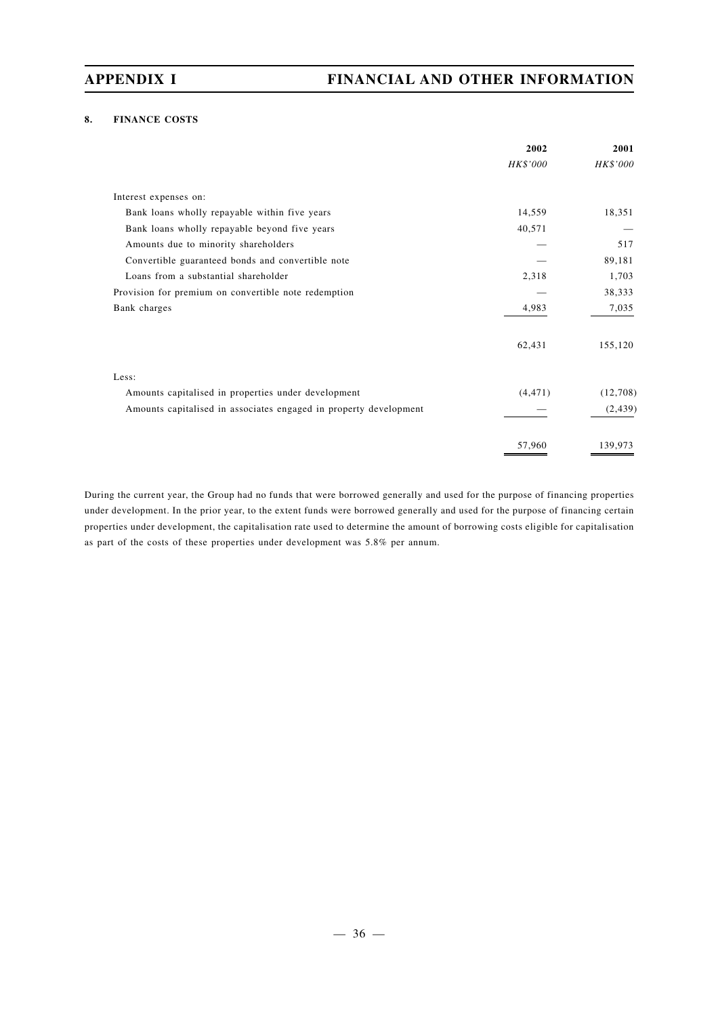### **8. FINANCE COSTS**

|                                                                   | 2002     | 2001     |
|-------------------------------------------------------------------|----------|----------|
|                                                                   | HK\$'000 | HK\$'000 |
| Interest expenses on:                                             |          |          |
| Bank loans wholly repayable within five years                     | 14,559   | 18,351   |
| Bank loans wholly repayable beyond five years                     | 40,571   |          |
| Amounts due to minority shareholders                              |          | 517      |
| Convertible guaranteed bonds and convertible note                 |          | 89,181   |
| Loans from a substantial shareholder                              | 2,318    | 1,703    |
| Provision for premium on convertible note redemption              |          | 38,333   |
| Bank charges                                                      | 4,983    | 7,035    |
|                                                                   | 62,431   | 155,120  |
| Less:                                                             |          |          |
| Amounts capitalised in properties under development               | (4, 471) | (12,708) |
| Amounts capitalised in associates engaged in property development |          | (2, 439) |
|                                                                   | 57,960   | 139.973  |

During the current year, the Group had no funds that were borrowed generally and used for the purpose of financing properties under development. In the prior year, to the extent funds were borrowed generally and used for the purpose of financing certain properties under development, the capitalisation rate used to determine the amount of borrowing costs eligible for capitalisation as part of the costs of these properties under development was 5.8% per annum.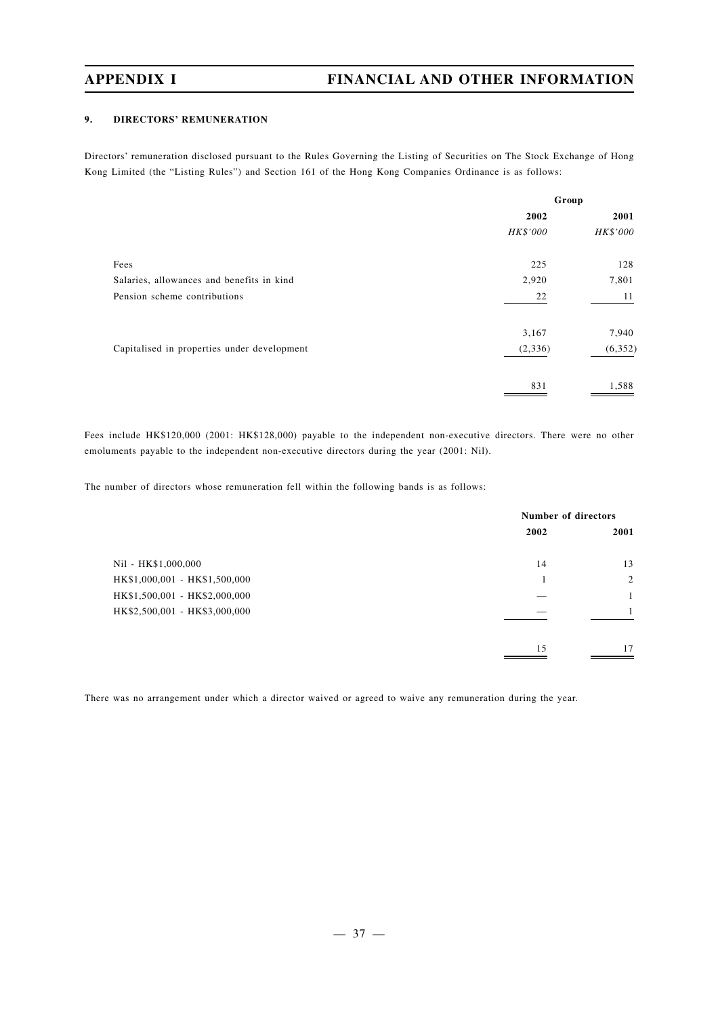### **9. DIRECTORS' REMUNERATION**

Directors' remuneration disclosed pursuant to the Rules Governing the Listing of Securities on The Stock Exchange of Hong Kong Limited (the "Listing Rules") and Section 161 of the Hong Kong Companies Ordinance is as follows:

| 2001     |
|----------|
| HK\$'000 |
| 128      |
| 7,801    |
| 11       |
| 7,940    |
| (6, 352) |
| 1,588    |
|          |

Fees include HK\$120,000 (2001: HK\$128,000) payable to the independent non-executive directors. There were no other emoluments payable to the independent non-executive directors during the year (2001: Nil).

The number of directors whose remuneration fell within the following bands is as follows:

|                               |      | <b>Number of directors</b> |  |  |
|-------------------------------|------|----------------------------|--|--|
|                               | 2002 | 2001                       |  |  |
| Nil - HK\$1,000,000           | 14   | 13                         |  |  |
| HK\$1,000,001 - HK\$1,500,000 |      | 2                          |  |  |
| HK\$1,500,001 - HK\$2,000,000 |      | 1                          |  |  |
| HK\$2,500,001 - HK\$3,000,000 |      | 1                          |  |  |
|                               | 15   | 17                         |  |  |

There was no arrangement under which a director waived or agreed to waive any remuneration during the year.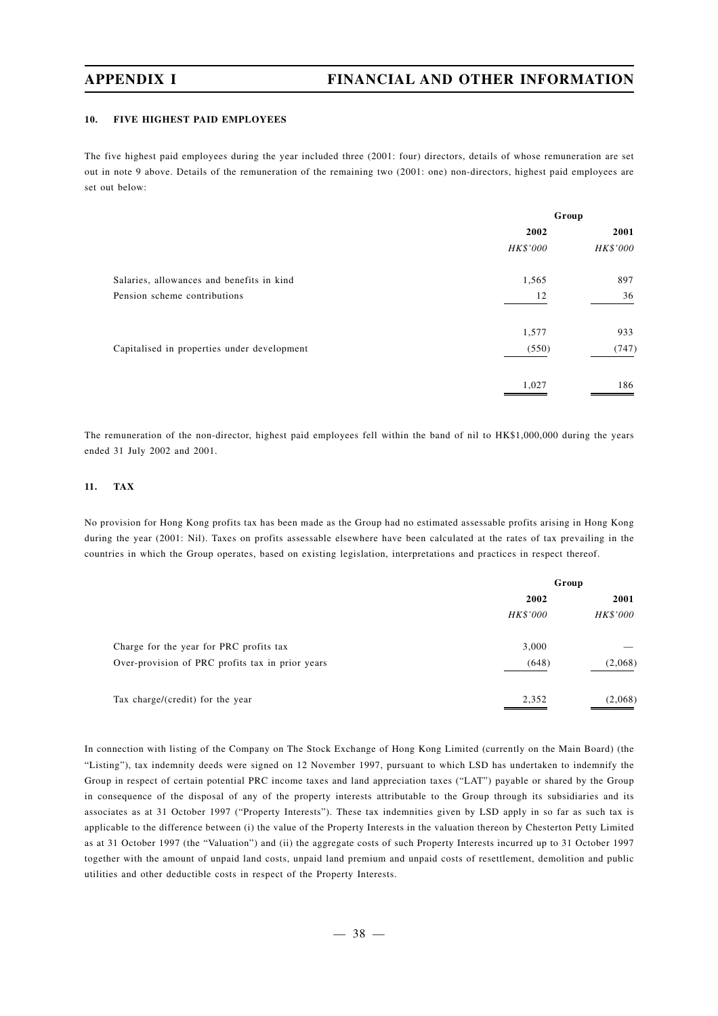### **10. FIVE HIGHEST PAID EMPLOYEES**

The five highest paid employees during the year included three (2001: four) directors, details of whose remuneration are set out in note 9 above. Details of the remuneration of the remaining two (2001: one) non-directors, highest paid employees are set out below:

|                                             | Group    |          |  |
|---------------------------------------------|----------|----------|--|
|                                             | 2002     | 2001     |  |
|                                             | HK\$'000 | HK\$'000 |  |
| Salaries, allowances and benefits in kind   | 1,565    | 897      |  |
| Pension scheme contributions                | 12       | 36       |  |
|                                             | 1,577    | 933      |  |
| Capitalised in properties under development | (550)    | (747)    |  |
|                                             | 1,027    | 186      |  |

The remuneration of the non-director, highest paid employees fell within the band of nil to HK\$1,000,000 during the years ended 31 July 2002 and 2001.

#### **11. TAX**

No provision for Hong Kong profits tax has been made as the Group had no estimated assessable profits arising in Hong Kong during the year (2001: Nil). Taxes on profits assessable elsewhere have been calculated at the rates of tax prevailing in the countries in which the Group operates, based on existing legislation, interpretations and practices in respect thereof.

|                                                  | Group    |          |  |
|--------------------------------------------------|----------|----------|--|
|                                                  | 2002     | 2001     |  |
|                                                  | HK\$'000 | HK\$'000 |  |
| Charge for the year for PRC profits tax          | 3,000    |          |  |
| Over-provision of PRC profits tax in prior years | (648)    | (2,068)  |  |
| Tax charge/(credit) for the year                 | 2,352    | (2,068)  |  |

In connection with listing of the Company on The Stock Exchange of Hong Kong Limited (currently on the Main Board) (the "Listing"), tax indemnity deeds were signed on 12 November 1997, pursuant to which LSD has undertaken to indemnify the Group in respect of certain potential PRC income taxes and land appreciation taxes ("LAT") payable or shared by the Group in consequence of the disposal of any of the property interests attributable to the Group through its subsidiaries and its associates as at 31 October 1997 ("Property Interests"). These tax indemnities given by LSD apply in so far as such tax is applicable to the difference between (i) the value of the Property Interests in the valuation thereon by Chesterton Petty Limited as at 31 October 1997 (the "Valuation") and (ii) the aggregate costs of such Property Interests incurred up to 31 October 1997 together with the amount of unpaid land costs, unpaid land premium and unpaid costs of resettlement, demolition and public utilities and other deductible costs in respect of the Property Interests.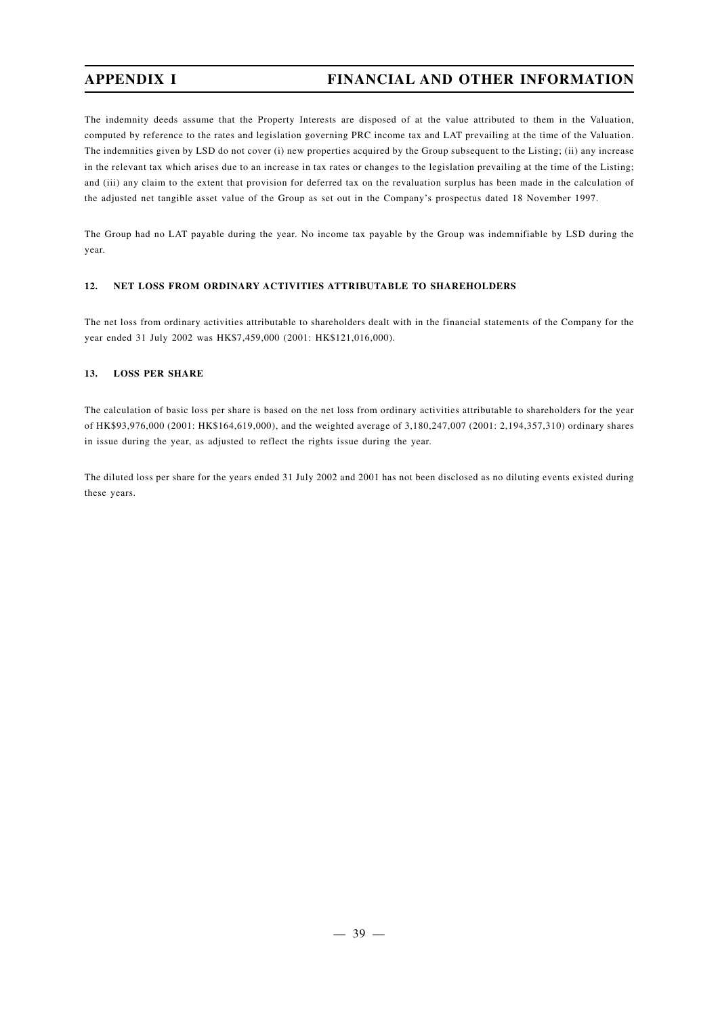The indemnity deeds assume that the Property Interests are disposed of at the value attributed to them in the Valuation, computed by reference to the rates and legislation governing PRC income tax and LAT prevailing at the time of the Valuation. The indemnities given by LSD do not cover (i) new properties acquired by the Group subsequent to the Listing; (ii) any increase in the relevant tax which arises due to an increase in tax rates or changes to the legislation prevailing at the time of the Listing; and (iii) any claim to the extent that provision for deferred tax on the revaluation surplus has been made in the calculation of the adjusted net tangible asset value of the Group as set out in the Company's prospectus dated 18 November 1997.

The Group had no LAT payable during the year. No income tax payable by the Group was indemnifiable by LSD during the year.

## **12. NET LOSS FROM ORDINARY ACTIVITIES ATTRIBUTABLE TO SHAREHOLDERS**

The net loss from ordinary activities attributable to shareholders dealt with in the financial statements of the Company for the year ended 31 July 2002 was HK\$7,459,000 (2001: HK\$121,016,000).

#### **13. LOSS PER SHARE**

The calculation of basic loss per share is based on the net loss from ordinary activities attributable to shareholders for the year of HK\$93,976,000 (2001: HK\$164,619,000), and the weighted average of 3,180,247,007 (2001: 2,194,357,310) ordinary shares in issue during the year, as adjusted to reflect the rights issue during the year.

The diluted loss per share for the years ended 31 July 2002 and 2001 has not been disclosed as no diluting events existed during these years.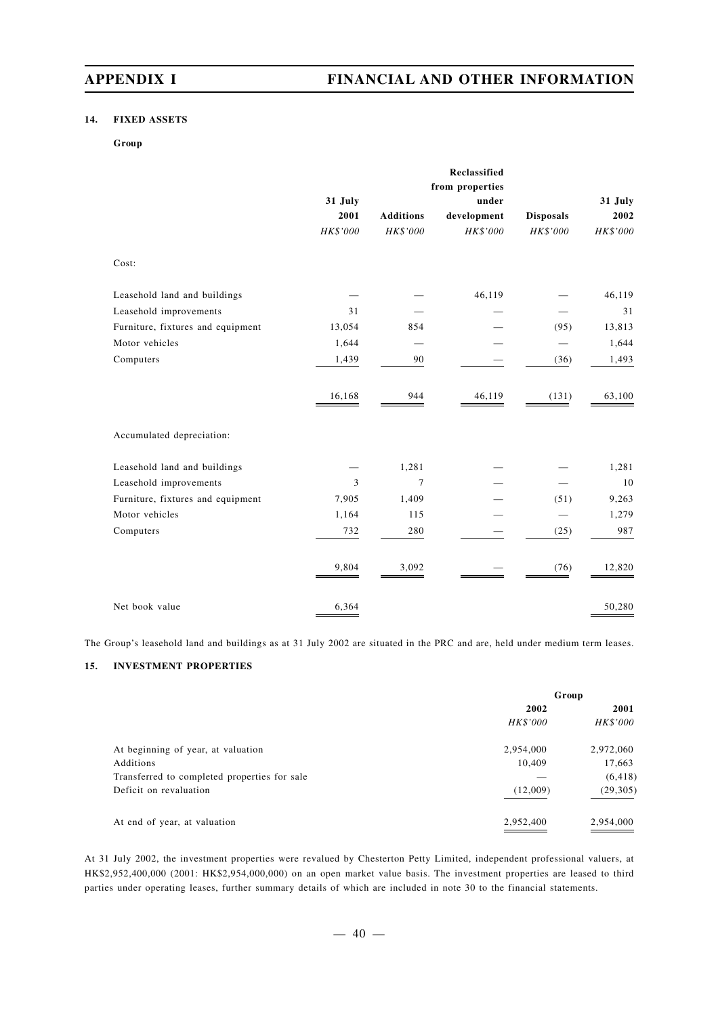### **14. FIXED ASSETS**

#### **Group**

|                                   |                 |                  | Reclassified             |                  |                 |
|-----------------------------------|-----------------|------------------|--------------------------|------------------|-----------------|
|                                   |                 |                  | from properties<br>under |                  |                 |
|                                   | 31 July<br>2001 | <b>Additions</b> | development              | <b>Disposals</b> | 31 July<br>2002 |
|                                   | HK\$'000        | HK\$'000         | HK\$'000                 | HK\$'000         | HK\$'000        |
| Cost:                             |                 |                  |                          |                  |                 |
| Leasehold land and buildings      |                 |                  | 46,119                   |                  | 46,119          |
| Leasehold improvements            | 31              |                  |                          |                  | 31              |
| Furniture, fixtures and equipment | 13,054          | 854              |                          | (95)             | 13,813          |
| Motor vehicles                    | 1,644           |                  |                          |                  | 1,644           |
| Computers                         | 1,439           | 90               |                          | (36)             | 1,493           |
|                                   | 16,168          | 944              | 46,119                   | (131)            | 63,100          |
| Accumulated depreciation:         |                 |                  |                          |                  |                 |
| Leasehold land and buildings      |                 | 1,281            |                          |                  | 1,281           |
| Leasehold improvements            | 3               | $\overline{7}$   |                          |                  | 10              |
| Furniture, fixtures and equipment | 7,905           | 1,409            |                          | (51)             | 9,263           |
| Motor vehicles                    | 1,164           | 115              |                          |                  | 1,279           |
| Computers                         | 732             | 280              |                          | (25)             | 987             |
|                                   | 9,804           | 3,092            |                          | (76)             | 12,820          |
| Net book value                    | 6,364           |                  |                          |                  | 50,280          |

The Group's leasehold land and buildings as at 31 July 2002 are situated in the PRC and are, held under medium term leases.

### **15. INVESTMENT PROPERTIES**

|                                              | Group     |           |  |
|----------------------------------------------|-----------|-----------|--|
|                                              | 2002      | 2001      |  |
|                                              | HK\$'000  | HK\$'000  |  |
| At beginning of year, at valuation           | 2,954,000 | 2,972,060 |  |
| Additions                                    | 10,409    | 17,663    |  |
| Transferred to completed properties for sale |           | (6, 418)  |  |
| Deficit on revaluation                       | (12,009)  | (29, 305) |  |
| At end of year, at valuation                 | 2,952,400 | 2,954,000 |  |

At 31 July 2002, the investment properties were revalued by Chesterton Petty Limited, independent professional valuers, at HK\$2,952,400,000 (2001: HK\$2,954,000,000) on an open market value basis. The investment properties are leased to third parties under operating leases, further summary details of which are included in note 30 to the financial statements.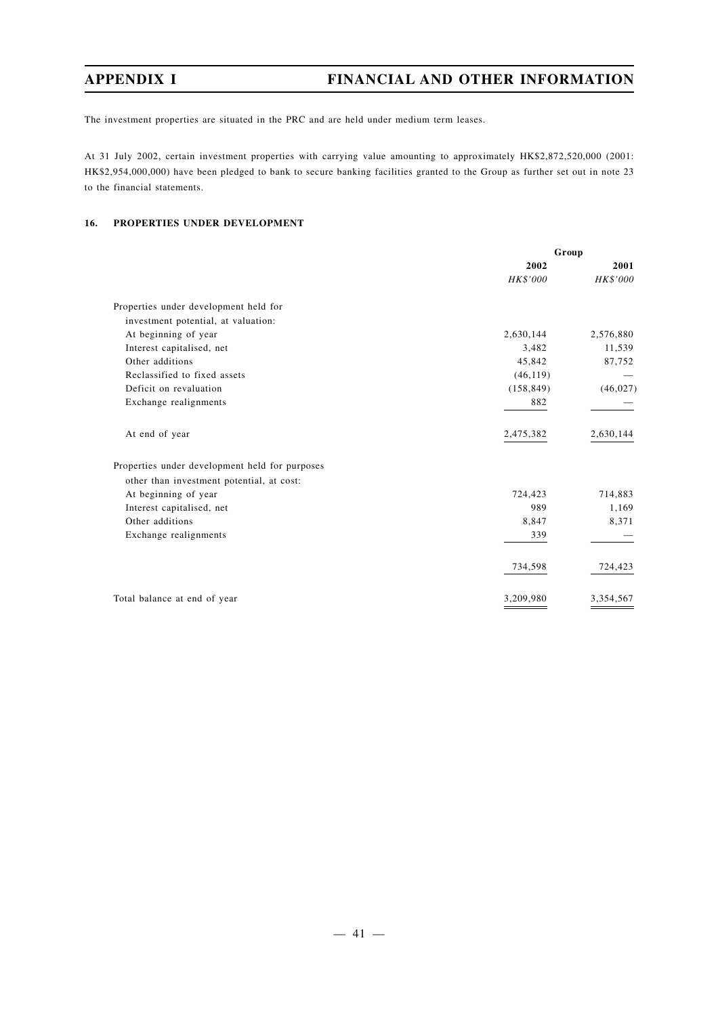The investment properties are situated in the PRC and are held under medium term leases.

At 31 July 2002, certain investment properties with carrying value amounting to approximately HK\$2,872,520,000 (2001: HK\$2,954,000,000) have been pledged to bank to secure banking facilities granted to the Group as further set out in note 23 to the financial statements.

### **16. PROPERTIES UNDER DEVELOPMENT**

|                                                | Group      |           |
|------------------------------------------------|------------|-----------|
|                                                | 2002       | 2001      |
|                                                | HK\$'000   | HK\$'000  |
| Properties under development held for          |            |           |
| investment potential, at valuation:            |            |           |
| At beginning of year                           | 2,630,144  | 2,576,880 |
| Interest capitalised, net                      | 3,482      | 11,539    |
| Other additions                                | 45,842     | 87,752    |
| Reclassified to fixed assets                   | (46, 119)  |           |
| Deficit on revaluation                         | (158, 849) | (46, 027) |
| Exchange realignments                          | 882        |           |
| At end of year                                 | 2,475,382  | 2,630,144 |
| Properties under development held for purposes |            |           |
| other than investment potential, at cost:      |            |           |
| At beginning of year                           | 724,423    | 714,883   |
| Interest capitalised, net                      | 989        | 1,169     |
| Other additions                                | 8,847      | 8,371     |
| Exchange realignments                          | 339        |           |
|                                                | 734,598    | 724,423   |
| Total balance at end of year                   | 3,209,980  | 3,354,567 |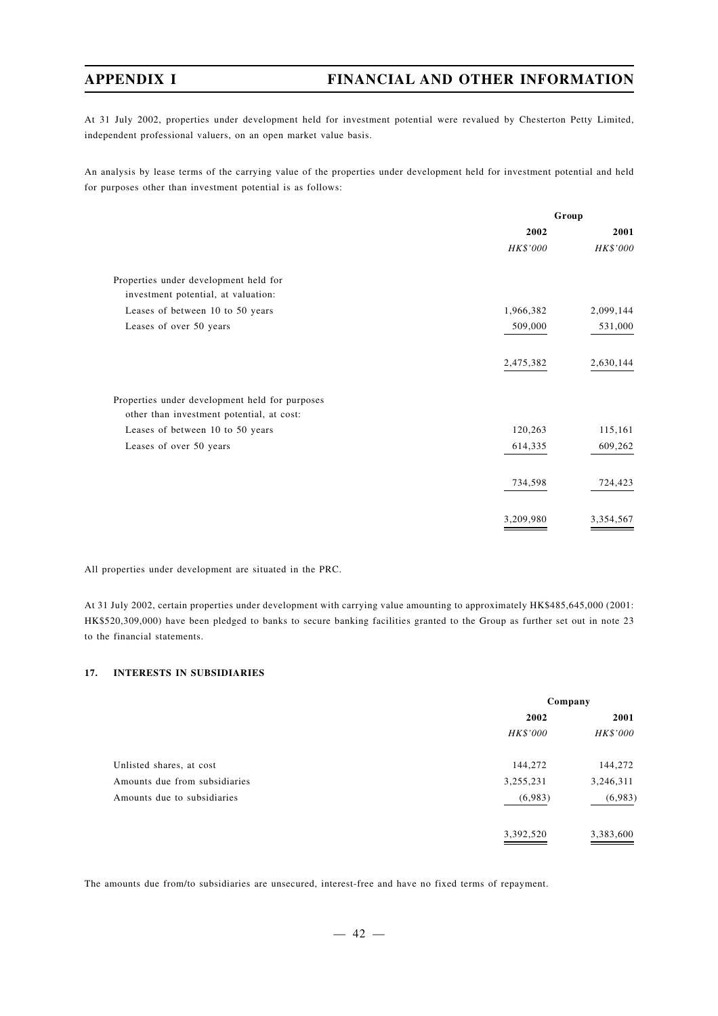At 31 July 2002, properties under development held for investment potential were revalued by Chesterton Petty Limited, independent professional valuers, on an open market value basis.

An analysis by lease terms of the carrying value of the properties under development held for investment potential and held for purposes other than investment potential is as follows:

|                                                | Group     |           |  |
|------------------------------------------------|-----------|-----------|--|
|                                                | 2002      | 2001      |  |
|                                                | HK\$'000  | HK\$'000  |  |
| Properties under development held for          |           |           |  |
| investment potential, at valuation:            |           |           |  |
| Leases of between 10 to 50 years               | 1,966,382 | 2,099,144 |  |
| Leases of over 50 years                        | 509,000   | 531,000   |  |
|                                                | 2,475,382 | 2,630,144 |  |
| Properties under development held for purposes |           |           |  |
| other than investment potential, at cost:      |           |           |  |
| Leases of between 10 to 50 years               | 120,263   | 115,161   |  |
| Leases of over 50 years                        | 614,335   | 609,262   |  |
|                                                | 734,598   | 724,423   |  |
|                                                | 3,209,980 | 3,354,567 |  |

All properties under development are situated in the PRC.

At 31 July 2002, certain properties under development with carrying value amounting to approximately HK\$485,645,000 (2001: HK\$520,309,000) have been pledged to banks to secure banking facilities granted to the Group as further set out in note 23 to the financial statements.

## **17. INTERESTS IN SUBSIDIARIES**

|                               | Company   |           |  |
|-------------------------------|-----------|-----------|--|
|                               | 2002      | 2001      |  |
|                               | HK\$'000  | HK\$'000  |  |
| Unlisted shares, at cost      | 144,272   | 144,272   |  |
| Amounts due from subsidiaries | 3,255,231 | 3,246,311 |  |
| Amounts due to subsidiaries   | (6,983)   | (6,983)   |  |
|                               | 3,392,520 | 3,383,600 |  |

The amounts due from/to subsidiaries are unsecured, interest-free and have no fixed terms of repayment.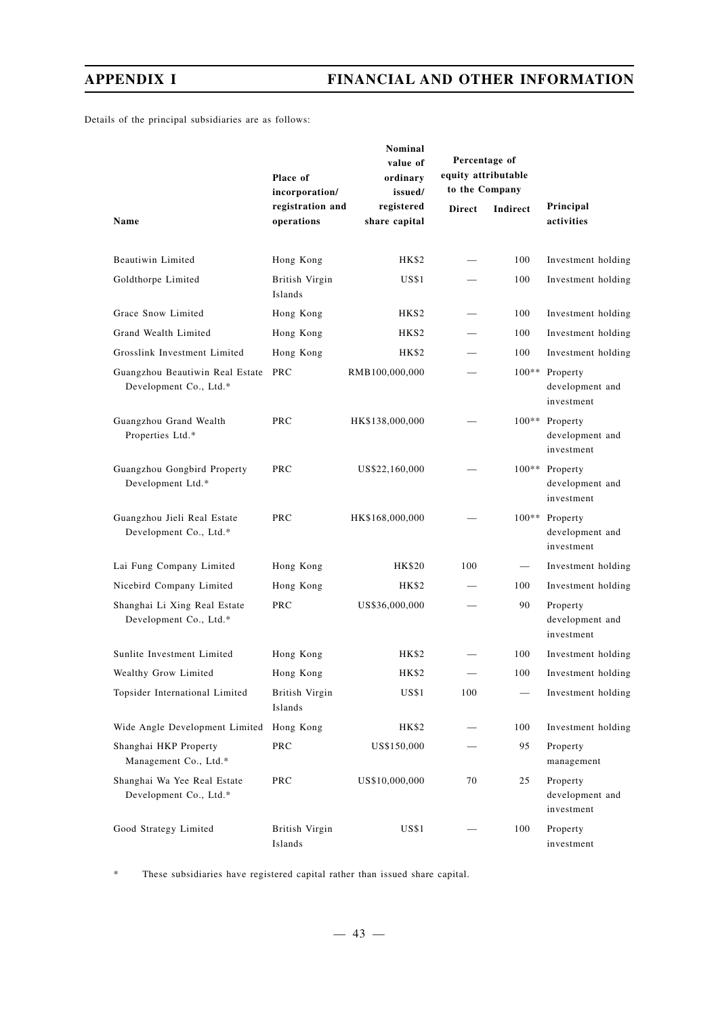Details of the principal subsidiaries are as follows:

|                                                               | Place of<br>incorporation/     | Nominal<br>value of<br>ordinary<br>issued/ | Percentage of<br>equity attributable<br>to the Company |                 |                                                 |
|---------------------------------------------------------------|--------------------------------|--------------------------------------------|--------------------------------------------------------|-----------------|-------------------------------------------------|
| Name                                                          | registration and<br>operations | registered<br>share capital                | <b>Direct</b>                                          | <b>Indirect</b> | Principal<br>activities                         |
| Beautiwin Limited                                             | Hong Kong                      | HK\$2                                      |                                                        | 100             | Investment holding                              |
| Goldthorpe Limited                                            | British Virgin<br>Islands      | US\$1                                      |                                                        | 100             | Investment holding                              |
| Grace Snow Limited                                            | Hong Kong                      | HKS2                                       |                                                        | 100             | Investment holding                              |
| Grand Wealth Limited                                          | Hong Kong                      | HKS <sub>2</sub>                           | $\overline{\phantom{0}}$                               | 100             | Investment holding                              |
| Grosslink Investment Limited                                  | Hong Kong                      | HK\$2                                      |                                                        | 100             | Investment holding                              |
| Guangzhou Beautiwin Real Estate PRC<br>Development Co., Ltd.* |                                | RMB100,000,000                             |                                                        | $100**$         | Property<br>development and<br>investment       |
| Guangzhou Grand Wealth<br>Properties Ltd.*                    | PRC                            | HK\$138,000,000                            |                                                        |                 | 100** Property<br>development and<br>investment |
| Guangzhou Gongbird Property<br>Development Ltd.*              | <b>PRC</b>                     | US\$22,160,000                             |                                                        |                 | 100** Property<br>development and<br>investment |
| Guangzhou Jieli Real Estate<br>Development Co., Ltd.*         | <b>PRC</b>                     | HK\$168,000,000                            |                                                        | $100**$         | Property<br>development and<br>investment       |
| Lai Fung Company Limited                                      | Hong Kong                      | HK\$20                                     | 100                                                    |                 | Investment holding                              |
| Nicebird Company Limited                                      | Hong Kong                      | HK\$2                                      |                                                        | 100             | Investment holding                              |
| Shanghai Li Xing Real Estate<br>Development Co., Ltd.*        | PRC                            | US\$36,000,000                             |                                                        | 90              | Property<br>development and<br>investment       |
| Sunlite Investment Limited                                    | Hong Kong                      | HK\$2                                      |                                                        | 100             | Investment holding                              |
| Wealthy Grow Limited                                          | Hong Kong                      | <b>HK\$2</b>                               | $\overline{\phantom{0}}$                               | 100             | Investment holding                              |
| Topsider International Limited                                | British Virgin<br>Islands      | US\$1                                      | 100                                                    |                 | Investment holding                              |
| Wide Angle Development Limited                                | Hong Kong                      | HK\$2                                      |                                                        | 100             | Investment holding                              |
| Shanghai HKP Property<br>Management Co., Ltd.*                | PRC                            | US\$150,000                                |                                                        | 95              | Property<br>management                          |
| Shanghai Wa Yee Real Estate<br>Development Co., Ltd.*         | <b>PRC</b>                     | US\$10,000,000                             | 70                                                     | 25              | Property<br>development and<br>investment       |
| Good Strategy Limited                                         | British Virgin<br>Islands      | US\$1                                      |                                                        | 100             | Property<br>investment                          |

\* These subsidiaries have registered capital rather than issued share capital.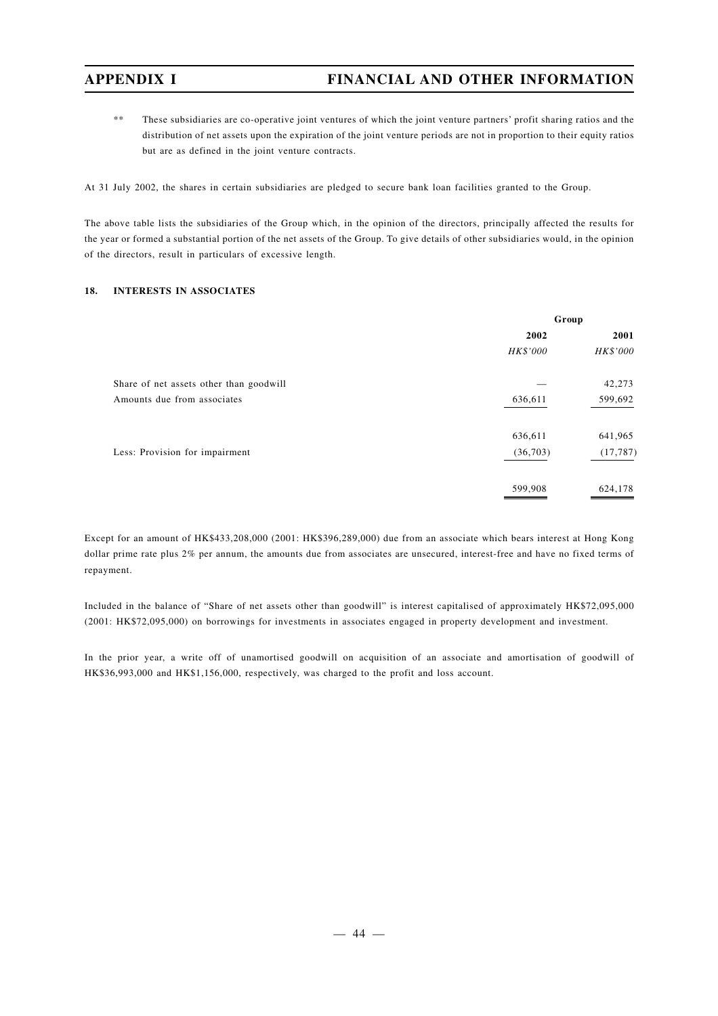\*\* These subsidiaries are co-operative joint ventures of which the joint venture partners' profit sharing ratios and the distribution of net assets upon the expiration of the joint venture periods are not in proportion to their equity ratios but are as defined in the joint venture contracts.

At 31 July 2002, the shares in certain subsidiaries are pledged to secure bank loan facilities granted to the Group.

The above table lists the subsidiaries of the Group which, in the opinion of the directors, principally affected the results for the year or formed a substantial portion of the net assets of the Group. To give details of other subsidiaries would, in the opinion of the directors, result in particulars of excessive length.

#### **18. INTERESTS IN ASSOCIATES**

|                                         | Group    |           |  |
|-----------------------------------------|----------|-----------|--|
|                                         | 2002     | 2001      |  |
|                                         | HK\$'000 | HK\$'000  |  |
| Share of net assets other than goodwill |          | 42,273    |  |
| Amounts due from associates             | 636,611  | 599,692   |  |
|                                         | 636,611  | 641,965   |  |
| Less: Provision for impairment          | (36,703) | (17, 787) |  |
|                                         | 599,908  | 624,178   |  |

Except for an amount of HK\$433,208,000 (2001: HK\$396,289,000) due from an associate which bears interest at Hong Kong dollar prime rate plus 2% per annum, the amounts due from associates are unsecured, interest-free and have no fixed terms of repayment.

Included in the balance of "Share of net assets other than goodwill" is interest capitalised of approximately HK\$72,095,000 (2001: HK\$72,095,000) on borrowings for investments in associates engaged in property development and investment.

In the prior year, a write off of unamortised goodwill on acquisition of an associate and amortisation of goodwill of HK\$36,993,000 and HK\$1,156,000, respectively, was charged to the profit and loss account.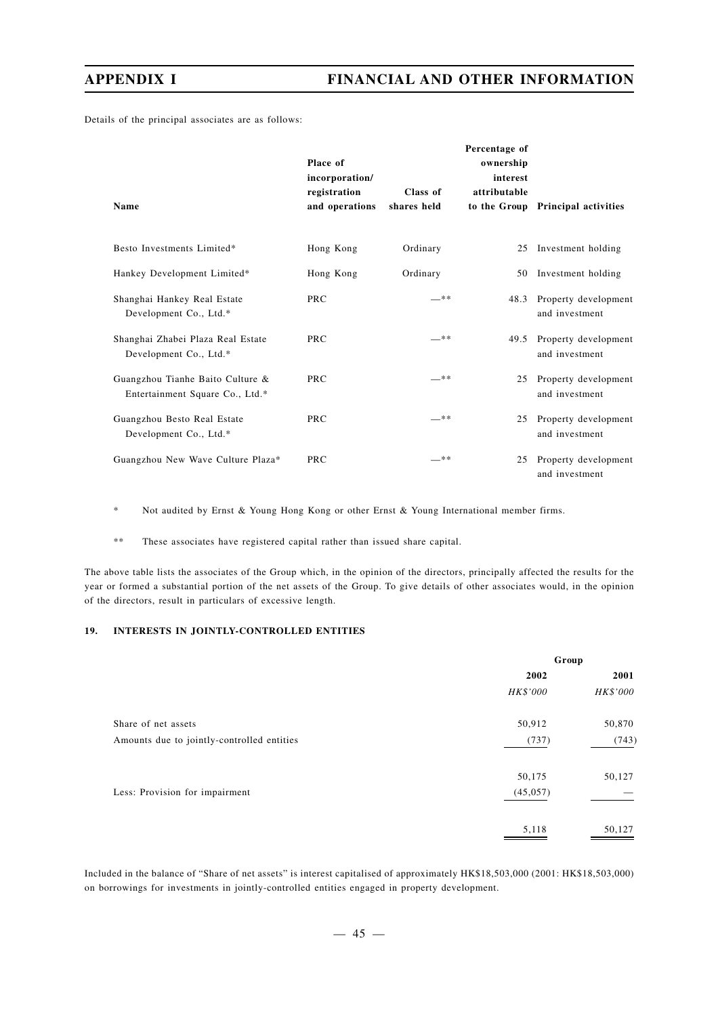Details of the principal associates are as follows:

| Name                                                                | Place of<br>incorporation/<br>registration<br>and operations | Class of<br>shares held | Percentage of<br>ownership<br>interest<br>attributable | to the Group Principal activities           |
|---------------------------------------------------------------------|--------------------------------------------------------------|-------------------------|--------------------------------------------------------|---------------------------------------------|
| Besto Investments Limited*                                          | Hong Kong                                                    | Ordinary                |                                                        | 25 Investment holding                       |
| Hankey Development Limited*                                         | Hong Kong                                                    | Ordinary                |                                                        | 50 Investment holding                       |
| Shanghai Hankey Real Estate<br>Development Co., Ltd.*               | <b>PRC</b>                                                   | **                      |                                                        | 48.3 Property development<br>and investment |
| Shanghai Zhabei Plaza Real Estate<br>Development Co., Ltd.*         | <b>PRC</b>                                                   | — **                    | 49.5                                                   | Property development<br>and investment      |
| Guangzhou Tianhe Baito Culture &<br>Entertainment Square Co., Ltd.* | <b>PRC</b>                                                   | —**                     | 25                                                     | Property development<br>and investment      |
| Guangzhou Besto Real Estate<br>Development Co., Ltd.*               | <b>PRC</b>                                                   | — **                    | 25                                                     | Property development<br>and investment      |
| Guangzhou New Wave Culture Plaza*                                   | PRC                                                          | —**                     | 25                                                     | Property development<br>and investment      |

\* Not audited by Ernst & Young Hong Kong or other Ernst & Young International member firms.

\*\* These associates have registered capital rather than issued share capital.

The above table lists the associates of the Group which, in the opinion of the directors, principally affected the results for the year or formed a substantial portion of the net assets of the Group. To give details of other associates would, in the opinion of the directors, result in particulars of excessive length.

### **19. INTERESTS IN JOINTLY-CONTROLLED ENTITIES**

|                                            | Group     |          |  |
|--------------------------------------------|-----------|----------|--|
|                                            | 2002      | 2001     |  |
|                                            | HK\$'000  | HK\$'000 |  |
| Share of net assets                        | 50,912    | 50,870   |  |
| Amounts due to jointly-controlled entities | (737)     | (743)    |  |
|                                            | 50,175    | 50,127   |  |
| Less: Provision for impairment             | (45, 057) |          |  |
|                                            | 5,118     | 50,127   |  |

Included in the balance of "Share of net assets" is interest capitalised of approximately HK\$18,503,000 (2001: HK\$18,503,000) on borrowings for investments in jointly-controlled entities engaged in property development.

 $-45 -$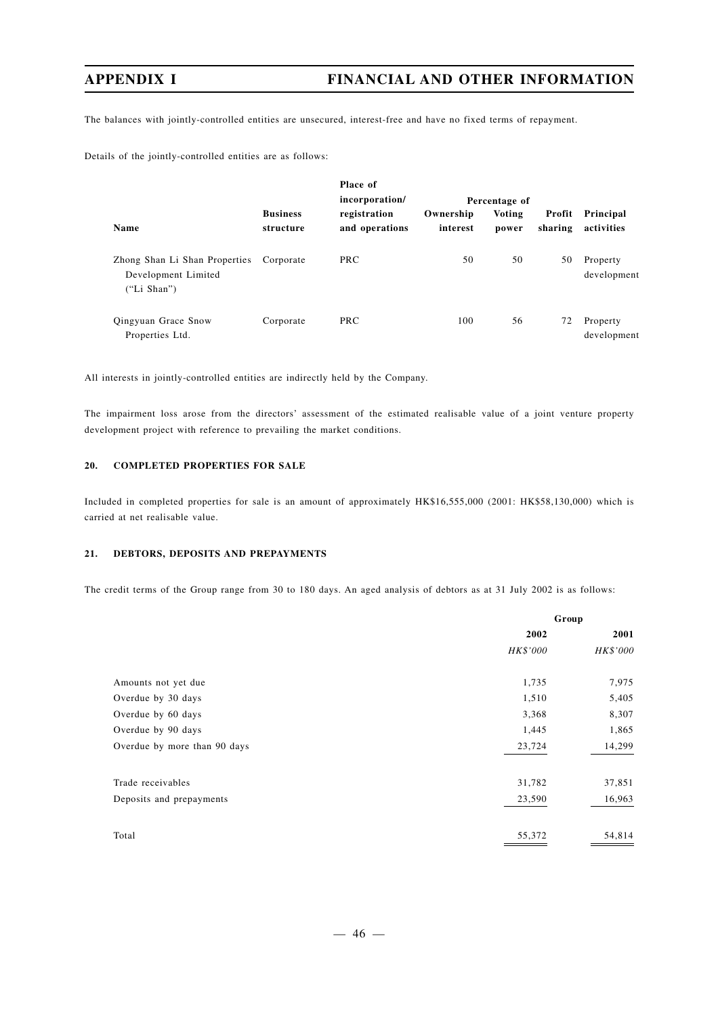The balances with jointly-controlled entities are unsecured, interest-free and have no fixed terms of repayment.

Details of the jointly-controlled entities are as follows:

|                                                                     |                              | Place of<br>incorporation/     | Percentage of         |                 |                   |                         |
|---------------------------------------------------------------------|------------------------------|--------------------------------|-----------------------|-----------------|-------------------|-------------------------|
| Name                                                                | <b>Business</b><br>structure | registration<br>and operations | Ownership<br>interest | Voting<br>power | Profit<br>sharing | Principal<br>activities |
| Zhong Shan Li Shan Properties<br>Development Limited<br>("Li Shan") | Corporate                    | <b>PRC</b>                     | 50                    | 50              | 50                | Property<br>development |
| Qingyuan Grace Snow<br>Properties Ltd.                              | Corporate                    | <b>PRC</b>                     | 100                   | 56              | 72                | Property<br>development |

All interests in jointly-controlled entities are indirectly held by the Company.

The impairment loss arose from the directors' assessment of the estimated realisable value of a joint venture property development project with reference to prevailing the market conditions.

### **20. COMPLETED PROPERTIES FOR SALE**

Included in completed properties for sale is an amount of approximately HK\$16,555,000 (2001: HK\$58,130,000) which is carried at net realisable value.

### **21. DEBTORS, DEPOSITS AND PREPAYMENTS**

The credit terms of the Group range from 30 to 180 days. An aged analysis of debtors as at 31 July 2002 is as follows:

|                              | Group    |          |  |
|------------------------------|----------|----------|--|
|                              | 2002     | 2001     |  |
|                              | HK\$'000 | HK\$'000 |  |
| Amounts not yet due          | 1,735    | 7,975    |  |
| Overdue by 30 days           | 1,510    | 5,405    |  |
| Overdue by 60 days           | 3,368    | 8,307    |  |
| Overdue by 90 days           | 1,445    | 1,865    |  |
| Overdue by more than 90 days | 23,724   | 14,299   |  |
| Trade receivables            | 31,782   | 37,851   |  |
| Deposits and prepayments     | 23,590   | 16,963   |  |
| Total                        | 55,372   | 54,814   |  |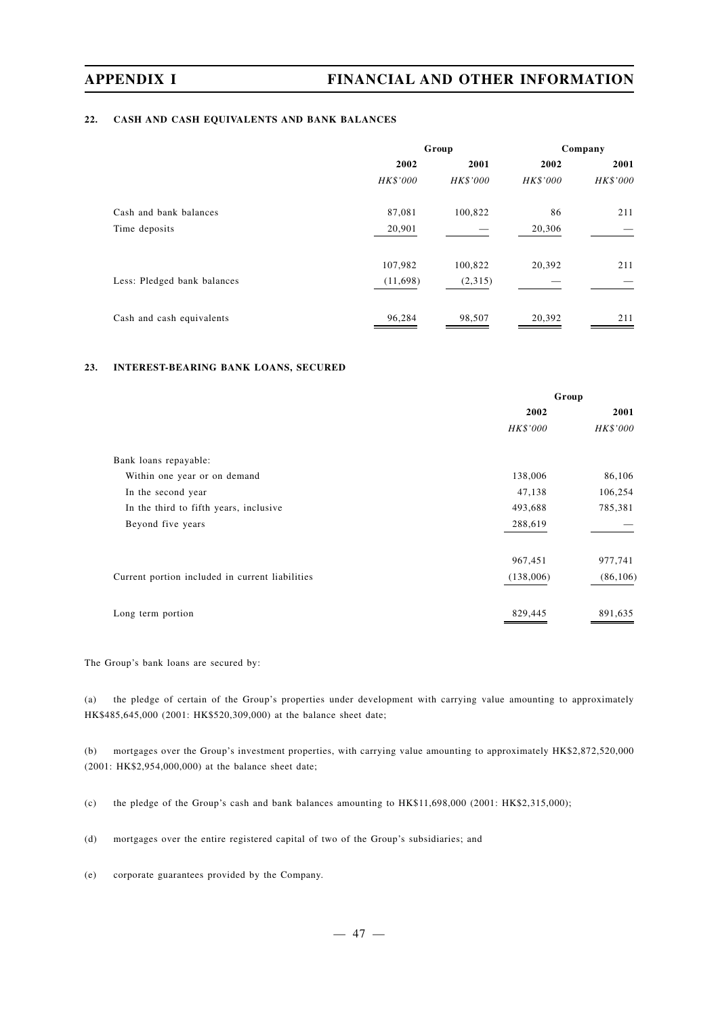### **22. CASH AND CASH EQUIVALENTS AND BANK BALANCES**

|                             | Group    |          | Company  |          |
|-----------------------------|----------|----------|----------|----------|
|                             | 2002     | 2001     | 2002     | 2001     |
|                             | HK\$'000 | HK\$'000 | HK\$'000 | HK\$'000 |
| Cash and bank balances      | 87,081   | 100,822  | 86       | 211      |
| Time deposits               | 20,901   |          | 20,306   |          |
|                             | 107,982  | 100,822  | 20,392   | 211      |
| Less: Pledged bank balances | (11,698) | (2,315)  |          |          |
| Cash and cash equivalents   | 96,284   | 98,507   | 20,392   | 211      |

### **23. INTEREST-BEARING BANK LOANS, SECURED**

|                                                 | Group     |           |  |
|-------------------------------------------------|-----------|-----------|--|
|                                                 | 2002      | 2001      |  |
|                                                 | HK\$'000  | HK\$'000  |  |
| Bank loans repayable:                           |           |           |  |
| Within one year or on demand                    | 138,006   | 86,106    |  |
| In the second year                              | 47,138    | 106,254   |  |
| In the third to fifth years, inclusive          | 493,688   | 785,381   |  |
| Beyond five years                               | 288,619   |           |  |
|                                                 | 967,451   | 977,741   |  |
| Current portion included in current liabilities | (138,006) | (86, 106) |  |
| Long term portion                               | 829,445   | 891,635   |  |

The Group's bank loans are secured by:

(a) the pledge of certain of the Group's properties under development with carrying value amounting to approximately HK\$485,645,000 (2001: HK\$520,309,000) at the balance sheet date;

(b) mortgages over the Group's investment properties, with carrying value amounting to approximately HK\$2,872,520,000 (2001: HK\$2,954,000,000) at the balance sheet date;

(c) the pledge of the Group's cash and bank balances amounting to HK\$11,698,000 (2001: HK\$2,315,000);

(d) mortgages over the entire registered capital of two of the Group's subsidiaries; and

(e) corporate guarantees provided by the Company.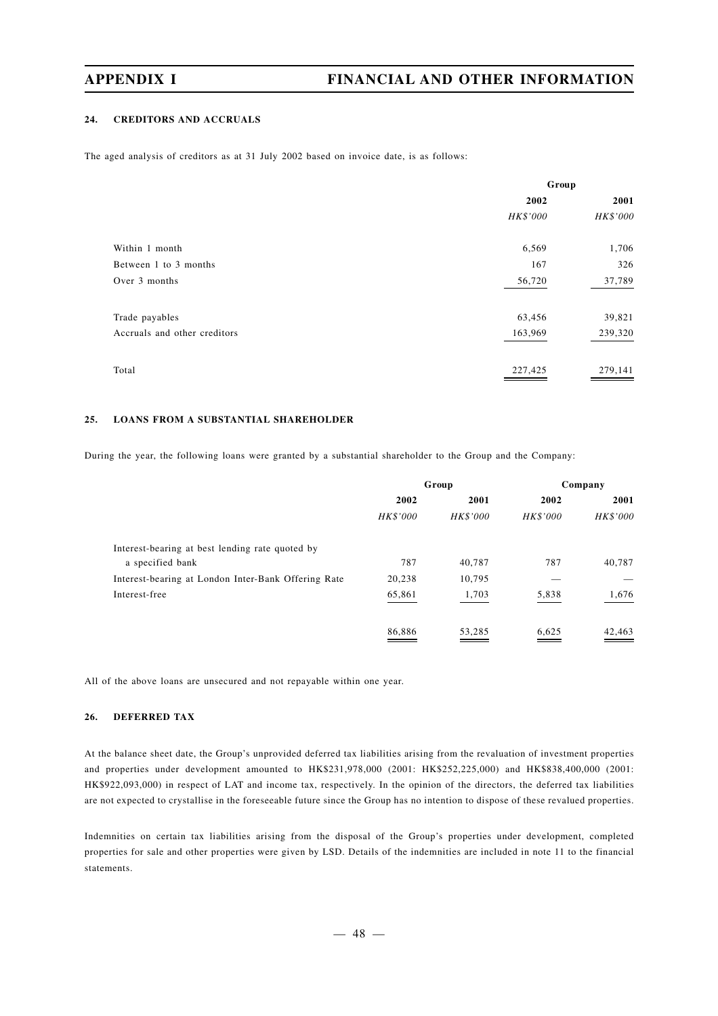### **24. CREDITORS AND ACCRUALS**

The aged analysis of creditors as at 31 July 2002 based on invoice date, is as follows:

|                              | Group    |          |
|------------------------------|----------|----------|
|                              | 2002     | 2001     |
|                              | HK\$'000 | HK\$'000 |
| Within 1 month               | 6,569    | 1,706    |
| Between 1 to 3 months        | 167      | 326      |
| Over 3 months                | 56,720   | 37,789   |
| Trade payables               | 63,456   | 39,821   |
| Accruals and other creditors | 163,969  | 239,320  |
| Total                        | 227,425  | 279,141  |

#### **25. LOANS FROM A SUBSTANTIAL SHAREHOLDER**

During the year, the following loans were granted by a substantial shareholder to the Group and the Company:

|                                                     | Group    |                 | Company         |          |
|-----------------------------------------------------|----------|-----------------|-----------------|----------|
|                                                     | 2002     | 2001            | 2002            | 2001     |
|                                                     | HK\$'000 | <b>HK\$'000</b> | <b>HK\$'000</b> | HK\$'000 |
| Interest-bearing at best lending rate quoted by     |          |                 |                 |          |
| a specified bank                                    | 787      | 40.787          | 787             | 40,787   |
| Interest-bearing at London Inter-Bank Offering Rate | 20,238   | 10,795          |                 |          |
| Interest-free                                       | 65,861   | 1,703           | 5,838           | 1,676    |
|                                                     | 86,886   | 53,285          | 6,625           | 42,463   |

All of the above loans are unsecured and not repayable within one year.

### **26. DEFERRED TAX**

At the balance sheet date, the Group's unprovided deferred tax liabilities arising from the revaluation of investment properties and properties under development amounted to HK\$231,978,000 (2001: HK\$252,225,000) and HK\$838,400,000 (2001: HK\$922,093,000) in respect of LAT and income tax, respectively. In the opinion of the directors, the deferred tax liabilities are not expected to crystallise in the foreseeable future since the Group has no intention to dispose of these revalued properties.

Indemnities on certain tax liabilities arising from the disposal of the Group's properties under development, completed properties for sale and other properties were given by LSD. Details of the indemnities are included in note 11 to the financial statements.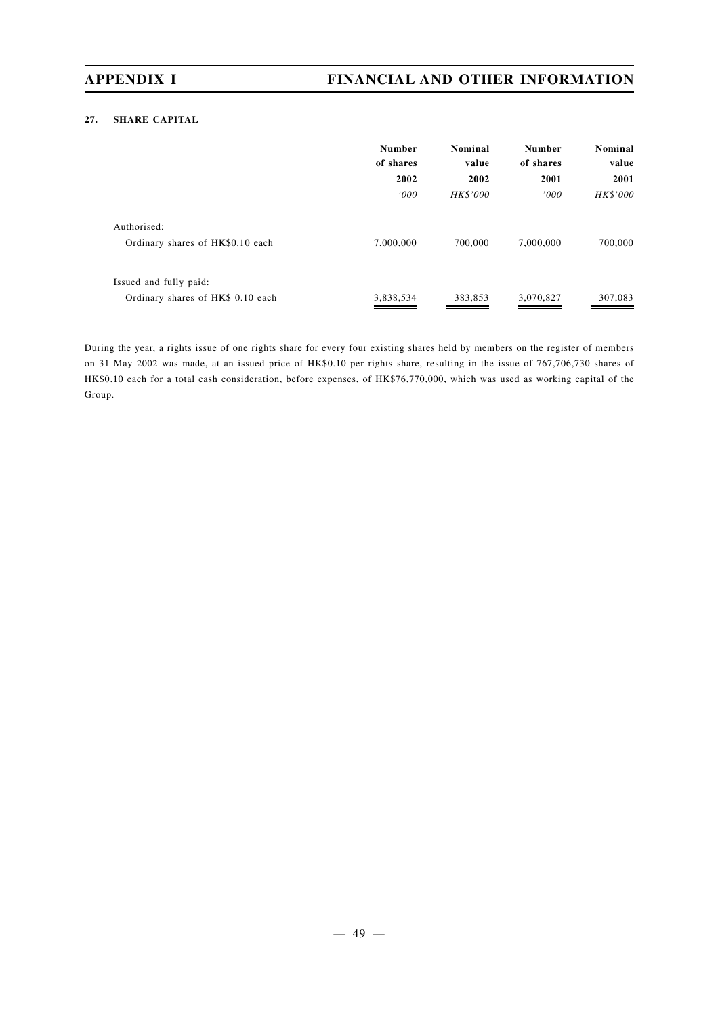## **27. SHARE CAPITAL**

|                                   | <b>Number</b><br>of shares | Nominal<br>value | <b>Number</b><br>of shares | Nominal<br>value |
|-----------------------------------|----------------------------|------------------|----------------------------|------------------|
|                                   | 2002                       | 2002             | 2001                       | 2001             |
|                                   | '000                       | HK\$'000         | '000'                      | HK\$'000         |
| Authorised:                       |                            |                  |                            |                  |
| Ordinary shares of HK\$0.10 each  | 7,000,000                  | 700,000          | 7,000,000                  | 700,000          |
| Issued and fully paid:            |                            |                  |                            |                  |
| Ordinary shares of HK\$ 0.10 each | 3,838,534                  | 383,853          | 3,070,827                  | 307,083          |

During the year, a rights issue of one rights share for every four existing shares held by members on the register of members on 31 May 2002 was made, at an issued price of HK\$0.10 per rights share, resulting in the issue of 767,706,730 shares of HK\$0.10 each for a total cash consideration, before expenses, of HK\$76,770,000, which was used as working capital of the Group.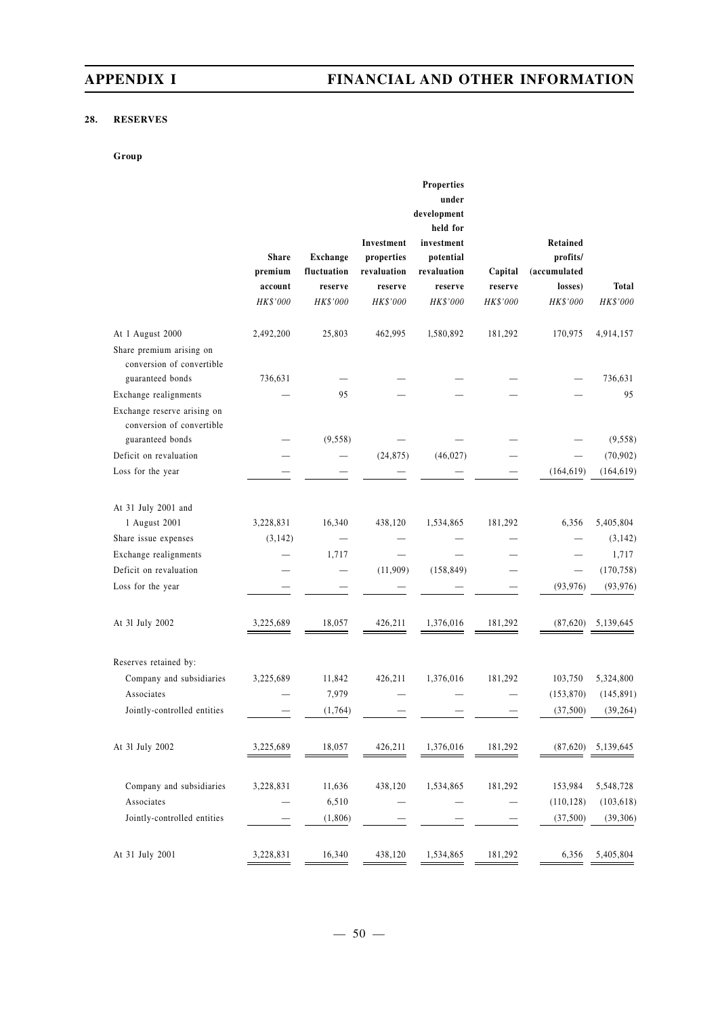## **28. RESERVES**

### **Group**

|                                                                                                       | <b>Share</b><br>premium<br>account<br>HK\$'000 | <b>Exchange</b><br>fluctuation<br>reserve<br>HK\$'000 | Investment<br>properties<br>revaluation<br>reserve<br>HK\$'000 | <b>Properties</b><br>under<br>development<br>held for<br>investment<br>potential<br>revaluation<br>reserve<br>HK\$'000 | Capital<br>reserve<br>HK\$'000 | Retained<br>profits/<br>(accumulated<br>losses)<br>HK\$'000 | Total<br>HK\$'000       |
|-------------------------------------------------------------------------------------------------------|------------------------------------------------|-------------------------------------------------------|----------------------------------------------------------------|------------------------------------------------------------------------------------------------------------------------|--------------------------------|-------------------------------------------------------------|-------------------------|
| At 1 August 2000<br>Share premium arising on<br>conversion of convertible                             | 2,492,200                                      | 25,803                                                | 462,995                                                        | 1,580,892                                                                                                              | 181,292                        | 170,975                                                     | 4,914,157               |
| guaranteed bonds                                                                                      | 736,631                                        |                                                       |                                                                |                                                                                                                        |                                |                                                             | 736,631                 |
| Exchange realignments<br>Exchange reserve arising on<br>conversion of convertible<br>guaranteed bonds |                                                | 95<br>(9, 558)                                        |                                                                |                                                                                                                        |                                |                                                             | 95<br>(9, 558)          |
| Deficit on revaluation                                                                                |                                                |                                                       | (24, 875)                                                      | (46, 027)                                                                                                              |                                |                                                             | (70, 902)               |
| Loss for the year                                                                                     |                                                |                                                       |                                                                |                                                                                                                        |                                | (164, 619)                                                  | (164, 619)              |
| At 31 July 2001 and                                                                                   |                                                |                                                       |                                                                |                                                                                                                        |                                |                                                             |                         |
| 1 August 2001                                                                                         | 3,228,831                                      | 16,340                                                | 438,120                                                        | 1,534,865                                                                                                              | 181,292                        | 6,356                                                       | 5,405,804               |
| Share issue expenses                                                                                  | (3, 142)                                       |                                                       |                                                                |                                                                                                                        |                                |                                                             | (3, 142)                |
| Exchange realignments                                                                                 |                                                | 1,717                                                 |                                                                |                                                                                                                        |                                |                                                             | 1,717                   |
| Deficit on revaluation<br>Loss for the year                                                           |                                                |                                                       | (11,909)                                                       | (158, 849)                                                                                                             |                                | $\overline{\phantom{0}}$<br>(93, 976)                       | (170, 758)<br>(93, 976) |
| At 31 July 2002                                                                                       | 3,225,689                                      | 18,057                                                | 426,211                                                        | 1,376,016                                                                                                              | 181,292                        | (87,620)                                                    | 5,139,645               |
| Reserves retained by:                                                                                 |                                                |                                                       |                                                                |                                                                                                                        |                                |                                                             |                         |
| Company and subsidiaries                                                                              | 3,225,689                                      | 11,842                                                | 426,211                                                        | 1,376,016                                                                                                              | 181,292                        | 103,750                                                     | 5,324,800               |
| Associates                                                                                            |                                                | 7,979                                                 |                                                                |                                                                                                                        |                                | (153, 870)                                                  | (145, 891)              |
| Jointly-controlled entities                                                                           |                                                | (1, 764)                                              |                                                                |                                                                                                                        |                                | (37,500)                                                    | (39, 264)               |
| At 31 July 2002                                                                                       | 3,225,689                                      | 18,057                                                | 426,211                                                        | 1,376,016                                                                                                              | 181,292                        | (87,620)                                                    | 5,139,645               |
| Company and subsidiaries                                                                              | 3,228,831                                      | 11,636                                                | 438,120                                                        | 1,534,865                                                                                                              | 181,292                        | 153,984                                                     | 5,548,728               |
| Associates                                                                                            |                                                | 6,510                                                 |                                                                |                                                                                                                        |                                | (110, 128)                                                  | (103, 618)              |
| Jointly-controlled entities                                                                           |                                                | (1,806)                                               |                                                                |                                                                                                                        |                                | (37,500)                                                    | (39, 306)               |
| At 31 July 2001                                                                                       | 3,228,831                                      | 16,340                                                | 438,120                                                        | 1,534,865                                                                                                              | 181,292                        | 6,356                                                       | 5,405,804               |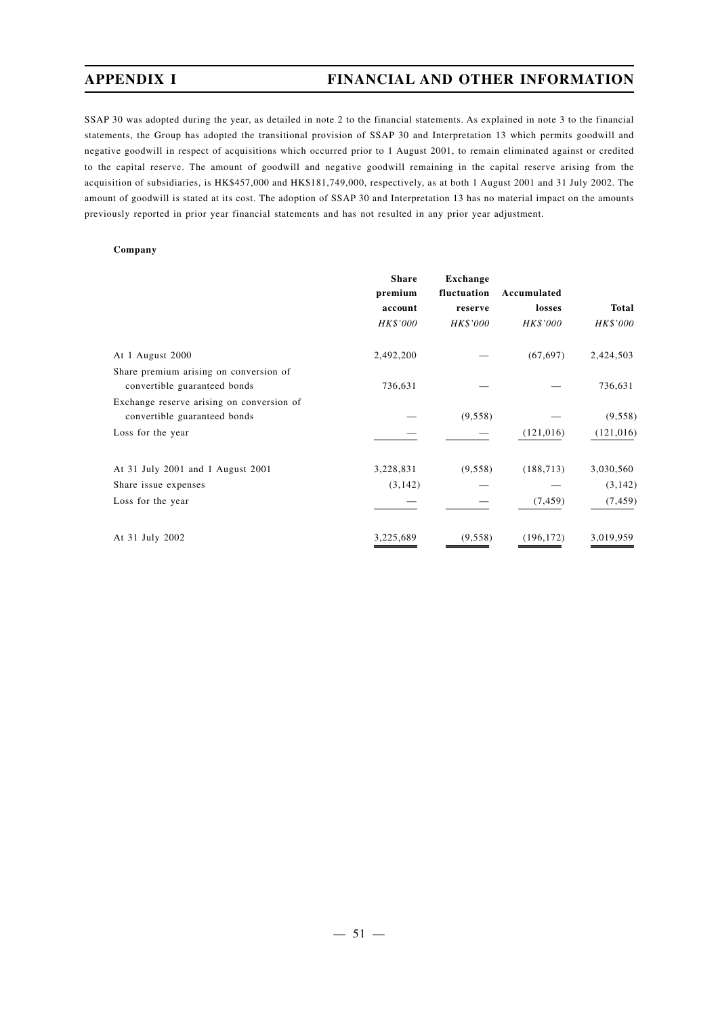SSAP 30 was adopted during the year, as detailed in note 2 to the financial statements. As explained in note 3 to the financial statements, the Group has adopted the transitional provision of SSAP 30 and Interpretation 13 which permits goodwill and negative goodwill in respect of acquisitions which occurred prior to 1 August 2001, to remain eliminated against or credited to the capital reserve. The amount of goodwill and negative goodwill remaining in the capital reserve arising from the acquisition of subsidiaries, is HK\$457,000 and HK\$181,749,000, respectively, as at both 1 August 2001 and 31 July 2002. The amount of goodwill is stated at its cost. The adoption of SSAP 30 and Interpretation 13 has no material impact on the amounts previously reported in prior year financial statements and has not resulted in any prior year adjustment.

#### **Company**

|                                           | <b>Share</b> | Exchange    |             |            |
|-------------------------------------------|--------------|-------------|-------------|------------|
|                                           | premium      | fluctuation | Accumulated |            |
|                                           | account      | reserve     | losses      | Total      |
|                                           | HK\$'000     | HK\$'000    | HK\$'000    | HK\$'000   |
| At 1 August 2000                          | 2,492,200    |             | (67, 697)   | 2,424,503  |
| Share premium arising on conversion of    |              |             |             |            |
| convertible guaranteed bonds              | 736,631      |             |             | 736,631    |
| Exchange reserve arising on conversion of |              |             |             |            |
| convertible guaranteed bonds              |              | (9, 558)    |             | (9, 558)   |
| Loss for the year                         |              |             | (121, 016)  | (121, 016) |
| At 31 July 2001 and 1 August 2001         | 3,228,831    | (9, 558)    | (188, 713)  | 3,030,560  |
| Share issue expenses                      | (3, 142)     |             |             | (3, 142)   |
| Loss for the year                         |              |             | (7, 459)    | (7, 459)   |
| At 31 July 2002                           | 3,225,689    | (9, 558)    | (196, 172)  | 3,019,959  |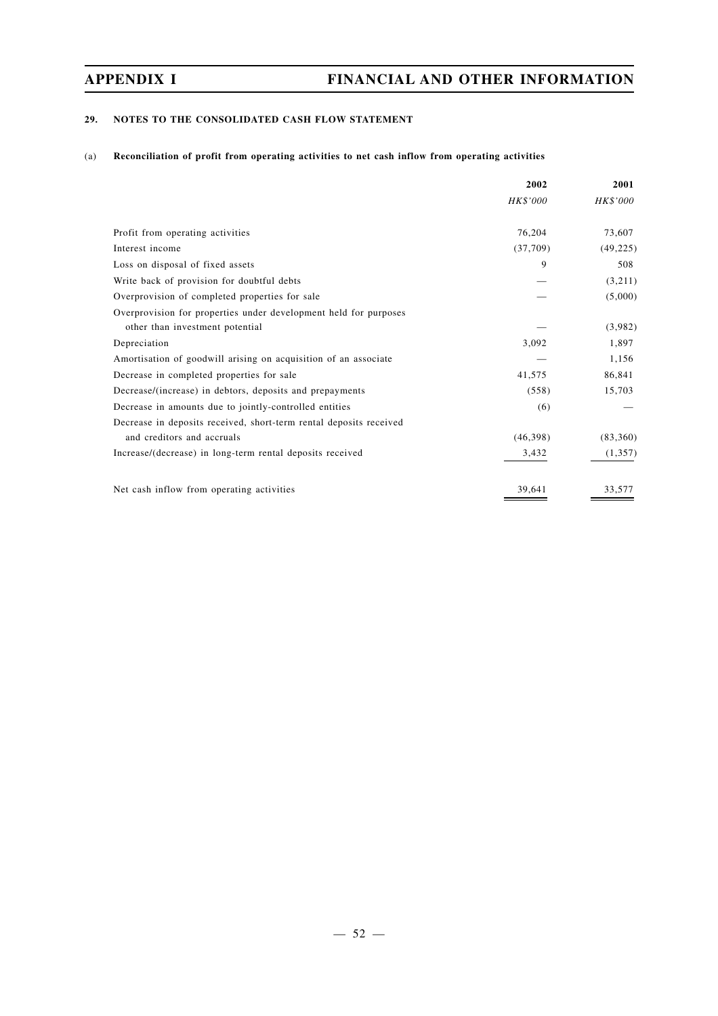## **29. NOTES TO THE CONSOLIDATED CASH FLOW STATEMENT**

### (a) **Reconciliation of profit from operating activities to net cash inflow from operating activities**

|                                                                    | 2002     | 2001      |
|--------------------------------------------------------------------|----------|-----------|
|                                                                    | HK\$'000 | HK\$'000  |
| Profit from operating activities                                   | 76,204   | 73,607    |
| Interest income                                                    | (37,709) | (49, 225) |
| Loss on disposal of fixed assets                                   | 9        | 508       |
| Write back of provision for doubtful debts                         |          | (3,211)   |
| Overprovision of completed properties for sale                     |          | (5,000)   |
| Overprovision for properties under development held for purposes   |          |           |
| other than investment potential                                    |          | (3,982)   |
| Depreciation                                                       | 3,092    | 1,897     |
| Amortisation of goodwill arising on acquisition of an associate    |          | 1,156     |
| Decrease in completed properties for sale                          | 41,575   | 86,841    |
| Decrease/(increase) in debtors, deposits and prepayments           | (558)    | 15,703    |
| Decrease in amounts due to jointly-controlled entities             | (6)      |           |
| Decrease in deposits received, short-term rental deposits received |          |           |
| and creditors and accruals                                         | (46,398) | (83,360)  |
| Increase/(decrease) in long-term rental deposits received          | 3,432    | (1, 357)  |
| Net cash inflow from operating activities                          | 39.641   |           |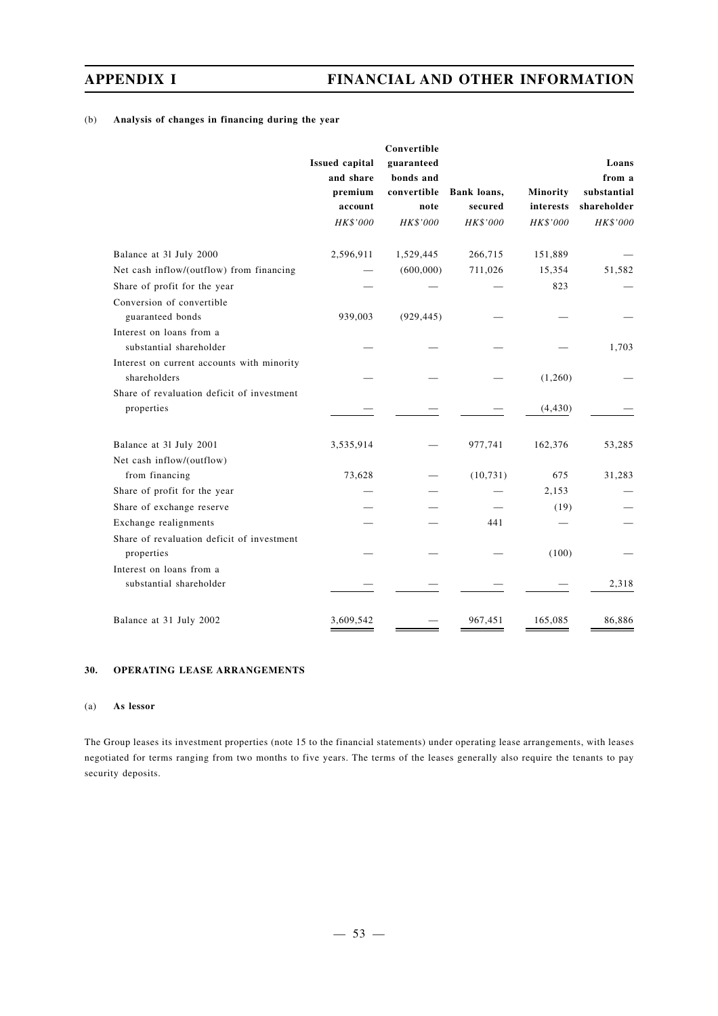## (b) **Analysis of changes in financing during the year**

|                                                            | <b>Issued capital</b> | Convertible<br>guaranteed |             |           | Loans       |
|------------------------------------------------------------|-----------------------|---------------------------|-------------|-----------|-------------|
|                                                            | and share             | bonds and                 |             |           | from a      |
|                                                            | premium               | convertible               | Bank loans, | Minority  | substantial |
|                                                            | account               | note                      | secured     | interests | shareholder |
|                                                            | HK\$'000              | HK\$'000                  | HK\$'000    | HK\$'000  | HK\$'000    |
| Balance at 31 July 2000                                    | 2,596,911             | 1,529,445                 | 266,715     | 151,889   |             |
| Net cash inflow/(outflow) from financing                   |                       | (600,000)                 | 711,026     | 15,354    | 51,582      |
| Share of profit for the year                               |                       |                           |             | 823       |             |
| Conversion of convertible                                  |                       |                           |             |           |             |
| guaranteed bonds                                           | 939,003               | (929, 445)                |             |           |             |
| Interest on loans from a<br>substantial shareholder        |                       |                           |             |           | 1,703       |
| Interest on current accounts with minority<br>shareholders |                       |                           |             | (1,260)   |             |
| Share of revaluation deficit of investment<br>properties   |                       |                           |             | (4, 430)  |             |
| Balance at 31 July 2001                                    | 3,535,914             |                           | 977,741     | 162,376   | 53,285      |
| Net cash inflow/(outflow)                                  |                       |                           |             |           |             |
| from financing                                             | 73,628                |                           | (10, 731)   | 675       | 31,283      |
| Share of profit for the year                               |                       |                           |             | 2,153     |             |
| Share of exchange reserve                                  |                       |                           |             | (19)      |             |
| Exchange realignments                                      |                       |                           | 441         |           |             |
| Share of revaluation deficit of investment<br>properties   |                       |                           |             | (100)     |             |
| Interest on loans from a                                   |                       |                           |             |           |             |
| substantial shareholder                                    |                       |                           |             |           | 2,318       |
| Balance at 31 July 2002                                    | 3,609,542             |                           | 967,451     | 165,085   | 86,886      |

## **30. OPERATING LEASE ARRANGEMENTS**

### (a) **As lessor**

The Group leases its investment properties (note 15 to the financial statements) under operating lease arrangements, with leases negotiated for terms ranging from two months to five years. The terms of the leases generally also require the tenants to pay security deposits.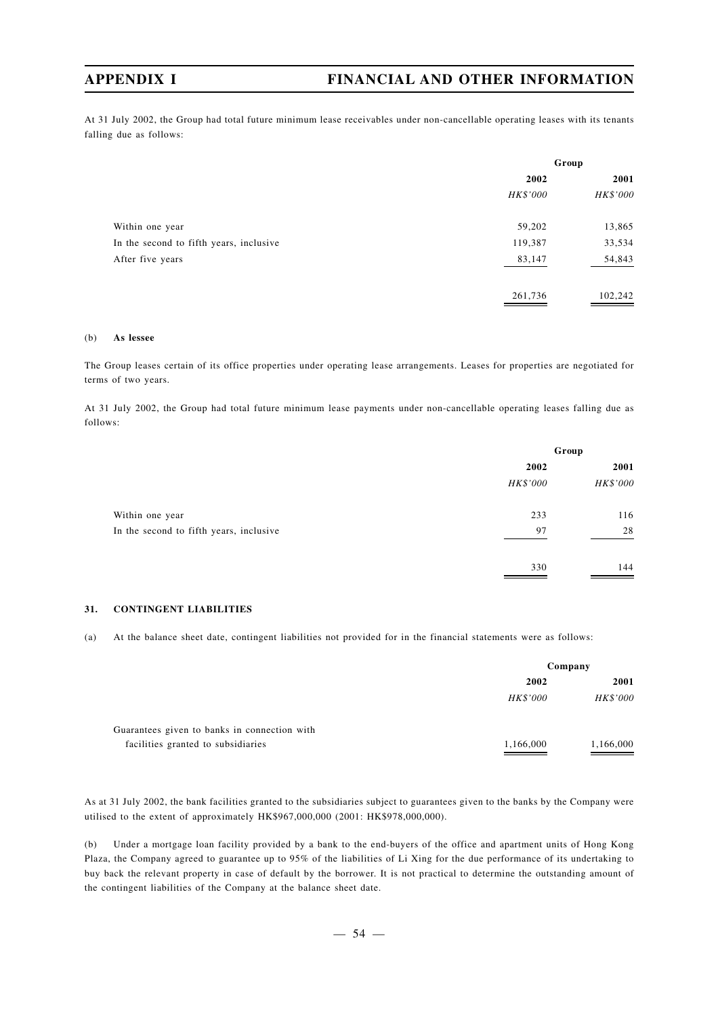At 31 July 2002, the Group had total future minimum lease receivables under non-cancellable operating leases with its tenants falling due as follows:

|                                         | Group    |          |  |
|-----------------------------------------|----------|----------|--|
|                                         | 2002     | 2001     |  |
|                                         | HK\$'000 | HK\$'000 |  |
| Within one year                         | 59,202   | 13,865   |  |
| In the second to fifth years, inclusive | 119,387  | 33,534   |  |
| After five years                        | 83,147   | 54,843   |  |
|                                         | 261,736  | 102,242  |  |

#### (b) **As lessee**

The Group leases certain of its office properties under operating lease arrangements. Leases for properties are negotiated for terms of two years.

At 31 July 2002, the Group had total future minimum lease payments under non-cancellable operating leases falling due as follows:

|                                         | Group    |          |  |
|-----------------------------------------|----------|----------|--|
|                                         | 2002     | 2001     |  |
|                                         | HK\$'000 | HK\$'000 |  |
| Within one year                         | 233      | 116      |  |
| In the second to fifth years, inclusive | 97       | 28       |  |
|                                         | 330      | 144      |  |

#### **31. CONTINGENT LIABILITIES**

(a) At the balance sheet date, contingent liabilities not provided for in the financial statements were as follows:

|                                              | Company   |           |
|----------------------------------------------|-----------|-----------|
|                                              | 2002      | 2001      |
|                                              | HK\$'000  | HK\$'000  |
| Guarantees given to banks in connection with |           |           |
| facilities granted to subsidiaries           | 1,166,000 | 1,166,000 |

As at 31 July 2002, the bank facilities granted to the subsidiaries subject to guarantees given to the banks by the Company were utilised to the extent of approximately HK\$967,000,000 (2001: HK\$978,000,000).

(b) Under a mortgage loan facility provided by a bank to the end-buyers of the office and apartment units of Hong Kong Plaza, the Company agreed to guarantee up to 95% of the liabilities of Li Xing for the due performance of its undertaking to buy back the relevant property in case of default by the borrower. It is not practical to determine the outstanding amount of the contingent liabilities of the Company at the balance sheet date.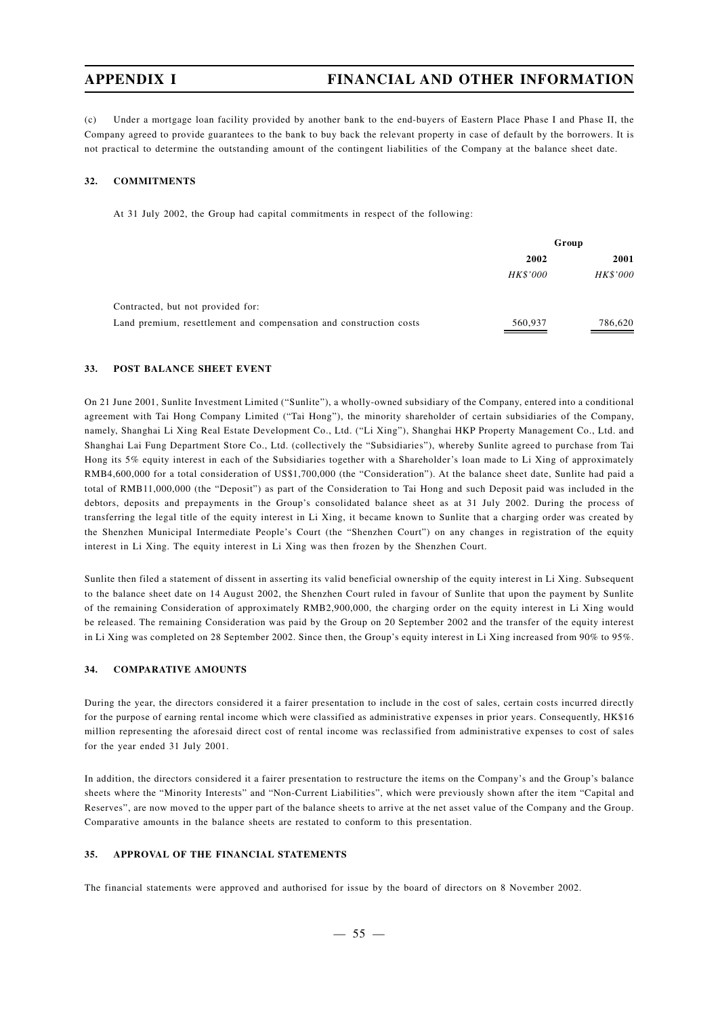(c) Under a mortgage loan facility provided by another bank to the end-buyers of Eastern Place Phase I and Phase II, the Company agreed to provide guarantees to the bank to buy back the relevant property in case of default by the borrowers. It is not practical to determine the outstanding amount of the contingent liabilities of the Company at the balance sheet date.

#### **32. COMMITMENTS**

At 31 July 2002, the Group had capital commitments in respect of the following:

|                                                                    | Group    |          |
|--------------------------------------------------------------------|----------|----------|
|                                                                    | 2002     | 2001     |
|                                                                    | HK\$'000 | HK\$'000 |
| Contracted, but not provided for:                                  |          |          |
| Land premium, resettlement and compensation and construction costs | 560,937  | 786,620  |

#### **33. POST BALANCE SHEET EVENT**

On 21 June 2001, Sunlite Investment Limited ("Sunlite"), a wholly-owned subsidiary of the Company, entered into a conditional agreement with Tai Hong Company Limited ("Tai Hong"), the minority shareholder of certain subsidiaries of the Company, namely, Shanghai Li Xing Real Estate Development Co., Ltd. ("Li Xing"), Shanghai HKP Property Management Co., Ltd. and Shanghai Lai Fung Department Store Co., Ltd. (collectively the "Subsidiaries"), whereby Sunlite agreed to purchase from Tai Hong its 5% equity interest in each of the Subsidiaries together with a Shareholder's loan made to Li Xing of approximately RMB4,600,000 for a total consideration of US\$1,700,000 (the "Consideration"). At the balance sheet date, Sunlite had paid a total of RMB11,000,000 (the "Deposit") as part of the Consideration to Tai Hong and such Deposit paid was included in the debtors, deposits and prepayments in the Group's consolidated balance sheet as at 31 July 2002. During the process of transferring the legal title of the equity interest in Li Xing, it became known to Sunlite that a charging order was created by the Shenzhen Municipal Intermediate People's Court (the "Shenzhen Court") on any changes in registration of the equity interest in Li Xing. The equity interest in Li Xing was then frozen by the Shenzhen Court.

Sunlite then filed a statement of dissent in asserting its valid beneficial ownership of the equity interest in Li Xing. Subsequent to the balance sheet date on 14 August 2002, the Shenzhen Court ruled in favour of Sunlite that upon the payment by Sunlite of the remaining Consideration of approximately RMB2,900,000, the charging order on the equity interest in Li Xing would be released. The remaining Consideration was paid by the Group on 20 September 2002 and the transfer of the equity interest in Li Xing was completed on 28 September 2002. Since then, the Group's equity interest in Li Xing increased from 90% to 95%.

#### **34. COMPARATIVE AMOUNTS**

During the year, the directors considered it a fairer presentation to include in the cost of sales, certain costs incurred directly for the purpose of earning rental income which were classified as administrative expenses in prior years. Consequently, HK\$16 million representing the aforesaid direct cost of rental income was reclassified from administrative expenses to cost of sales for the year ended 31 July 2001.

In addition, the directors considered it a fairer presentation to restructure the items on the Company's and the Group's balance sheets where the "Minority Interests" and "Non-Current Liabilities", which were previously shown after the item "Capital and Reserves", are now moved to the upper part of the balance sheets to arrive at the net asset value of the Company and the Group. Comparative amounts in the balance sheets are restated to conform to this presentation.

### **35. APPROVAL OF THE FINANCIAL STATEMENTS**

The financial statements were approved and authorised for issue by the board of directors on 8 November 2002.

 $-55 -$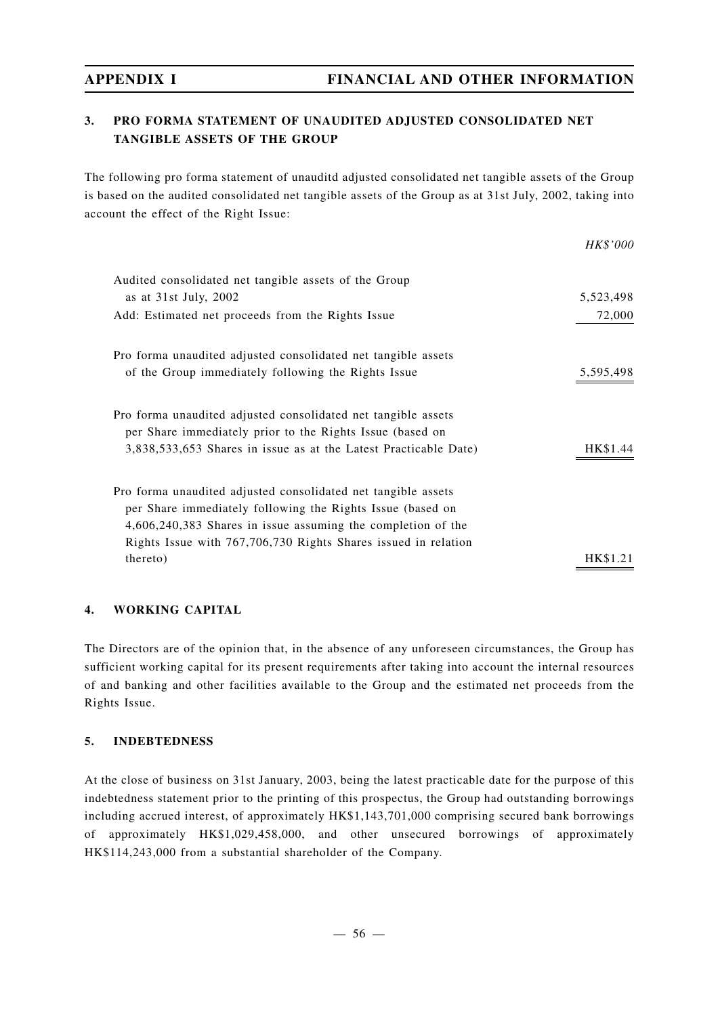## **3. PRO FORMA STATEMENT OF UNAUDITED ADJUSTED CONSOLIDATED NET TANGIBLE ASSETS OF THE GROUP**

The following pro forma statement of unauditd adjusted consolidated net tangible assets of the Group is based on the audited consolidated net tangible assets of the Group as at 31st July, 2002, taking into account the effect of the Right Issue:

|                                                                  | <i>HK\$'000</i> |
|------------------------------------------------------------------|-----------------|
| Audited consolidated net tangible assets of the Group            |                 |
| as at $31st$ July, $2002$                                        | 5,523,498       |
| Add: Estimated net proceeds from the Rights Issue                | 72,000          |
| Pro forma unaudited adjusted consolidated net tangible assets    |                 |
| of the Group immediately following the Rights Issue              | 5,595,498       |
| Pro forma unaudited adjusted consolidated net tangible assets    |                 |
| per Share immediately prior to the Rights Issue (based on        |                 |
| 3,838,533,653 Shares in issue as at the Latest Practicable Date) |                 |
| Pro forma unaudited adjusted consolidated net tangible assets    |                 |
| per Share immediately following the Rights Issue (based on       |                 |
| 4,606,240,383 Shares in issue assuming the completion of the     |                 |
| Rights Issue with 767,706,730 Rights Shares issued in relation   |                 |
| thereto)                                                         |                 |
|                                                                  |                 |

## **4. WORKING CAPITAL**

The Directors are of the opinion that, in the absence of any unforeseen circumstances, the Group has sufficient working capital for its present requirements after taking into account the internal resources of and banking and other facilities available to the Group and the estimated net proceeds from the Rights Issue.

## **5. INDEBTEDNESS**

At the close of business on 31st January, 2003, being the latest practicable date for the purpose of this indebtedness statement prior to the printing of this prospectus, the Group had outstanding borrowings including accrued interest, of approximately HK\$1,143,701,000 comprising secured bank borrowings of approximately HK\$1,029,458,000, and other unsecured borrowings of approximately HK\$114,243,000 from a substantial shareholder of the Company.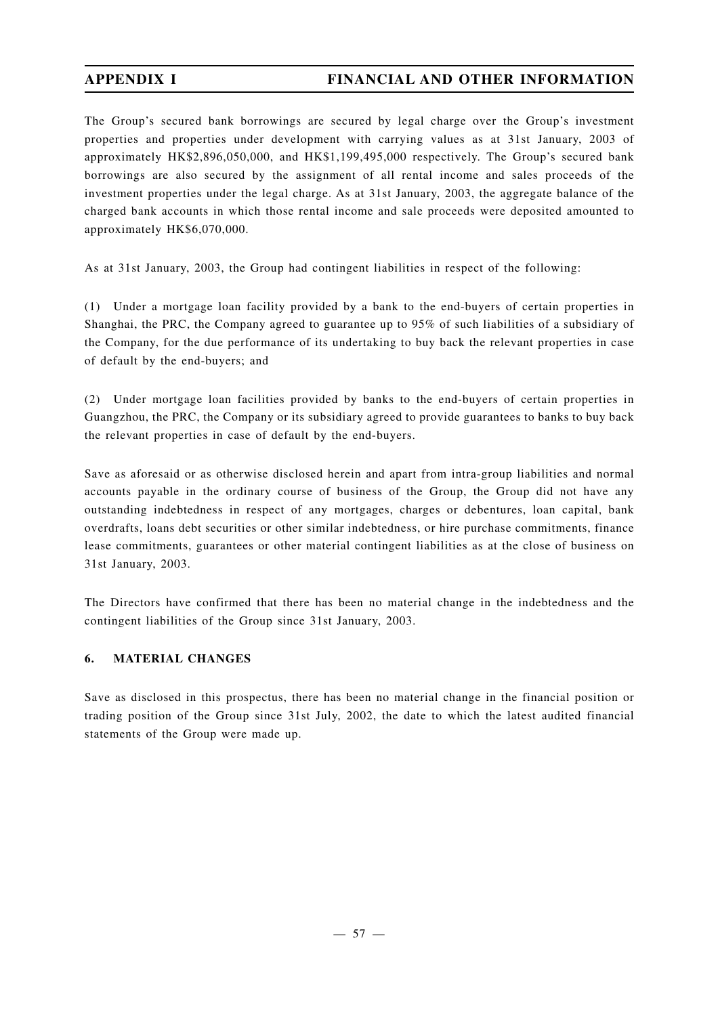The Group's secured bank borrowings are secured by legal charge over the Group's investment properties and properties under development with carrying values as at 31st January, 2003 of approximately HK\$2,896,050,000, and HK\$1,199,495,000 respectively. The Group's secured bank borrowings are also secured by the assignment of all rental income and sales proceeds of the investment properties under the legal charge. As at 31st January, 2003, the aggregate balance of the charged bank accounts in which those rental income and sale proceeds were deposited amounted to approximately HK\$6,070,000.

As at 31st January, 2003, the Group had contingent liabilities in respect of the following:

(1) Under a mortgage loan facility provided by a bank to the end-buyers of certain properties in Shanghai, the PRC, the Company agreed to guarantee up to 95% of such liabilities of a subsidiary of the Company, for the due performance of its undertaking to buy back the relevant properties in case of default by the end-buyers; and

(2) Under mortgage loan facilities provided by banks to the end-buyers of certain properties in Guangzhou, the PRC, the Company or its subsidiary agreed to provide guarantees to banks to buy back the relevant properties in case of default by the end-buyers.

Save as aforesaid or as otherwise disclosed herein and apart from intra-group liabilities and normal accounts payable in the ordinary course of business of the Group, the Group did not have any outstanding indebtedness in respect of any mortgages, charges or debentures, loan capital, bank overdrafts, loans debt securities or other similar indebtedness, or hire purchase commitments, finance lease commitments, guarantees or other material contingent liabilities as at the close of business on 31st January, 2003.

The Directors have confirmed that there has been no material change in the indebtedness and the contingent liabilities of the Group since 31st January, 2003.

## **6. MATERIAL CHANGES**

Save as disclosed in this prospectus, there has been no material change in the financial position or trading position of the Group since 31st July, 2002, the date to which the latest audited financial statements of the Group were made up.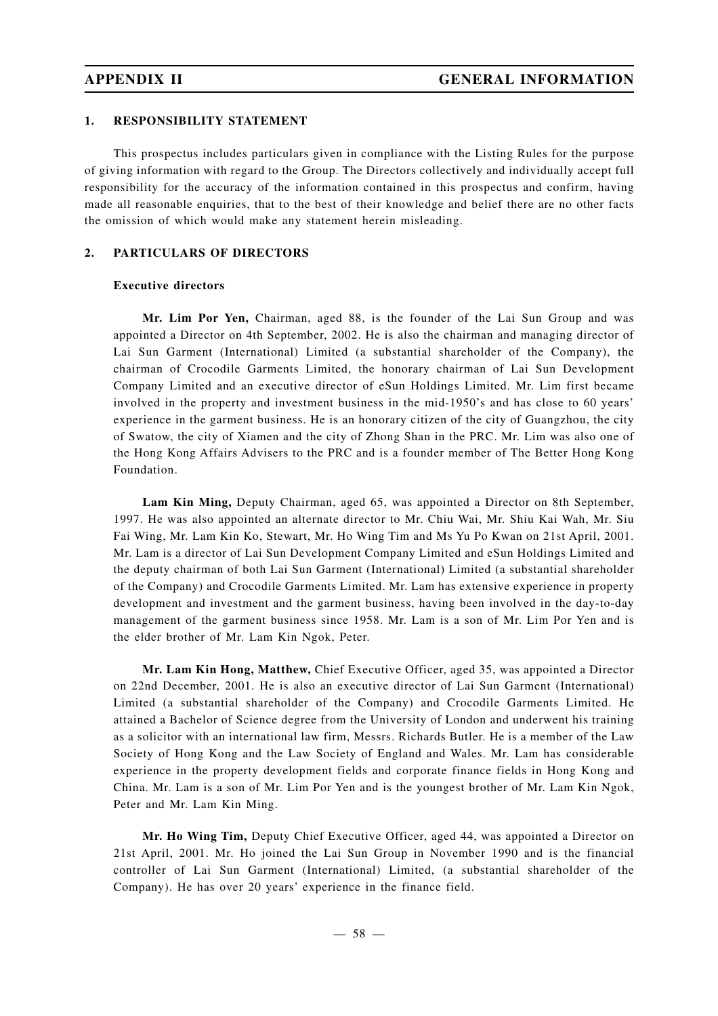### **1. RESPONSIBILITY STATEMENT**

This prospectus includes particulars given in compliance with the Listing Rules for the purpose of giving information with regard to the Group. The Directors collectively and individually accept full responsibility for the accuracy of the information contained in this prospectus and confirm, having made all reasonable enquiries, that to the best of their knowledge and belief there are no other facts the omission of which would make any statement herein misleading.

### **2. PARTICULARS OF DIRECTORS**

### **Executive directors**

**Mr. Lim Por Yen,** Chairman, aged 88, is the founder of the Lai Sun Group and was appointed a Director on 4th September, 2002. He is also the chairman and managing director of Lai Sun Garment (International) Limited (a substantial shareholder of the Company), the chairman of Crocodile Garments Limited, the honorary chairman of Lai Sun Development Company Limited and an executive director of eSun Holdings Limited. Mr. Lim first became involved in the property and investment business in the mid-1950's and has close to 60 years' experience in the garment business. He is an honorary citizen of the city of Guangzhou, the city of Swatow, the city of Xiamen and the city of Zhong Shan in the PRC. Mr. Lim was also one of the Hong Kong Affairs Advisers to the PRC and is a founder member of The Better Hong Kong Foundation.

**Lam Kin Ming,** Deputy Chairman, aged 65, was appointed a Director on 8th September, 1997. He was also appointed an alternate director to Mr. Chiu Wai, Mr. Shiu Kai Wah, Mr. Siu Fai Wing, Mr. Lam Kin Ko, Stewart, Mr. Ho Wing Tim and Ms Yu Po Kwan on 21st April, 2001. Mr. Lam is a director of Lai Sun Development Company Limited and eSun Holdings Limited and the deputy chairman of both Lai Sun Garment (International) Limited (a substantial shareholder of the Company) and Crocodile Garments Limited. Mr. Lam has extensive experience in property development and investment and the garment business, having been involved in the day-to-day management of the garment business since 1958. Mr. Lam is a son of Mr. Lim Por Yen and is the elder brother of Mr. Lam Kin Ngok, Peter.

**Mr. Lam Kin Hong, Matthew,** Chief Executive Officer, aged 35, was appointed a Director on 22nd December, 2001. He is also an executive director of Lai Sun Garment (International) Limited (a substantial shareholder of the Company) and Crocodile Garments Limited. He attained a Bachelor of Science degree from the University of London and underwent his training as a solicitor with an international law firm, Messrs. Richards Butler. He is a member of the Law Society of Hong Kong and the Law Society of England and Wales. Mr. Lam has considerable experience in the property development fields and corporate finance fields in Hong Kong and China. Mr. Lam is a son of Mr. Lim Por Yen and is the youngest brother of Mr. Lam Kin Ngok, Peter and Mr. Lam Kin Ming.

**Mr. Ho Wing Tim,** Deputy Chief Executive Officer, aged 44, was appointed a Director on 21st April, 2001. Mr. Ho joined the Lai Sun Group in November 1990 and is the financial controller of Lai Sun Garment (International) Limited, (a substantial shareholder of the Company). He has over 20 years' experience in the finance field.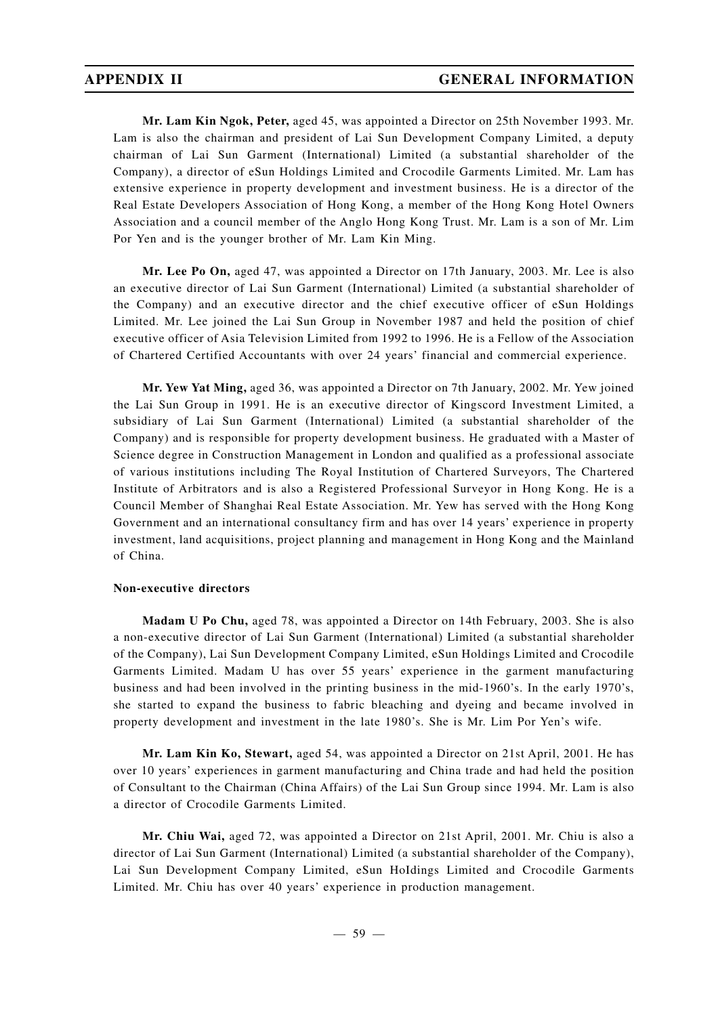**Mr. Lam Kin Ngok, Peter,** aged 45, was appointed a Director on 25th November 1993. Mr. Lam is also the chairman and president of Lai Sun Development Company Limited, a deputy chairman of Lai Sun Garment (International) Limited (a substantial shareholder of the Company), a director of eSun Holdings Limited and Crocodile Garments Limited. Mr. Lam has extensive experience in property development and investment business. He is a director of the Real Estate Developers Association of Hong Kong, a member of the Hong Kong Hotel Owners Association and a council member of the Anglo Hong Kong Trust. Mr. Lam is a son of Mr. Lim Por Yen and is the younger brother of Mr. Lam Kin Ming.

**Mr. Lee Po On,** aged 47, was appointed a Director on 17th January, 2003. Mr. Lee is also an executive director of Lai Sun Garment (International) Limited (a substantial shareholder of the Company) and an executive director and the chief executive officer of eSun Holdings Limited. Mr. Lee joined the Lai Sun Group in November 1987 and held the position of chief executive officer of Asia Television Limited from 1992 to 1996. He is a Fellow of the Association of Chartered Certified Accountants with over 24 years' financial and commercial experience.

**Mr. Yew Yat Ming,** aged 36, was appointed a Director on 7th January, 2002. Mr. Yew joined the Lai Sun Group in 1991. He is an executive director of Kingscord Investment Limited, a subsidiary of Lai Sun Garment (International) Limited (a substantial shareholder of the Company) and is responsible for property development business. He graduated with a Master of Science degree in Construction Management in London and qualified as a professional associate of various institutions including The Royal Institution of Chartered Surveyors, The Chartered Institute of Arbitrators and is also a Registered Professional Surveyor in Hong Kong. He is a Council Member of Shanghai Real Estate Association. Mr. Yew has served with the Hong Kong Government and an international consultancy firm and has over 14 years' experience in property investment, land acquisitions, project planning and management in Hong Kong and the Mainland of China.

### **Non-executive directors**

**Madam U Po Chu,** aged 78, was appointed a Director on 14th February, 2003. She is also a non-executive director of Lai Sun Garment (International) Limited (a substantial shareholder of the Company), Lai Sun Development Company Limited, eSun Holdings Limited and Crocodile Garments Limited. Madam U has over 55 years' experience in the garment manufacturing business and had been involved in the printing business in the mid-1960's. In the early 1970's, she started to expand the business to fabric bleaching and dyeing and became involved in property development and investment in the late 1980's. She is Mr. Lim Por Yen's wife.

**Mr. Lam Kin Ko, Stewart,** aged 54, was appointed a Director on 21st April, 2001. He has over 10 years' experiences in garment manufacturing and China trade and had held the position of Consultant to the Chairman (China Affairs) of the Lai Sun Group since 1994. Mr. Lam is also a director of Crocodile Garments Limited.

**Mr. Chiu Wai,** aged 72, was appointed a Director on 21st April, 2001. Mr. Chiu is also a director of Lai Sun Garment (International) Limited (a substantial shareholder of the Company), Lai Sun Development Company Limited, eSun HoIdings Limited and Crocodile Garments Limited. Mr. Chiu has over 40 years' experience in production management.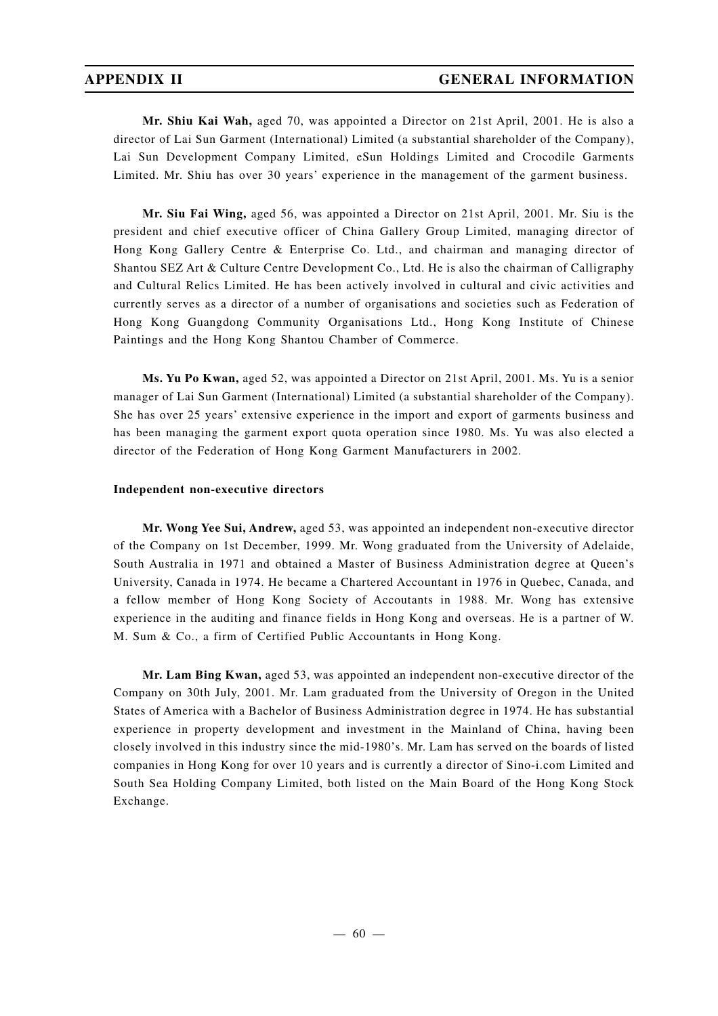**Mr. Shiu Kai Wah,** aged 70, was appointed a Director on 21st April, 2001. He is also a director of Lai Sun Garment (International) Limited (a substantial shareholder of the Company), Lai Sun Development Company Limited, eSun Holdings Limited and Crocodile Garments Limited. Mr. Shiu has over 30 years' experience in the management of the garment business.

**Mr. Siu Fai Wing,** aged 56, was appointed a Director on 21st April, 2001. Mr. Siu is the president and chief executive officer of China Gallery Group Limited, managing director of Hong Kong Gallery Centre & Enterprise Co. Ltd., and chairman and managing director of Shantou SEZ Art & Culture Centre Development Co., Ltd. He is also the chairman of Calligraphy and Cultural Relics Limited. He has been actively involved in cultural and civic activities and currently serves as a director of a number of organisations and societies such as Federation of Hong Kong Guangdong Community Organisations Ltd., Hong Kong Institute of Chinese Paintings and the Hong Kong Shantou Chamber of Commerce.

**Ms. Yu Po Kwan,** aged 52, was appointed a Director on 21st April, 2001. Ms. Yu is a senior manager of Lai Sun Garment (International) Limited (a substantial shareholder of the Company). She has over 25 years' extensive experience in the import and export of garments business and has been managing the garment export quota operation since 1980. Ms. Yu was also elected a director of the Federation of Hong Kong Garment Manufacturers in 2002.

### **Independent non-executive directors**

**Mr. Wong Yee Sui, Andrew,** aged 53, was appointed an independent non-executive director of the Company on 1st December, 1999. Mr. Wong graduated from the University of Adelaide, South Australia in 1971 and obtained a Master of Business Administration degree at Queen's University, Canada in 1974. He became a Chartered Accountant in 1976 in Quebec, Canada, and a fellow member of Hong Kong Society of Accoutants in 1988. Mr. Wong has extensive experience in the auditing and finance fields in Hong Kong and overseas. He is a partner of W. M. Sum & Co., a firm of Certified Public Accountants in Hong Kong.

**Mr. Lam Bing Kwan,** aged 53, was appointed an independent non-executive director of the Company on 30th July, 2001. Mr. Lam graduated from the University of Oregon in the United States of America with a Bachelor of Business Administration degree in 1974. He has substantial experience in property development and investment in the Mainland of China, having been closely involved in this industry since the mid-1980's. Mr. Lam has served on the boards of listed companies in Hong Kong for over 10 years and is currently a director of Sino-i.com Limited and South Sea Holding Company Limited, both listed on the Main Board of the Hong Kong Stock Exchange.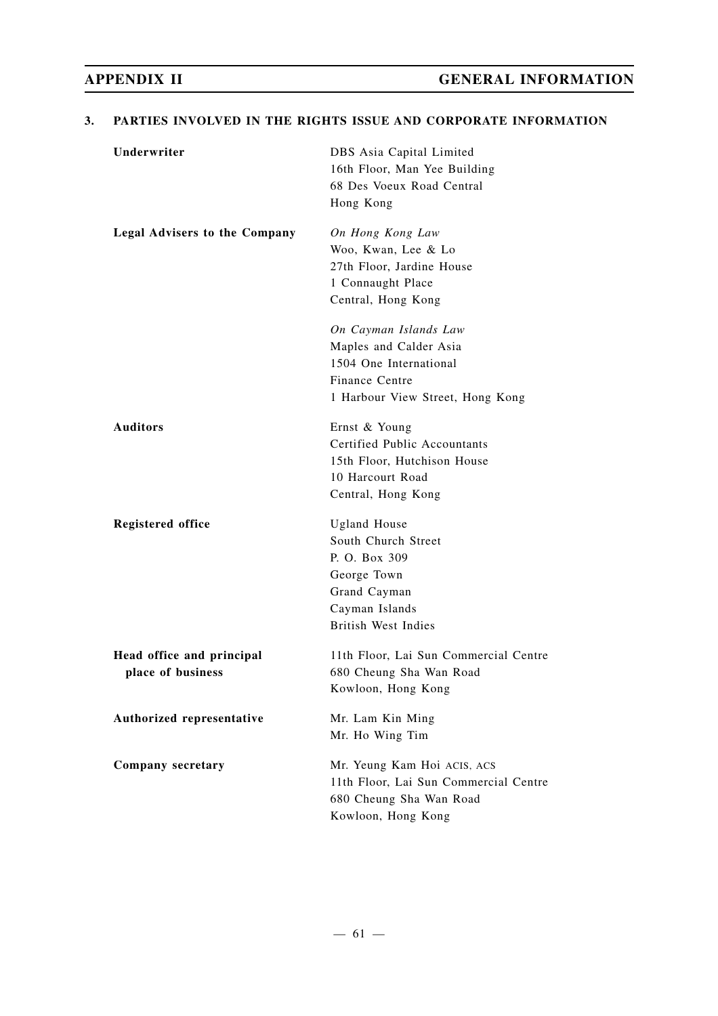## **3. PARTIES INVOLVED IN THE RIGHTS ISSUE AND CORPORATE INFORMATION**

| Underwriter                                    | DBS Asia Capital Limited<br>16th Floor, Man Yee Building<br>68 Des Voeux Road Central<br>Hong Kong                                         |
|------------------------------------------------|--------------------------------------------------------------------------------------------------------------------------------------------|
| <b>Legal Advisers to the Company</b>           | On Hong Kong Law<br>Woo, Kwan, Lee & Lo<br>27th Floor, Jardine House<br>1 Connaught Place<br>Central, Hong Kong                            |
|                                                | On Cayman Islands Law<br>Maples and Calder Asia<br>1504 One International<br>Finance Centre<br>1 Harbour View Street, Hong Kong            |
| <b>Auditors</b>                                | Ernst & Young<br>Certified Public Accountants<br>15th Floor, Hutchison House<br>10 Harcourt Road<br>Central, Hong Kong                     |
| <b>Registered office</b>                       | <b>Ugland House</b><br>South Church Street<br>P. O. Box 309<br>George Town<br>Grand Cayman<br>Cayman Islands<br><b>British West Indies</b> |
| Head office and principal<br>place of business | 11th Floor, Lai Sun Commercial Centre<br>680 Cheung Sha Wan Road<br>Kowloon, Hong Kong                                                     |
| Authorized representative                      | Mr. Lam Kin Ming<br>Mr. Ho Wing Tim                                                                                                        |
| Company secretary                              | Mr. Yeung Kam Hoi ACIS, ACS<br>11th Floor, Lai Sun Commercial Centre<br>680 Cheung Sha Wan Road<br>Kowloon, Hong Kong                      |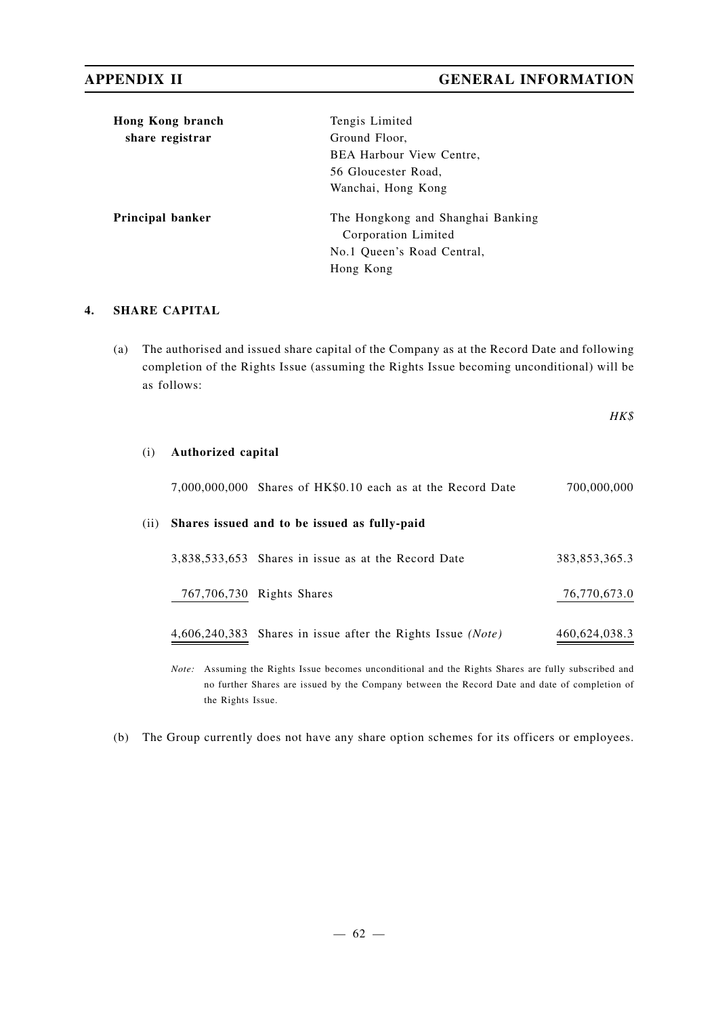| Hong Kong branch | Tengis Limited                                           |
|------------------|----------------------------------------------------------|
| share registrar  | Ground Floor,                                            |
|                  | <b>BEA Harbour View Centre,</b>                          |
|                  | 56 Gloucester Road.                                      |
|                  | Wanchai, Hong Kong                                       |
| Principal banker | The Hongkong and Shanghai Banking<br>Corporation Limited |
|                  | No.1 Oueen's Road Central,                               |
|                  | Hong Kong                                                |
|                  |                                                          |

## **4. SHARE CAPITAL**

(a) The authorised and issued share capital of the Company as at the Record Date and following completion of the Rights Issue (assuming the Rights Issue becoming unconditional) will be as follows:

*HK\$*

## (i) **Authorized capital**

7,000,000,000 Shares of HK\$0.10 each as at the Record Date 700,000,000

# (ii) **Shares issued and to be issued as fully-paid**

| 3,838,533,653 Shares in issue as at the Record Date         | 383.853.365.3 |
|-------------------------------------------------------------|---------------|
| 767,706,730 Rights Shares                                   | 76,770,673.0  |
| 4,606,240,383 Shares in issue after the Rights Issue (Note) | 460,624,038.3 |

*Note:* Assuming the Rights Issue becomes unconditional and the Rights Shares are fully subscribed and no further Shares are issued by the Company between the Record Date and date of completion of the Rights Issue.

(b) The Group currently does not have any share option schemes for its officers or employees.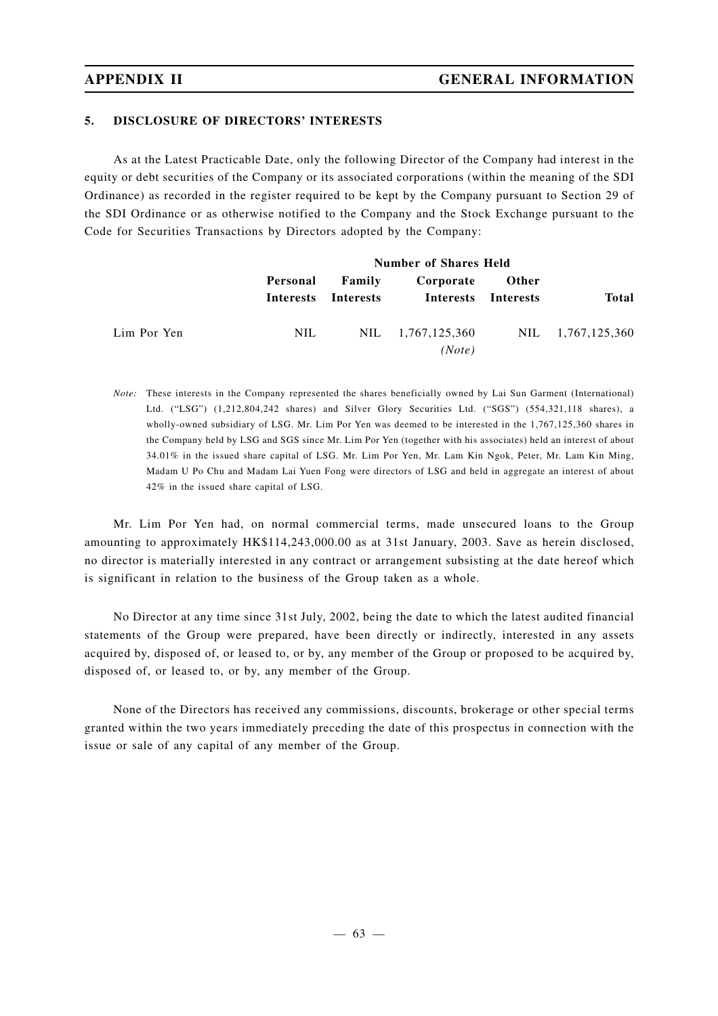## **5. DISCLOSURE OF DIRECTORS' INTERESTS**

As at the Latest Practicable Date, only the following Director of the Company had interest in the equity or debt securities of the Company or its associated corporations (within the meaning of the SDI Ordinance) as recorded in the register required to be kept by the Company pursuant to Section 29 of the SDI Ordinance or as otherwise notified to the Company and the Stock Exchange pursuant to the Code for Securities Transactions by Directors adopted by the Company:

|             |          | <b>Number of Shares Held</b>  |                             |                           |                   |  |
|-------------|----------|-------------------------------|-----------------------------|---------------------------|-------------------|--|
|             | Personal | Family<br>Interests Interests | Corporate<br>Interests      | Other<br><b>Interests</b> | <b>Total</b>      |  |
| Lim Por Yen | NIL.     |                               | NIL 1,767,125,360<br>(Note) |                           | NIL 1,767,125,360 |  |

*Note:* These interests in the Company represented the shares beneficially owned by Lai Sun Garment (International) Ltd. ("LSG") (1,212,804,242 shares) and Silver Glory Securities Ltd. ("SGS") (554,321,118 shares), a wholly-owned subsidiary of LSG. Mr. Lim Por Yen was deemed to be interested in the 1,767,125,360 shares in the Company held by LSG and SGS since Mr. Lim Por Yen (together with his associates) held an interest of about 34.01% in the issued share capital of LSG. Mr. Lim Por Yen, Mr. Lam Kin Ngok, Peter, Mr. Lam Kin Ming, Madam U Po Chu and Madam Lai Yuen Fong were directors of LSG and held in aggregate an interest of about 42% in the issued share capital of LSG.

Mr. Lim Por Yen had, on normal commercial terms, made unsecured loans to the Group amounting to approximately HK\$114,243,000.00 as at 31st January, 2003. Save as herein disclosed, no director is materially interested in any contract or arrangement subsisting at the date hereof which is significant in relation to the business of the Group taken as a whole.

No Director at any time since 31st July, 2002, being the date to which the latest audited financial statements of the Group were prepared, have been directly or indirectly, interested in any assets acquired by, disposed of, or leased to, or by, any member of the Group or proposed to be acquired by, disposed of, or leased to, or by, any member of the Group.

None of the Directors has received any commissions, discounts, brokerage or other special terms granted within the two years immediately preceding the date of this prospectus in connection with the issue or sale of any capital of any member of the Group.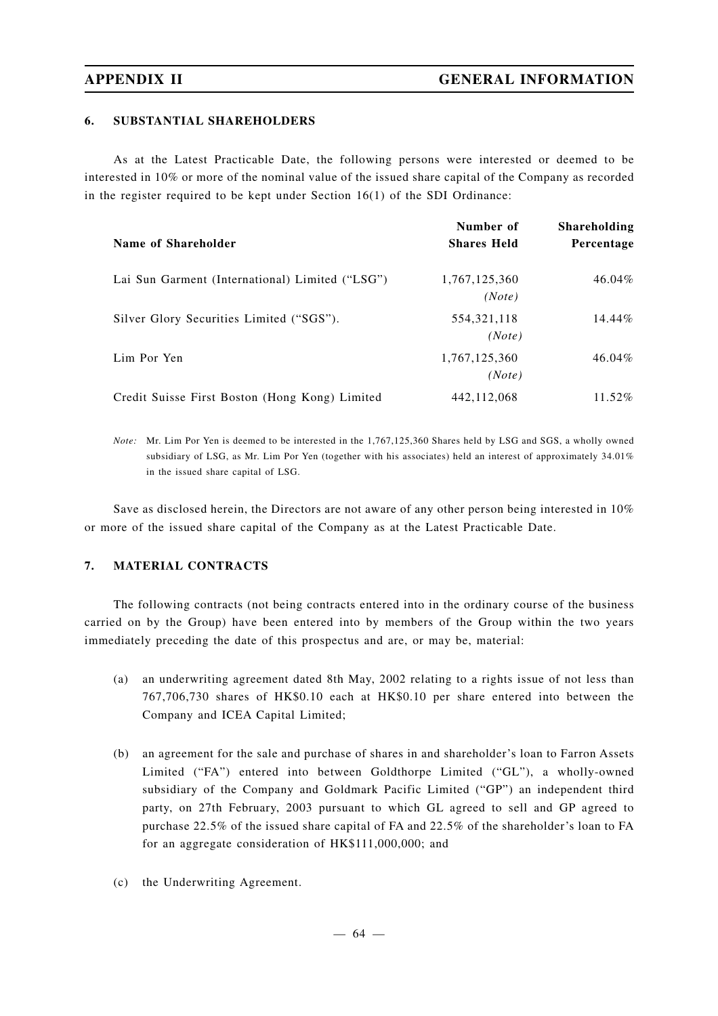## **6. SUBSTANTIAL SHAREHOLDERS**

As at the Latest Practicable Date, the following persons were interested or deemed to be interested in 10% or more of the nominal value of the issued share capital of the Company as recorded in the register required to be kept under Section 16(1) of the SDI Ordinance:

|                                                 | Number of               | <b>Shareholding</b> |
|-------------------------------------------------|-------------------------|---------------------|
| Name of Shareholder                             | <b>Shares Held</b>      | Percentage          |
| Lai Sun Garment (International) Limited ("LSG") | 1,767,125,360<br>(Note) | 46.04%              |
| Silver Glory Securities Limited ("SGS").        | 554, 321, 118<br>(Note) | 14.44%              |
| Lim Por Yen                                     | 1,767,125,360<br>(Note) | 46.04%              |
| Credit Suisse First Boston (Hong Kong) Limited  | 442, 112, 068           | 11.52%              |

*Note:* Mr. Lim Por Yen is deemed to be interested in the 1,767,125,360 Shares held by LSG and SGS, a wholly owned subsidiary of LSG, as Mr. Lim Por Yen (together with his associates) held an interest of approximately 34.01% in the issued share capital of LSG.

Save as disclosed herein, the Directors are not aware of any other person being interested in 10% or more of the issued share capital of the Company as at the Latest Practicable Date.

### **7. MATERIAL CONTRACTS**

The following contracts (not being contracts entered into in the ordinary course of the business carried on by the Group) have been entered into by members of the Group within the two years immediately preceding the date of this prospectus and are, or may be, material:

- (a) an underwriting agreement dated 8th May, 2002 relating to a rights issue of not less than 767,706,730 shares of HK\$0.10 each at HK\$0.10 per share entered into between the Company and ICEA Capital Limited;
- (b) an agreement for the sale and purchase of shares in and shareholder's loan to Farron Assets Limited ("FA") entered into between Goldthorpe Limited ("GL"), a wholly-owned subsidiary of the Company and Goldmark Pacific Limited ("GP") an independent third party, on 27th February, 2003 pursuant to which GL agreed to sell and GP agreed to purchase 22.5% of the issued share capital of FA and 22.5% of the shareholder's loan to FA for an aggregate consideration of HK\$111,000,000; and
- (c) the Underwriting Agreement.